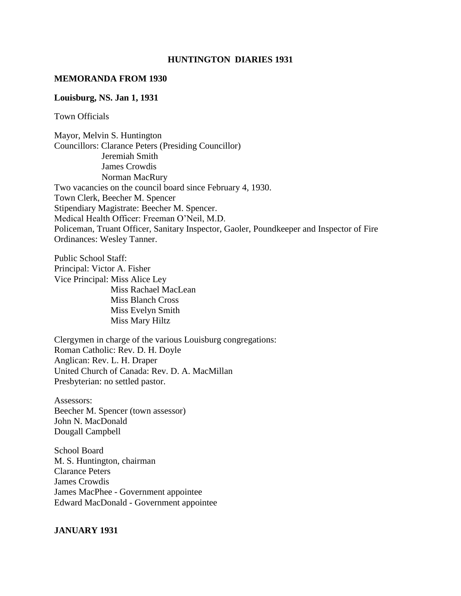#### **HUNTINGTON DIARIES 1931**

#### **MEMORANDA FROM 1930**

#### **Louisburg, NS. Jan 1, 1931**

Town Officials

Mayor, Melvin S. Huntington Councillors: Clarance Peters (Presiding Councillor) Jeremiah Smith James Crowdis Norman MacRury Two vacancies on the council board since February 4, 1930. Town Clerk, Beecher M. Spencer Stipendiary Magistrate: Beecher M. Spencer. Medical Health Officer: Freeman O'Neil, M.D. Policeman, Truant Officer, Sanitary Inspector, Gaoler, Poundkeeper and Inspector of Fire Ordinances: Wesley Tanner.

Public School Staff: Principal: Victor A. Fisher Vice Principal: Miss Alice Ley Miss Rachael MacLean Miss Blanch Cross Miss Evelyn Smith Miss Mary Hiltz

Clergymen in charge of the various Louisburg congregations: Roman Catholic: Rev. D. H. Doyle Anglican: Rev. L. H. Draper United Church of Canada: Rev. D. A. MacMillan Presbyterian: no settled pastor.

Assessors: Beecher M. Spencer (town assessor) John N. MacDonald Dougall Campbell

School Board M. S. Huntington, chairman Clarance Peters James Crowdis James MacPhee - Government appointee Edward MacDonald - Government appointee

#### **JANUARY 1931**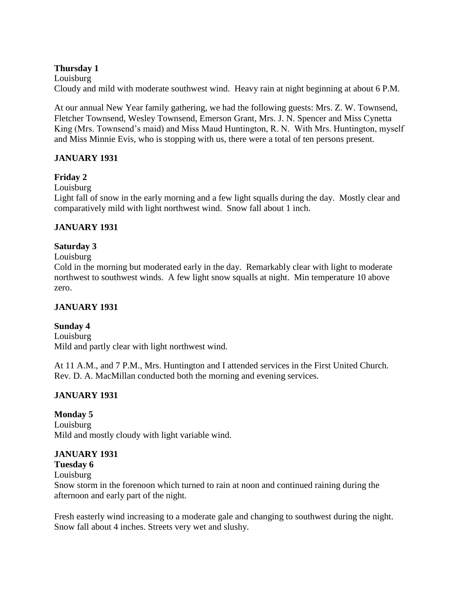### **Thursday 1**

#### Louisburg

Cloudy and mild with moderate southwest wind. Heavy rain at night beginning at about 6 P.M.

At our annual New Year family gathering, we had the following guests: Mrs. Z. W. Townsend, Fletcher Townsend, Wesley Townsend, Emerson Grant, Mrs. J. N. Spencer and Miss Cynetta King (Mrs. Townsend's maid) and Miss Maud Huntington, R. N. With Mrs. Huntington, myself and Miss Minnie Evis, who is stopping with us, there were a total of ten persons present.

# **JANUARY 1931**

### **Friday 2**

Louisburg

Light fall of snow in the early morning and a few light squalls during the day. Mostly clear and comparatively mild with light northwest wind. Snow fall about 1 inch.

# **JANUARY 1931**

# **Saturday 3**

#### Louisburg

Cold in the morning but moderated early in the day. Remarkably clear with light to moderate northwest to southwest winds. A few light snow squalls at night. Min temperature 10 above zero.

### **JANUARY 1931**

# **Sunday 4**

Louisburg Mild and partly clear with light northwest wind.

At 11 A.M., and 7 P.M., Mrs. Huntington and I attended services in the First United Church. Rev. D. A. MacMillan conducted both the morning and evening services.

# **JANUARY 1931**

### **Monday 5**

Louisburg Mild and mostly cloudy with light variable wind.

### **JANUARY 1931**

- **Tuesday 6**
- Louisburg

Snow storm in the forenoon which turned to rain at noon and continued raining during the afternoon and early part of the night.

Fresh easterly wind increasing to a moderate gale and changing to southwest during the night. Snow fall about 4 inches. Streets very wet and slushy.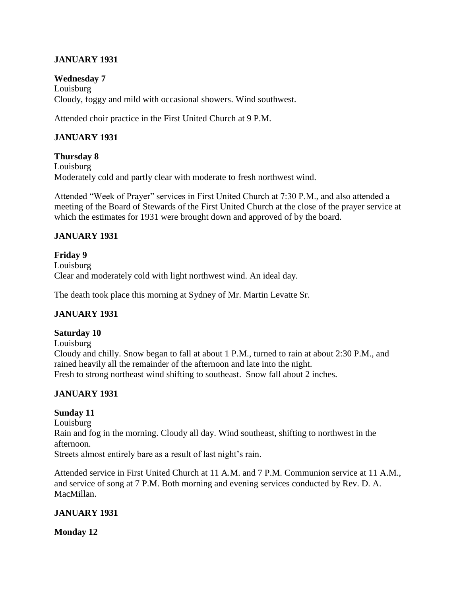# **JANUARY 1931**

#### **Wednesday 7**

Louisburg Cloudy, foggy and mild with occasional showers. Wind southwest.

Attended choir practice in the First United Church at 9 P.M.

### **JANUARY 1931**

**Thursday 8** Louisburg Moderately cold and partly clear with moderate to fresh northwest wind.

Attended "Week of Prayer" services in First United Church at 7:30 P.M., and also attended a meeting of the Board of Stewards of the First United Church at the close of the prayer service at which the estimates for 1931 were brought down and approved of by the board.

# **JANUARY 1931**

**Friday 9** Louisburg Clear and moderately cold with light northwest wind. An ideal day.

The death took place this morning at Sydney of Mr. Martin Levatte Sr.

### **JANUARY 1931**

### **Saturday 10**

Louisburg

Cloudy and chilly. Snow began to fall at about 1 P.M., turned to rain at about 2:30 P.M., and rained heavily all the remainder of the afternoon and late into the night. Fresh to strong northeast wind shifting to southeast. Snow fall about 2 inches.

# **JANUARY 1931**

### **Sunday 11**

Louisburg Rain and fog in the morning. Cloudy all day. Wind southeast, shifting to northwest in the afternoon. Streets almost entirely bare as a result of last night's rain.

Attended service in First United Church at 11 A.M. and 7 P.M. Communion service at 11 A.M., and service of song at 7 P.M. Both morning and evening services conducted by Rev. D. A. MacMillan.

### **JANUARY 1931**

#### **Monday 12**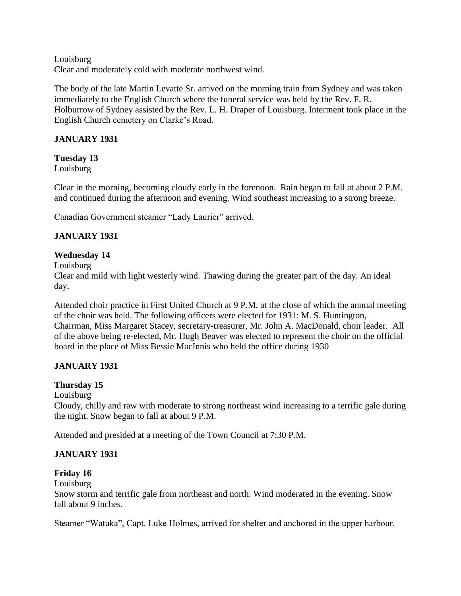Louisburg Clear and moderately cold with moderate northwest wind.

The body of the late Martin Levatte Sr. arrived on the morning train from Sydney and was taken immediately to the English Church where the funeral service was held by the Rev. F. R. Holburrow of Sydney assisted by the Rev. L. H. Draper of Louisburg. Interment took place in the English Church cemetery on Clarke's Road.

# **JANUARY 1931**

**Tuesday 13** Louisburg

Clear in the morning, becoming cloudy early in the forenoon. Rain began to fall at about 2 P.M. and continued during the afternoon and evening. Wind southeast increasing to a strong breeze.

Canadian Government steamer "Lady Laurier" arrived.

# **JANUARY 1931**

# **Wednesday 14**

Louisburg

Clear and mild with light westerly wind. Thawing during the greater part of the day. An ideal day.

Attended choir practice in First United Church at 9 P.M. at the close of which the annual meeting of the choir was held. The following officers were elected for 1931: M. S. Huntington, Chairman, Miss Margaret Stacey, secretary-treasurer, Mr. John A. MacDonald, choir leader. All of the above being re-elected, Mr. Hugh Beaver was elected to represent the choir on the official board in the place of Miss Bessie MacInnis who held the office during 1930

# **JANUARY 1931**

# **Thursday 15**

Louisburg

Cloudy, chilly and raw with moderate to strong northeast wind increasing to a terrific gale during the night. Snow began to fall at about 9 P.M.

Attended and presided at a meeting of the Town Council at 7:30 P.M.

# **JANUARY 1931**

# **Friday 16**

Louisburg

Snow storm and terrific gale from northeast and north. Wind moderated in the evening. Snow fall about 9 inches.

Steamer "Watuka", Capt. Luke Holmes, arrived for shelter and anchored in the upper harbour.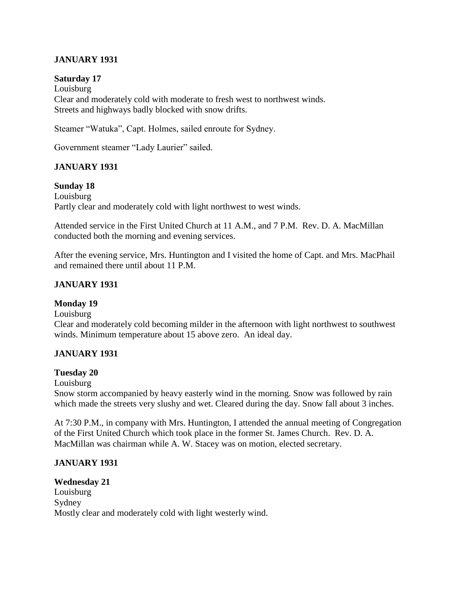### **JANUARY 1931**

#### **Saturday 17**

Louisburg Clear and moderately cold with moderate to fresh west to northwest winds. Streets and highways badly blocked with snow drifts.

Steamer "Watuka", Capt. Holmes, sailed enroute for Sydney.

Government steamer "Lady Laurier" sailed.

### **JANUARY 1931**

#### **Sunday 18**

Louisburg Partly clear and moderately cold with light northwest to west winds.

Attended service in the First United Church at 11 A.M., and 7 P.M. Rev. D. A. MacMillan conducted both the morning and evening services.

After the evening service, Mrs. Huntington and I visited the home of Capt. and Mrs. MacPhail and remained there until about 11 P.M.

### **JANUARY 1931**

#### **Monday 19**

Louisburg

Clear and moderately cold becoming milder in the afternoon with light northwest to southwest winds. Minimum temperature about 15 above zero. An ideal day.

### **JANUARY 1931**

### **Tuesday 20**

Louisburg

Snow storm accompanied by heavy easterly wind in the morning. Snow was followed by rain which made the streets very slushy and wet. Cleared during the day. Snow fall about 3 inches.

At 7:30 P.M., in company with Mrs. Huntington, I attended the annual meeting of Congregation of the First United Church which took place in the former St. James Church. Rev. D. A. MacMillan was chairman while A. W. Stacey was on motion, elected secretary.

#### **JANUARY 1931**

**Wednesday 21** Louisburg Sydney Mostly clear and moderately cold with light westerly wind.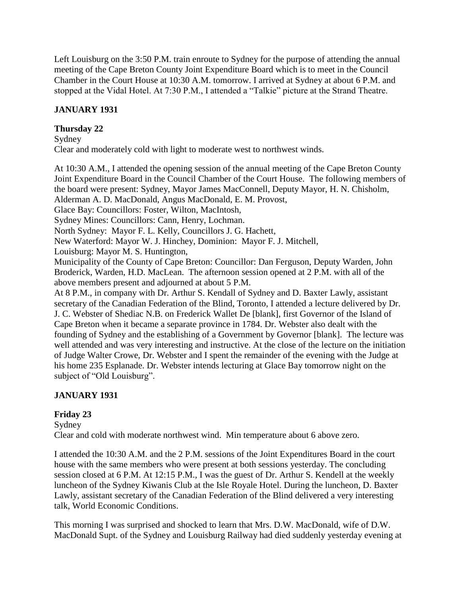Left Louisburg on the 3:50 P.M. train enroute to Sydney for the purpose of attending the annual meeting of the Cape Breton County Joint Expenditure Board which is to meet in the Council Chamber in the Court House at 10:30 A.M. tomorrow. I arrived at Sydney at about 6 P.M. and stopped at the Vidal Hotel. At 7:30 P.M., I attended a "Talkie" picture at the Strand Theatre.

# **JANUARY 1931**

### **Thursday 22**

### Sydney

Clear and moderately cold with light to moderate west to northwest winds.

At 10:30 A.M., I attended the opening session of the annual meeting of the Cape Breton County Joint Expenditure Board in the Council Chamber of the Court House. The following members of the board were present: Sydney, Mayor James MacConnell, Deputy Mayor, H. N. Chisholm, Alderman A. D. MacDonald, Angus MacDonald, E. M. Provost, Glace Bay: Councillors: Foster, Wilton, MacIntosh, Sydney Mines: Councillors: Cann, Henry, Lochman. North Sydney: Mayor F. L. Kelly, Councillors J. G. Hachett, New Waterford: Mayor W. J. Hinchey, Dominion: Mayor F. J. Mitchell, Louisburg: Mayor M. S. Huntington, Municipality of the County of Cape Breton: Councillor: Dan Ferguson, Deputy Warden, John Broderick, Warden, H.D. MacLean. The afternoon session opened at 2 P.M. with all of the above members present and adjourned at about 5 P.M. At 8 P.M., in company with Dr. Arthur S. Kendall of Sydney and D. Baxter Lawly, assistant secretary of the Canadian Federation of the Blind, Toronto, I attended a lecture delivered by Dr. J. C. Webster of Shediac N.B. on Frederick Wallet De [blank], first Governor of the Island of Cape Breton when it became a separate province in 1784. Dr. Webster also dealt with the founding of Sydney and the establishing of a Government by Governor [blank]. The lecture was well attended and was very interesting and instructive. At the close of the lecture on the initiation of Judge Walter Crowe, Dr. Webster and I spent the remainder of the evening with the Judge at his home 235 Esplanade. Dr. Webster intends lecturing at Glace Bay tomorrow night on the subject of "Old Louisburg".

# **JANUARY 1931**

# **Friday 23**

Sydney Clear and cold with moderate northwest wind. Min temperature about 6 above zero.

I attended the 10:30 A.M. and the 2 P.M. sessions of the Joint Expenditures Board in the court house with the same members who were present at both sessions yesterday. The concluding session closed at 6 P.M. At 12:15 P.M., I was the guest of Dr. Arthur S. Kendell at the weekly luncheon of the Sydney Kiwanis Club at the Isle Royale Hotel. During the luncheon, D. Baxter Lawly, assistant secretary of the Canadian Federation of the Blind delivered a very interesting talk, World Economic Conditions.

This morning I was surprised and shocked to learn that Mrs. D.W. MacDonald, wife of D.W. MacDonald Supt. of the Sydney and Louisburg Railway had died suddenly yesterday evening at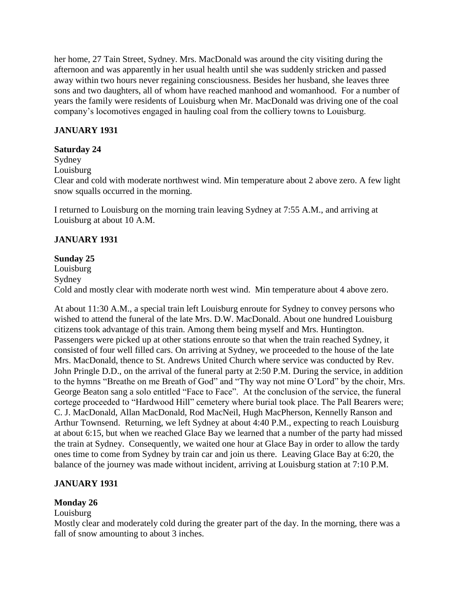her home, 27 Tain Street, Sydney. Mrs. MacDonald was around the city visiting during the afternoon and was apparently in her usual health until she was suddenly stricken and passed away within two hours never regaining consciousness. Besides her husband, she leaves three sons and two daughters, all of whom have reached manhood and womanhood. For a number of years the family were residents of Louisburg when Mr. MacDonald was driving one of the coal company's locomotives engaged in hauling coal from the colliery towns to Louisburg.

# **JANUARY 1931**

### **Saturday 24**

Sydney

Louisburg

Clear and cold with moderate northwest wind. Min temperature about 2 above zero. A few light snow squalls occurred in the morning.

I returned to Louisburg on the morning train leaving Sydney at 7:55 A.M., and arriving at Louisburg at about 10 A.M.

### **JANUARY 1931**

#### **Sunday 25**

Louisburg Sydney Cold and mostly clear with moderate north west wind. Min temperature about 4 above zero.

At about 11:30 A.M., a special train left Louisburg enroute for Sydney to convey persons who wished to attend the funeral of the late Mrs. D.W. MacDonald. About one hundred Louisburg citizens took advantage of this train. Among them being myself and Mrs. Huntington. Passengers were picked up at other stations enroute so that when the train reached Sydney, it consisted of four well filled cars. On arriving at Sydney, we proceeded to the house of the late Mrs. MacDonald, thence to St. Andrews United Church where service was conducted by Rev. John Pringle D.D., on the arrival of the funeral party at 2:50 P.M. During the service, in addition to the hymns "Breathe on me Breath of God" and "Thy way not mine O'Lord" by the choir, Mrs. George Beaton sang a solo entitled "Face to Face". At the conclusion of the service, the funeral cortege proceeded to "Hardwood Hill" cemetery where burial took place. The Pall Bearers were; C. J. MacDonald, Allan MacDonald, Rod MacNeil, Hugh MacPherson, Kennelly Ranson and Arthur Townsend. Returning, we left Sydney at about 4:40 P.M., expecting to reach Louisburg at about 6:15, but when we reached Glace Bay we learned that a number of the party had missed the train at Sydney. Consequently, we waited one hour at Glace Bay in order to allow the tardy ones time to come from Sydney by train car and join us there. Leaving Glace Bay at 6:20, the balance of the journey was made without incident, arriving at Louisburg station at 7:10 P.M.

### **JANUARY 1931**

### **Monday 26**

#### Louisburg

Mostly clear and moderately cold during the greater part of the day. In the morning, there was a fall of snow amounting to about 3 inches.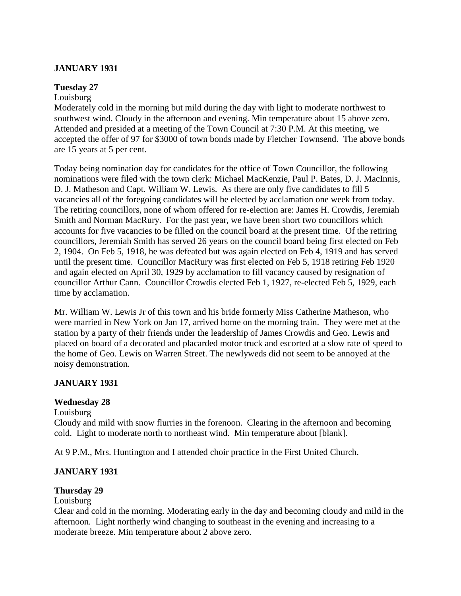# **JANUARY 1931**

### **Tuesday 27**

#### Louisburg

Moderately cold in the morning but mild during the day with light to moderate northwest to southwest wind. Cloudy in the afternoon and evening. Min temperature about 15 above zero. Attended and presided at a meeting of the Town Council at 7:30 P.M. At this meeting, we accepted the offer of 97 for \$3000 of town bonds made by Fletcher Townsend. The above bonds are 15 years at 5 per cent.

Today being nomination day for candidates for the office of Town Councillor, the following nominations were filed with the town clerk: Michael MacKenzie, Paul P. Bates, D. J. MacInnis, D. J. Matheson and Capt. William W. Lewis. As there are only five candidates to fill 5 vacancies all of the foregoing candidates will be elected by acclamation one week from today. The retiring councillors, none of whom offered for re-election are: James H. Crowdis, Jeremiah Smith and Norman MacRury. For the past year, we have been short two councillors which accounts for five vacancies to be filled on the council board at the present time. Of the retiring councillors, Jeremiah Smith has served 26 years on the council board being first elected on Feb 2, 1904. On Feb 5, 1918, he was defeated but was again elected on Feb 4, 1919 and has served until the present time. Councillor MacRury was first elected on Feb 5, 1918 retiring Feb 1920 and again elected on April 30, 1929 by acclamation to fill vacancy caused by resignation of councillor Arthur Cann. Councillor Crowdis elected Feb 1, 1927, re-elected Feb 5, 1929, each time by acclamation.

Mr. William W. Lewis Jr of this town and his bride formerly Miss Catherine Matheson, who were married in New York on Jan 17, arrived home on the morning train. They were met at the station by a party of their friends under the leadership of James Crowdis and Geo. Lewis and placed on board of a decorated and placarded motor truck and escorted at a slow rate of speed to the home of Geo. Lewis on Warren Street. The newlyweds did not seem to be annoyed at the noisy demonstration.

### **JANUARY 1931**

### **Wednesday 28**

Louisburg

Cloudy and mild with snow flurries in the forenoon. Clearing in the afternoon and becoming cold. Light to moderate north to northeast wind. Min temperature about [blank].

At 9 P.M., Mrs. Huntington and I attended choir practice in the First United Church.

### **JANUARY 1931**

### **Thursday 29**

Louisburg

Clear and cold in the morning. Moderating early in the day and becoming cloudy and mild in the afternoon. Light northerly wind changing to southeast in the evening and increasing to a moderate breeze. Min temperature about 2 above zero.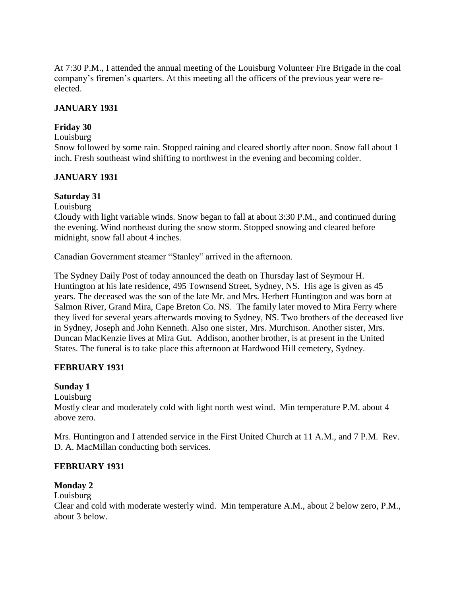At 7:30 P.M., I attended the annual meeting of the Louisburg Volunteer Fire Brigade in the coal company's firemen's quarters. At this meeting all the officers of the previous year were reelected.

### **JANUARY 1931**

### **Friday 30**

#### Louisburg

Snow followed by some rain. Stopped raining and cleared shortly after noon. Snow fall about 1 inch. Fresh southeast wind shifting to northwest in the evening and becoming colder.

### **JANUARY 1931**

### **Saturday 31**

### Louisburg

Cloudy with light variable winds. Snow began to fall at about 3:30 P.M., and continued during the evening. Wind northeast during the snow storm. Stopped snowing and cleared before midnight, snow fall about 4 inches.

Canadian Government steamer "Stanley" arrived in the afternoon.

The Sydney Daily Post of today announced the death on Thursday last of Seymour H. Huntington at his late residence, 495 Townsend Street, Sydney, NS. His age is given as 45 years. The deceased was the son of the late Mr. and Mrs. Herbert Huntington and was born at Salmon River, Grand Mira, Cape Breton Co. NS. The family later moved to Mira Ferry where they lived for several years afterwards moving to Sydney, NS. Two brothers of the deceased live in Sydney, Joseph and John Kenneth. Also one sister, Mrs. Murchison. Another sister, Mrs. Duncan MacKenzie lives at Mira Gut. Addison, another brother, is at present in the United States. The funeral is to take place this afternoon at Hardwood Hill cemetery, Sydney.

### **FEBRUARY 1931**

### **Sunday 1**

### Louisburg

Mostly clear and moderately cold with light north west wind. Min temperature P.M. about 4 above zero.

Mrs. Huntington and I attended service in the First United Church at 11 A.M., and 7 P.M. Rev. D. A. MacMillan conducting both services.

### **FEBRUARY 1931**

### **Monday 2**

Louisburg

Clear and cold with moderate westerly wind. Min temperature A.M., about 2 below zero, P.M., about 3 below.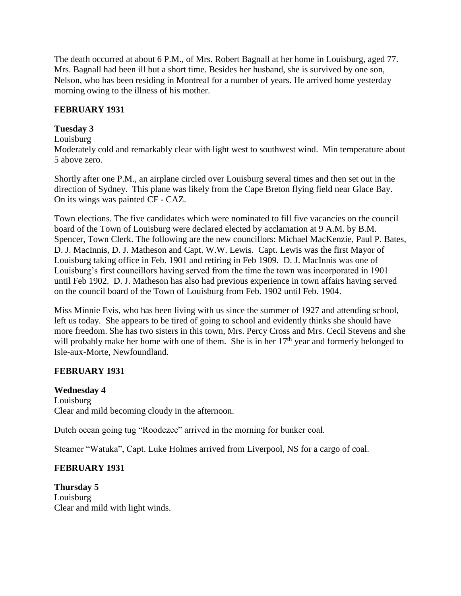The death occurred at about 6 P.M., of Mrs. Robert Bagnall at her home in Louisburg, aged 77. Mrs. Bagnall had been ill but a short time. Besides her husband, she is survived by one son, Nelson, who has been residing in Montreal for a number of years. He arrived home yesterday morning owing to the illness of his mother.

### **FEBRUARY 1931**

### **Tuesday 3**

#### Louisburg

Moderately cold and remarkably clear with light west to southwest wind. Min temperature about 5 above zero.

Shortly after one P.M., an airplane circled over Louisburg several times and then set out in the direction of Sydney. This plane was likely from the Cape Breton flying field near Glace Bay. On its wings was painted CF - CAZ.

Town elections. The five candidates which were nominated to fill five vacancies on the council board of the Town of Louisburg were declared elected by acclamation at 9 A.M. by B.M. Spencer, Town Clerk. The following are the new councillors: Michael MacKenzie, Paul P. Bates, D. J. MacInnis, D. J. Matheson and Capt. W.W. Lewis. Capt. Lewis was the first Mayor of Louisburg taking office in Feb. 1901 and retiring in Feb 1909. D. J. MacInnis was one of Louisburg's first councillors having served from the time the town was incorporated in 1901 until Feb 1902. D. J. Matheson has also had previous experience in town affairs having served on the council board of the Town of Louisburg from Feb. 1902 until Feb. 1904.

Miss Minnie Evis, who has been living with us since the summer of 1927 and attending school, left us today. She appears to be tired of going to school and evidently thinks she should have more freedom. She has two sisters in this town, Mrs. Percy Cross and Mrs. Cecil Stevens and she will probably make her home with one of them. She is in her  $17<sup>th</sup>$  year and formerly belonged to Isle-aux-Morte, Newfoundland.

# **FEBRUARY 1931**

#### **Wednesday 4** Louisburg Clear and mild becoming cloudy in the afternoon.

Dutch ocean going tug "Roodezee" arrived in the morning for bunker coal.

Steamer "Watuka", Capt. Luke Holmes arrived from Liverpool, NS for a cargo of coal.

# **FEBRUARY 1931**

**Thursday 5** Louisburg Clear and mild with light winds.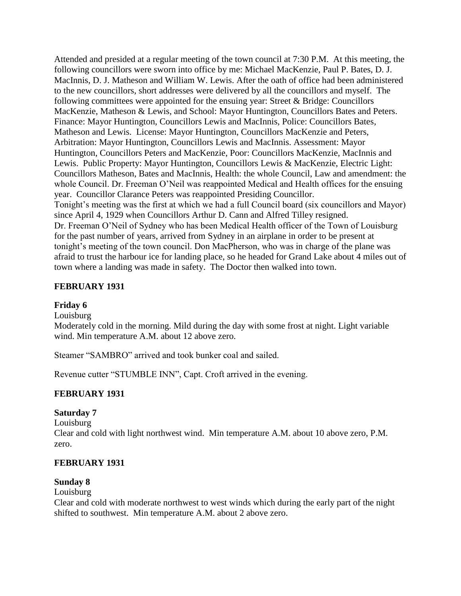Attended and presided at a regular meeting of the town council at 7:30 P.M. At this meeting, the following councillors were sworn into office by me: Michael MacKenzie, Paul P. Bates, D. J. MacInnis, D. J. Matheson and William W. Lewis. After the oath of office had been administered to the new councillors, short addresses were delivered by all the councillors and myself. The following committees were appointed for the ensuing year: Street  $& Bridge: Councilors$ MacKenzie, Matheson & Lewis, and School: Mayor Huntington, Councillors Bates and Peters. Finance: Mayor Huntington, Councillors Lewis and MacInnis, Police: Councillors Bates, Matheson and Lewis. License: Mayor Huntington, Councillors MacKenzie and Peters, Arbitration: Mayor Huntington, Councillors Lewis and MacInnis. Assessment: Mayor Huntington, Councillors Peters and MacKenzie, Poor: Councillors MacKenzie, MacInnis and Lewis. Public Property: Mayor Huntington, Councillors Lewis & MacKenzie, Electric Light: Councillors Matheson, Bates and MacInnis, Health: the whole Council, Law and amendment: the whole Council. Dr. Freeman O'Neil was reappointed Medical and Health offices for the ensuing year. Councillor Clarance Peters was reappointed Presiding Councillor. Tonight's meeting was the first at which we had a full Council board (six councillors and Mayor) since April 4, 1929 when Councillors Arthur D. Cann and Alfred Tilley resigned. Dr. Freeman O'Neil of Sydney who has been Medical Health officer of the Town of Louisburg for the past number of years, arrived from Sydney in an airplane in order to be present at tonight's meeting of the town council. Don MacPherson, who was in charge of the plane was afraid to trust the harbour ice for landing place, so he headed for Grand Lake about 4 miles out of town where a landing was made in safety. The Doctor then walked into town.

#### **FEBRUARY 1931**

#### **Friday 6**

Louisburg

Moderately cold in the morning. Mild during the day with some frost at night. Light variable wind. Min temperature A.M. about 12 above zero.

Steamer "SAMBRO" arrived and took bunker coal and sailed.

Revenue cutter "STUMBLE INN", Capt. Croft arrived in the evening.

### **FEBRUARY 1931**

#### **Saturday 7**

Louisburg Clear and cold with light northwest wind. Min temperature A.M. about 10 above zero, P.M. zero.

#### **FEBRUARY 1931**

#### **Sunday 8**

Louisburg

Clear and cold with moderate northwest to west winds which during the early part of the night shifted to southwest. Min temperature A.M. about 2 above zero.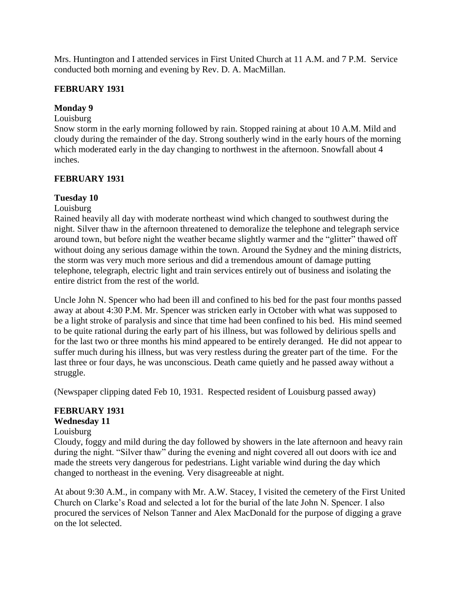Mrs. Huntington and I attended services in First United Church at 11 A.M. and 7 P.M. Service conducted both morning and evening by Rev. D. A. MacMillan.

### **FEBRUARY 1931**

#### **Monday 9**

#### Louisburg

Snow storm in the early morning followed by rain. Stopped raining at about 10 A.M. Mild and cloudy during the remainder of the day. Strong southerly wind in the early hours of the morning which moderated early in the day changing to northwest in the afternoon. Snowfall about 4 inches.

#### **FEBRUARY 1931**

#### **Tuesday 10**

#### Louisburg

Rained heavily all day with moderate northeast wind which changed to southwest during the night. Silver thaw in the afternoon threatened to demoralize the telephone and telegraph service around town, but before night the weather became slightly warmer and the "glitter" thawed off without doing any serious damage within the town. Around the Sydney and the mining districts, the storm was very much more serious and did a tremendous amount of damage putting telephone, telegraph, electric light and train services entirely out of business and isolating the entire district from the rest of the world.

Uncle John N. Spencer who had been ill and confined to his bed for the past four months passed away at about 4:30 P.M. Mr. Spencer was stricken early in October with what was supposed to be a light stroke of paralysis and since that time had been confined to his bed. His mind seemed to be quite rational during the early part of his illness, but was followed by delirious spells and for the last two or three months his mind appeared to be entirely deranged. He did not appear to suffer much during his illness, but was very restless during the greater part of the time. For the last three or four days, he was unconscious. Death came quietly and he passed away without a struggle.

(Newspaper clipping dated Feb 10, 1931. Respected resident of Louisburg passed away)

#### **FEBRUARY 1931**

#### **Wednesday 11**

#### Louisburg

Cloudy, foggy and mild during the day followed by showers in the late afternoon and heavy rain during the night. "Silver thaw" during the evening and night covered all out doors with ice and made the streets very dangerous for pedestrians. Light variable wind during the day which changed to northeast in the evening. Very disagreeable at night.

At about 9:30 A.M., in company with Mr. A.W. Stacey, I visited the cemetery of the First United Church on Clarke's Road and selected a lot for the burial of the late John N. Spencer. I also procured the services of Nelson Tanner and Alex MacDonald for the purpose of digging a grave on the lot selected.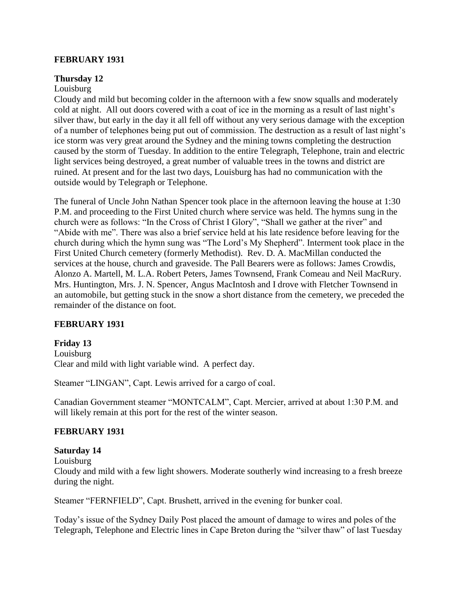#### **FEBRUARY 1931**

#### **Thursday 12**

#### Louisburg

Cloudy and mild but becoming colder in the afternoon with a few snow squalls and moderately cold at night. All out doors covered with a coat of ice in the morning as a result of last night's silver thaw, but early in the day it all fell off without any very serious damage with the exception of a number of telephones being put out of commission. The destruction as a result of last night's ice storm was very great around the Sydney and the mining towns completing the destruction caused by the storm of Tuesday. In addition to the entire Telegraph, Telephone, train and electric light services being destroyed, a great number of valuable trees in the towns and district are ruined. At present and for the last two days, Louisburg has had no communication with the outside would by Telegraph or Telephone.

The funeral of Uncle John Nathan Spencer took place in the afternoon leaving the house at 1:30 P.M. and proceeding to the First United church where service was held. The hymns sung in the church were as follows: "In the Cross of Christ I Glory", "Shall we gather at the river" and "Abide with me". There was also a brief service held at his late residence before leaving for the church during which the hymn sung was "The Lord's My Shepherd". Interment took place in the First United Church cemetery (formerly Methodist). Rev. D. A. MacMillan conducted the services at the house, church and graveside. The Pall Bearers were as follows: James Crowdis, Alonzo A. Martell, M. L.A. Robert Peters, James Townsend, Frank Comeau and Neil MacRury. Mrs. Huntington, Mrs. J. N. Spencer, Angus MacIntosh and I drove with Fletcher Townsend in an automobile, but getting stuck in the snow a short distance from the cemetery, we preceded the remainder of the distance on foot.

### **FEBRUARY 1931**

### **Friday 13**

Louisburg Clear and mild with light variable wind. A perfect day.

Steamer "LINGAN", Capt. Lewis arrived for a cargo of coal.

Canadian Government steamer "MONTCALM", Capt. Mercier, arrived at about 1:30 P.M. and will likely remain at this port for the rest of the winter season.

#### **FEBRUARY 1931**

#### **Saturday 14**

Louisburg

Cloudy and mild with a few light showers. Moderate southerly wind increasing to a fresh breeze during the night.

Steamer "FERNFIELD", Capt. Brushett, arrived in the evening for bunker coal.

Today's issue of the Sydney Daily Post placed the amount of damage to wires and poles of the Telegraph, Telephone and Electric lines in Cape Breton during the "silver thaw" of last Tuesday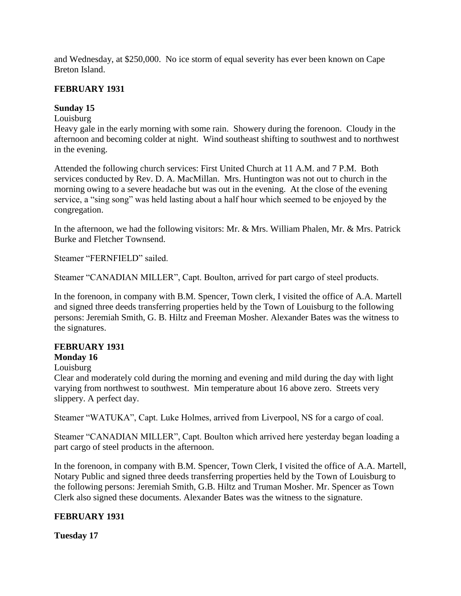and Wednesday, at \$250,000. No ice storm of equal severity has ever been known on Cape Breton Island.

### **FEBRUARY 1931**

### **Sunday 15**

# Louisburg

Heavy gale in the early morning with some rain. Showery during the forenoon. Cloudy in the afternoon and becoming colder at night. Wind southeast shifting to southwest and to northwest in the evening.

Attended the following church services: First United Church at 11 A.M. and 7 P.M. Both services conducted by Rev. D. A. MacMillan. Mrs. Huntington was not out to church in the morning owing to a severe headache but was out in the evening. At the close of the evening service, a "sing song" was held lasting about a half hour which seemed to be enjoyed by the congregation.

In the afternoon, we had the following visitors: Mr. & Mrs. William Phalen, Mr. & Mrs. Patrick Burke and Fletcher Townsend.

Steamer "FERNFIELD" sailed.

Steamer "CANADIAN MILLER", Capt. Boulton, arrived for part cargo of steel products.

In the forenoon, in company with B.M. Spencer, Town clerk, I visited the office of A.A. Martell and signed three deeds transferring properties held by the Town of Louisburg to the following persons: Jeremiah Smith, G. B. Hiltz and Freeman Mosher. Alexander Bates was the witness to the signatures.

# **FEBRUARY 1931**

### **Monday 16**

### Louisburg

Clear and moderately cold during the morning and evening and mild during the day with light varying from northwest to southwest. Min temperature about 16 above zero. Streets very slippery. A perfect day.

Steamer "WATUKA", Capt. Luke Holmes, arrived from Liverpool, NS for a cargo of coal.

Steamer "CANADIAN MILLER", Capt. Boulton which arrived here yesterday began loading a part cargo of steel products in the afternoon.

In the forenoon, in company with B.M. Spencer, Town Clerk, I visited the office of A.A. Martell, Notary Public and signed three deeds transferring properties held by the Town of Louisburg to the following persons: Jeremiah Smith, G.B. Hiltz and Truman Mosher. Mr. Spencer as Town Clerk also signed these documents. Alexander Bates was the witness to the signature.

### **FEBRUARY 1931**

### **Tuesday 17**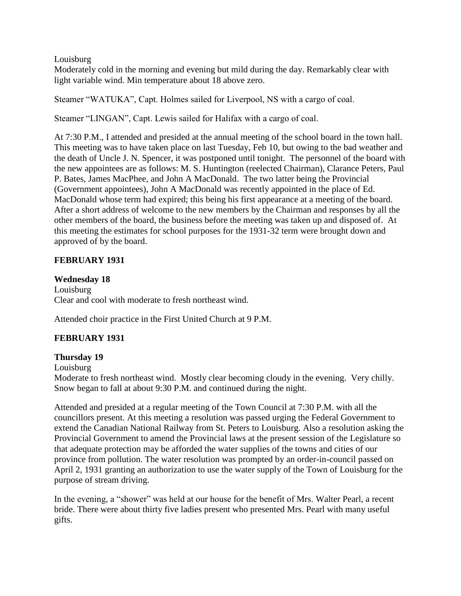#### Louisburg

Moderately cold in the morning and evening but mild during the day. Remarkably clear with light variable wind. Min temperature about 18 above zero.

Steamer "WATUKA", Capt. Holmes sailed for Liverpool, NS with a cargo of coal.

Steamer "LINGAN", Capt. Lewis sailed for Halifax with a cargo of coal.

At 7:30 P.M., I attended and presided at the annual meeting of the school board in the town hall. This meeting was to have taken place on last Tuesday, Feb 10, but owing to the bad weather and the death of Uncle J. N. Spencer, it was postponed until tonight. The personnel of the board with the new appointees are as follows: M. S. Huntington (reelected Chairman), Clarance Peters, Paul P. Bates, James MacPhee, and John A MacDonald. The two latter being the Provincial (Government appointees), John A MacDonald was recently appointed in the place of Ed. MacDonald whose term had expired; this being his first appearance at a meeting of the board. After a short address of welcome to the new members by the Chairman and responses by all the other members of the board, the business before the meeting was taken up and disposed of. At this meeting the estimates for school purposes for the 1931-32 term were brought down and approved of by the board.

# **FEBRUARY 1931**

### **Wednesday 18**

Louisburg Clear and cool with moderate to fresh northeast wind.

Attended choir practice in the First United Church at 9 P.M.

# **FEBRUARY 1931**

### **Thursday 19**

Louisburg

Moderate to fresh northeast wind. Mostly clear becoming cloudy in the evening. Very chilly. Snow began to fall at about 9:30 P.M. and continued during the night.

Attended and presided at a regular meeting of the Town Council at 7:30 P.M. with all the councillors present. At this meeting a resolution was passed urging the Federal Government to extend the Canadian National Railway from St. Peters to Louisburg. Also a resolution asking the Provincial Government to amend the Provincial laws at the present session of the Legislature so that adequate protection may be afforded the water supplies of the towns and cities of our province from pollution. The water resolution was prompted by an order-in-council passed on April 2, 1931 granting an authorization to use the water supply of the Town of Louisburg for the purpose of stream driving.

In the evening, a "shower" was held at our house for the benefit of Mrs. Walter Pearl, a recent bride. There were about thirty five ladies present who presented Mrs. Pearl with many useful gifts.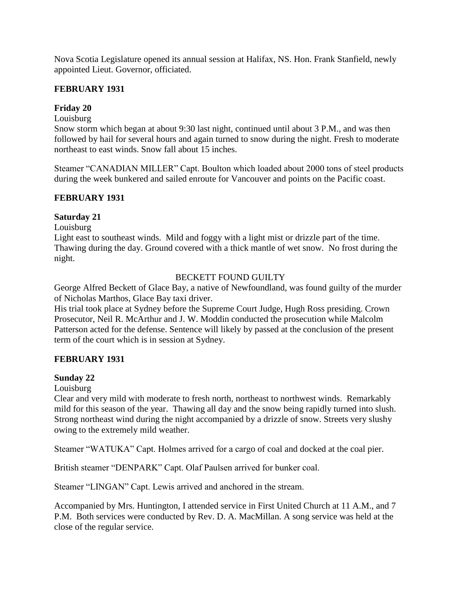Nova Scotia Legislature opened its annual session at Halifax, NS. Hon. Frank Stanfield, newly appointed Lieut. Governor, officiated.

### **FEBRUARY 1931**

### **Friday 20**

Louisburg

Snow storm which began at about 9:30 last night, continued until about 3 P.M., and was then followed by hail for several hours and again turned to snow during the night. Fresh to moderate northeast to east winds. Snow fall about 15 inches.

Steamer "CANADIAN MILLER" Capt. Boulton which loaded about 2000 tons of steel products during the week bunkered and sailed enroute for Vancouver and points on the Pacific coast.

### **FEBRUARY 1931**

# **Saturday 21**

Louisburg

Light east to southeast winds. Mild and foggy with a light mist or drizzle part of the time. Thawing during the day. Ground covered with a thick mantle of wet snow. No frost during the night.

# BECKETT FOUND GUILTY

George Alfred Beckett of Glace Bay, a native of Newfoundland, was found guilty of the murder of Nicholas Marthos, Glace Bay taxi driver.

His trial took place at Sydney before the Supreme Court Judge, Hugh Ross presiding. Crown Prosecutor, Neil R. McArthur and J. W. Moddin conducted the prosecution while Malcolm Patterson acted for the defense. Sentence will likely by passed at the conclusion of the present term of the court which is in session at Sydney.

# **FEBRUARY 1931**

### **Sunday 22**

Louisburg

Clear and very mild with moderate to fresh north, northeast to northwest winds. Remarkably mild for this season of the year. Thawing all day and the snow being rapidly turned into slush. Strong northeast wind during the night accompanied by a drizzle of snow. Streets very slushy owing to the extremely mild weather.

Steamer "WATUKA" Capt. Holmes arrived for a cargo of coal and docked at the coal pier.

British steamer "DENPARK" Capt. Olaf Paulsen arrived for bunker coal.

Steamer "LINGAN" Capt. Lewis arrived and anchored in the stream.

Accompanied by Mrs. Huntington, I attended service in First United Church at 11 A.M., and 7 P.M. Both services were conducted by Rev. D. A. MacMillan. A song service was held at the close of the regular service.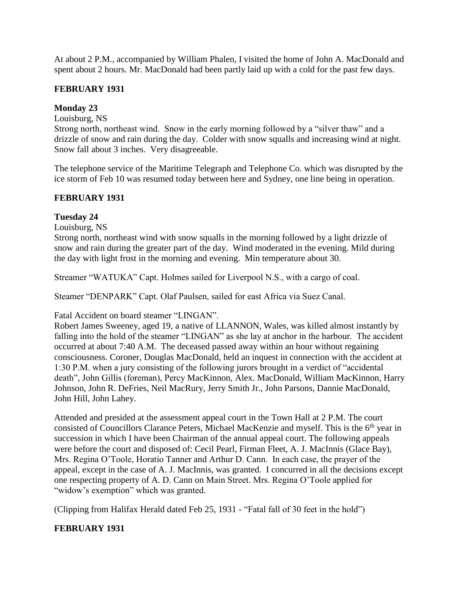At about 2 P.M., accompanied by William Phalen, I visited the home of John A. MacDonald and spent about 2 hours. Mr. MacDonald had been partly laid up with a cold for the past few days.

### **FEBRUARY 1931**

### **Monday 23**

### Louisburg, NS

Strong north, northeast wind. Snow in the early morning followed by a "silver thaw" and a drizzle of snow and rain during the day. Colder with snow squalls and increasing wind at night. Snow fall about 3 inches. Very disagreeable.

The telephone service of the Maritime Telegraph and Telephone Co. which was disrupted by the ice storm of Feb 10 was resumed today between here and Sydney, one line being in operation.

### **FEBRUARY 1931**

# **Tuesday 24**

Louisburg, NS

Strong north, northeast wind with snow squalls in the morning followed by a light drizzle of snow and rain during the greater part of the day. Wind moderated in the evening. Mild during the day with light frost in the morning and evening. Min temperature about 30.

Streamer "WATUKA" Capt. Holmes sailed for Liverpool N.S., with a cargo of coal.

Steamer "DENPARK" Capt. Olaf Paulsen, sailed for east Africa via Suez Canal.

Fatal Accident on board steamer "LINGAN".

Robert James Sweeney, aged 19, a native of LLANNON, Wales, was killed almost instantly by falling into the hold of the steamer "LINGAN" as she lay at anchor in the harbour. The accident occurred at about 7:40 A.M. The deceased passed away within an hour without regaining consciousness. Coroner, Douglas MacDonald, held an inquest in connection with the accident at 1:30 P.M. when a jury consisting of the following jurors brought in a verdict of "accidental death", John Gillis (foreman), Percy MacKinnon, Alex. MacDonald, William MacKinnon, Harry Johnson, John R. DeFries, Neil MacRury, Jerry Smith Jr., John Parsons, Dannie MacDonald, John Hill, John Lahey.

Attended and presided at the assessment appeal court in the Town Hall at 2 P.M. The court consisted of Councillors Clarance Peters, Michael MacKenzie and myself. This is the 6<sup>th</sup> year in succession in which I have been Chairman of the annual appeal court. The following appeals were before the court and disposed of: Cecil Pearl, Firman Fleet, A. J. MacInnis (Glace Bay), Mrs. Regina O'Toole, Horatio Tanner and Arthur D. Cann. In each case, the prayer of the appeal, except in the case of A. J. MacInnis, was granted. I concurred in all the decisions except one respecting property of A. D. Cann on Main Street. Mrs. Regina O'Toole applied for "widow's exemption" which was granted.

(Clipping from Halifax Herald dated Feb 25, 1931 - "Fatal fall of 30 feet in the hold")

### **FEBRUARY 1931**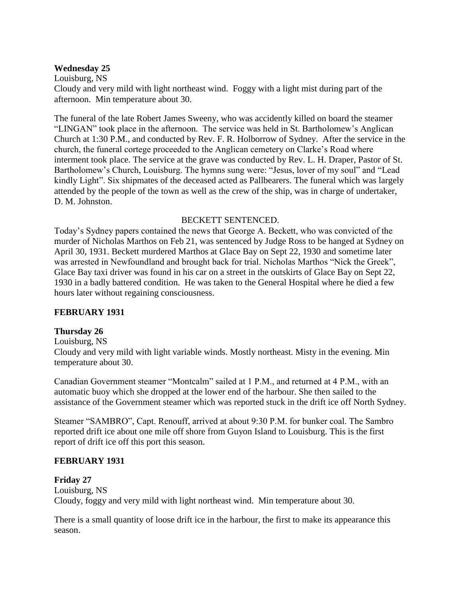#### **Wednesday 25**

Louisburg, NS

Cloudy and very mild with light northeast wind. Foggy with a light mist during part of the afternoon. Min temperature about 30.

The funeral of the late Robert James Sweeny, who was accidently killed on board the steamer "LINGAN" took place in the afternoon. The service was held in St. Bartholomew's Anglican Church at 1:30 P.M., and conducted by Rev. F. R. Holborrow of Sydney. After the service in the church, the funeral cortege proceeded to the Anglican cemetery on Clarke's Road where interment took place. The service at the grave was conducted by Rev. L. H. Draper, Pastor of St. Bartholomew's Church, Louisburg. The hymns sung were: "Jesus, lover of my soul" and "Lead kindly Light". Six shipmates of the deceased acted as Pallbearers. The funeral which was largely attended by the people of the town as well as the crew of the ship, was in charge of undertaker, D. M. Johnston.

#### BECKETT SENTENCED.

Today's Sydney papers contained the news that George A. Beckett, who was convicted of the murder of Nicholas Marthos on Feb 21, was sentenced by Judge Ross to be hanged at Sydney on April 30, 1931. Beckett murdered Marthos at Glace Bay on Sept 22, 1930 and sometime later was arrested in Newfoundland and brought back for trial. Nicholas Marthos "Nick the Greek", Glace Bay taxi driver was found in his car on a street in the outskirts of Glace Bay on Sept 22, 1930 in a badly battered condition. He was taken to the General Hospital where he died a few hours later without regaining consciousness.

### **FEBRUARY 1931**

### **Thursday 26**

Louisburg, NS

Cloudy and very mild with light variable winds. Mostly northeast. Misty in the evening. Min temperature about 30.

Canadian Government steamer "Montcalm" sailed at 1 P.M., and returned at 4 P.M., with an automatic buoy which she dropped at the lower end of the harbour. She then sailed to the assistance of the Government steamer which was reported stuck in the drift ice off North Sydney.

Steamer "SAMBRO", Capt. Renouff, arrived at about 9:30 P.M. for bunker coal. The Sambro reported drift ice about one mile off shore from Guyon Island to Louisburg. This is the first report of drift ice off this port this season.

#### **FEBRUARY 1931**

#### **Friday 27**

Louisburg, NS Cloudy, foggy and very mild with light northeast wind. Min temperature about 30.

There is a small quantity of loose drift ice in the harbour, the first to make its appearance this season.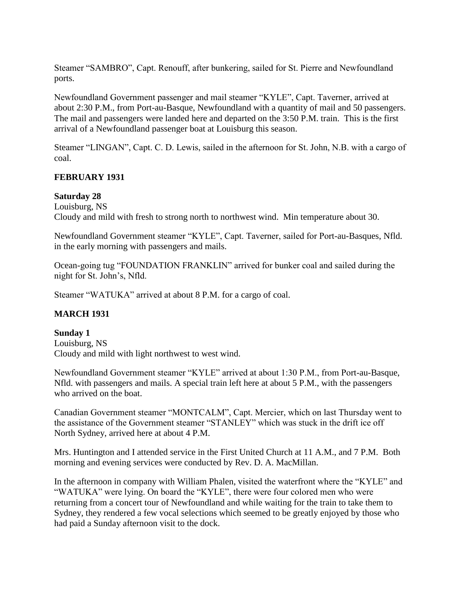Steamer "SAMBRO", Capt. Renouff, after bunkering, sailed for St. Pierre and Newfoundland ports.

Newfoundland Government passenger and mail steamer "KYLE", Capt. Taverner, arrived at about 2:30 P.M., from Port-au-Basque, Newfoundland with a quantity of mail and 50 passengers. The mail and passengers were landed here and departed on the 3:50 P.M. train. This is the first arrival of a Newfoundland passenger boat at Louisburg this season.

Steamer "LINGAN", Capt. C. D. Lewis, sailed in the afternoon for St. John, N.B. with a cargo of coal.

### **FEBRUARY 1931**

#### **Saturday 28**

Louisburg, NS Cloudy and mild with fresh to strong north to northwest wind. Min temperature about 30.

Newfoundland Government steamer "KYLE", Capt. Taverner, sailed for Port-au-Basques, Nfld. in the early morning with passengers and mails.

Ocean-going tug "FOUNDATION FRANKLIN" arrived for bunker coal and sailed during the night for St. John's, Nfld.

Steamer "WATUKA" arrived at about 8 P.M. for a cargo of coal.

### **MARCH 1931**

### **Sunday 1**

Louisburg, NS Cloudy and mild with light northwest to west wind.

Newfoundland Government steamer "KYLE" arrived at about 1:30 P.M., from Port-au-Basque, Nfld. with passengers and mails. A special train left here at about 5 P.M., with the passengers who arrived on the boat.

Canadian Government steamer "MONTCALM", Capt. Mercier, which on last Thursday went to the assistance of the Government steamer "STANLEY" which was stuck in the drift ice off North Sydney, arrived here at about 4 P.M.

Mrs. Huntington and I attended service in the First United Church at 11 A.M., and 7 P.M. Both morning and evening services were conducted by Rev. D. A. MacMillan.

In the afternoon in company with William Phalen, visited the waterfront where the "KYLE" and "WATUKA" were lying. On board the "KYLE", there were four colored men who were returning from a concert tour of Newfoundland and while waiting for the train to take them to Sydney, they rendered a few vocal selections which seemed to be greatly enjoyed by those who had paid a Sunday afternoon visit to the dock.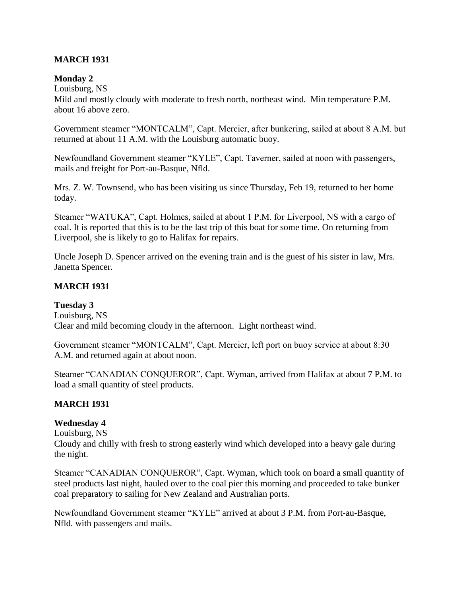### **MARCH 1931**

#### **Monday 2**

Louisburg, NS

Mild and mostly cloudy with moderate to fresh north, northeast wind. Min temperature P.M. about 16 above zero.

Government steamer "MONTCALM", Capt. Mercier, after bunkering, sailed at about 8 A.M. but returned at about 11 A.M. with the Louisburg automatic buoy.

Newfoundland Government steamer "KYLE", Capt. Taverner, sailed at noon with passengers, mails and freight for Port-au-Basque, Nfld.

Mrs. Z. W. Townsend, who has been visiting us since Thursday, Feb 19, returned to her home today.

Steamer "WATUKA", Capt. Holmes, sailed at about 1 P.M. for Liverpool, NS with a cargo of coal. It is reported that this is to be the last trip of this boat for some time. On returning from Liverpool, she is likely to go to Halifax for repairs.

Uncle Joseph D. Spencer arrived on the evening train and is the guest of his sister in law, Mrs. Janetta Spencer.

### **MARCH 1931**

### **Tuesday 3**

Louisburg, NS Clear and mild becoming cloudy in the afternoon. Light northeast wind.

Government steamer "MONTCALM", Capt. Mercier, left port on buoy service at about 8:30 A.M. and returned again at about noon.

Steamer "CANADIAN CONQUEROR", Capt. Wyman, arrived from Halifax at about 7 P.M. to load a small quantity of steel products.

### **MARCH 1931**

# **Wednesday 4**

Louisburg, NS

Cloudy and chilly with fresh to strong easterly wind which developed into a heavy gale during the night.

Steamer "CANADIAN CONQUEROR", Capt. Wyman, which took on board a small quantity of steel products last night, hauled over to the coal pier this morning and proceeded to take bunker coal preparatory to sailing for New Zealand and Australian ports.

Newfoundland Government steamer "KYLE" arrived at about 3 P.M. from Port-au-Basque, Nfld. with passengers and mails.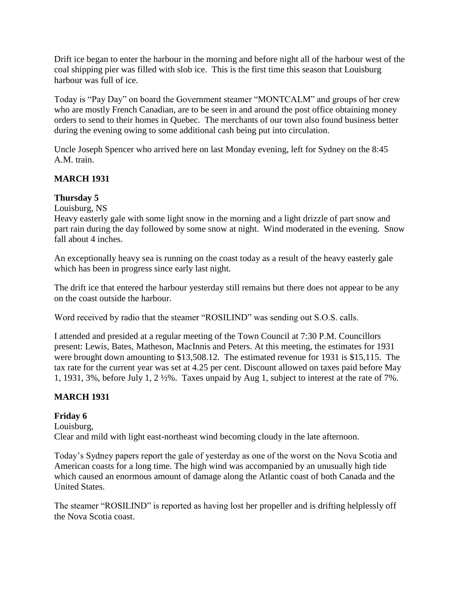Drift ice began to enter the harbour in the morning and before night all of the harbour west of the coal shipping pier was filled with slob ice. This is the first time this season that Louisburg harbour was full of ice.

Today is "Pay Day" on board the Government steamer "MONTCALM" and groups of her crew who are mostly French Canadian, are to be seen in and around the post office obtaining money orders to send to their homes in Quebec. The merchants of our town also found business better during the evening owing to some additional cash being put into circulation.

Uncle Joseph Spencer who arrived here on last Monday evening, left for Sydney on the 8:45 A.M. train.

# **MARCH 1931**

# **Thursday 5**

Louisburg, NS

Heavy easterly gale with some light snow in the morning and a light drizzle of part snow and part rain during the day followed by some snow at night. Wind moderated in the evening. Snow fall about 4 inches.

An exceptionally heavy sea is running on the coast today as a result of the heavy easterly gale which has been in progress since early last night.

The drift ice that entered the harbour yesterday still remains but there does not appear to be any on the coast outside the harbour.

Word received by radio that the steamer "ROSILIND" was sending out S.O.S. calls.

I attended and presided at a regular meeting of the Town Council at 7:30 P.M. Councillors present: Lewis, Bates, Matheson, MacInnis and Peters. At this meeting, the estimates for 1931 were brought down amounting to \$13,508.12. The estimated revenue for 1931 is \$15,115. The tax rate for the current year was set at 4.25 per cent. Discount allowed on taxes paid before May 1, 1931, 3%, before July 1, 2 ½%. Taxes unpaid by Aug 1, subject to interest at the rate of 7%.

# **MARCH 1931**

### **Friday 6**

Louisburg, Clear and mild with light east-northeast wind becoming cloudy in the late afternoon.

Today's Sydney papers report the gale of yesterday as one of the worst on the Nova Scotia and American coasts for a long time. The high wind was accompanied by an unusually high tide which caused an enormous amount of damage along the Atlantic coast of both Canada and the United States.

The steamer "ROSILIND" is reported as having lost her propeller and is drifting helplessly off the Nova Scotia coast.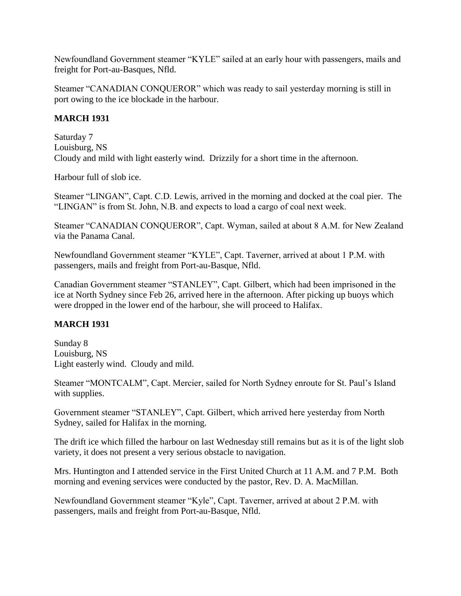Newfoundland Government steamer "KYLE" sailed at an early hour with passengers, mails and freight for Port-au-Basques, Nfld.

Steamer "CANADIAN CONQUEROR" which was ready to sail yesterday morning is still in port owing to the ice blockade in the harbour.

# **MARCH 1931**

Saturday 7 Louisburg, NS Cloudy and mild with light easterly wind. Drizzily for a short time in the afternoon.

Harbour full of slob ice.

Steamer "LINGAN", Capt. C.D. Lewis, arrived in the morning and docked at the coal pier. The "LINGAN" is from St. John, N.B. and expects to load a cargo of coal next week.

Steamer "CANADIAN CONQUEROR", Capt. Wyman, sailed at about 8 A.M. for New Zealand via the Panama Canal.

Newfoundland Government steamer "KYLE", Capt. Taverner, arrived at about 1 P.M. with passengers, mails and freight from Port-au-Basque, Nfld.

Canadian Government steamer "STANLEY", Capt. Gilbert, which had been imprisoned in the ice at North Sydney since Feb 26, arrived here in the afternoon. After picking up buoys which were dropped in the lower end of the harbour, she will proceed to Halifax.

### **MARCH 1931**

Sunday 8 Louisburg, NS Light easterly wind. Cloudy and mild.

Steamer "MONTCALM", Capt. Mercier, sailed for North Sydney enroute for St. Paul's Island with supplies.

Government steamer "STANLEY", Capt. Gilbert, which arrived here yesterday from North Sydney, sailed for Halifax in the morning.

The drift ice which filled the harbour on last Wednesday still remains but as it is of the light slob variety, it does not present a very serious obstacle to navigation.

Mrs. Huntington and I attended service in the First United Church at 11 A.M. and 7 P.M. Both morning and evening services were conducted by the pastor, Rev. D. A. MacMillan.

Newfoundland Government steamer "Kyle", Capt. Taverner, arrived at about 2 P.M. with passengers, mails and freight from Port-au-Basque, Nfld.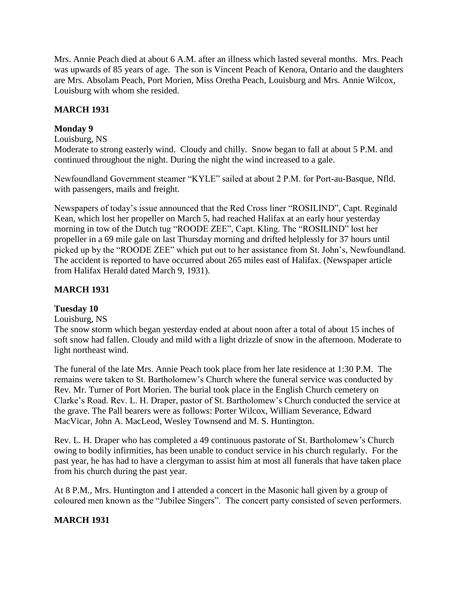Mrs. Annie Peach died at about 6 A.M. after an illness which lasted several months. Mrs. Peach was upwards of 85 years of age. The son is Vincent Peach of Kenora, Ontario and the daughters are Mrs. Absolam Peach, Port Morien, Miss Oretha Peach, Louisburg and Mrs. Annie Wilcox, Louisburg with whom she resided.

### **MARCH 1931**

#### **Monday 9**

#### Louisburg, NS

Moderate to strong easterly wind. Cloudy and chilly. Snow began to fall at about 5 P.M. and continued throughout the night. During the night the wind increased to a gale.

Newfoundland Government steamer "KYLE" sailed at about 2 P.M. for Port-au-Basque, Nfld. with passengers, mails and freight.

Newspapers of today's issue announced that the Red Cross liner "ROSILIND", Capt. Reginald Kean, which lost her propeller on March 5, had reached Halifax at an early hour yesterday morning in tow of the Dutch tug "ROODE ZEE", Capt. Kling. The "ROSILIND" lost her propeller in a 69 mile gale on last Thursday morning and drifted helplessly for 37 hours until picked up by the "ROODE ZEE" which put out to her assistance from St. John's, Newfoundland. The accident is reported to have occurred about 265 miles east of Halifax. (Newspaper article from Halifax Herald dated March 9, 1931).

# **MARCH 1931**

### **Tuesday 10**

### Louisburg, NS

The snow storm which began yesterday ended at about noon after a total of about 15 inches of soft snow had fallen. Cloudy and mild with a light drizzle of snow in the afternoon. Moderate to light northeast wind.

The funeral of the late Mrs. Annie Peach took place from her late residence at 1:30 P.M. The remains were taken to St. Bartholomew's Church where the funeral service was conducted by Rev. Mr. Turner of Port Morien. The burial took place in the English Church cemetery on Clarke's Road. Rev. L. H. Draper, pastor of St. Bartholomew's Church conducted the service at the grave. The Pall bearers were as follows: Porter Wilcox, William Severance, Edward MacVicar, John A. MacLeod, Wesley Townsend and M. S. Huntington.

Rev. L. H. Draper who has completed a 49 continuous pastorate of St. Bartholomew's Church owing to bodily infirmities, has been unable to conduct service in his church regularly. For the past year, he has had to have a clergyman to assist him at most all funerals that have taken place from his church during the past year.

At 8 P.M., Mrs. Huntington and I attended a concert in the Masonic hall given by a group of coloured men known as the "Jubilee Singers". The concert party consisted of seven performers.

### **MARCH 1931**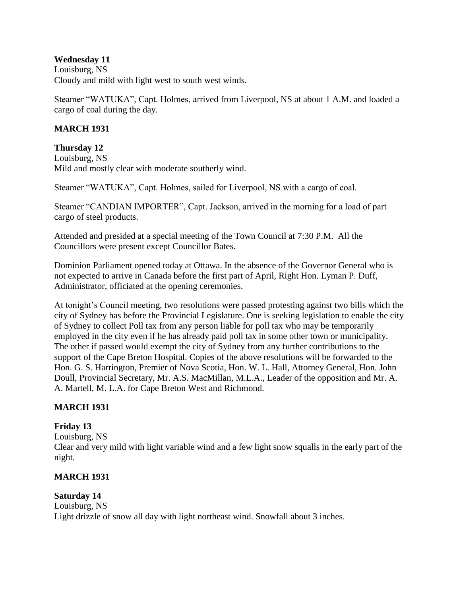#### **Wednesday 11**

Louisburg, NS Cloudy and mild with light west to south west winds.

Steamer "WATUKA", Capt. Holmes, arrived from Liverpool, NS at about 1 A.M. and loaded a cargo of coal during the day.

#### **MARCH 1931**

**Thursday 12** Louisburg, NS Mild and mostly clear with moderate southerly wind.

Steamer "WATUKA", Capt. Holmes, sailed for Liverpool, NS with a cargo of coal.

Steamer "CANDIAN IMPORTER", Capt. Jackson, arrived in the morning for a load of part cargo of steel products.

Attended and presided at a special meeting of the Town Council at 7:30 P.M. All the Councillors were present except Councillor Bates.

Dominion Parliament opened today at Ottawa. In the absence of the Governor General who is not expected to arrive in Canada before the first part of April, Right Hon. Lyman P. Duff, Administrator, officiated at the opening ceremonies.

At tonight's Council meeting, two resolutions were passed protesting against two bills which the city of Sydney has before the Provincial Legislature. One is seeking legislation to enable the city of Sydney to collect Poll tax from any person liable for poll tax who may be temporarily employed in the city even if he has already paid poll tax in some other town or municipality. The other if passed would exempt the city of Sydney from any further contributions to the support of the Cape Breton Hospital. Copies of the above resolutions will be forwarded to the Hon. G. S. Harrington, Premier of Nova Scotia, Hon. W. L. Hall, Attorney General, Hon. John Doull, Provincial Secretary, Mr. A.S. MacMillan, M.L.A., Leader of the opposition and Mr. A. A. Martell, M. L.A. for Cape Breton West and Richmond.

### **MARCH 1931**

### **Friday 13**

Louisburg, NS Clear and very mild with light variable wind and a few light snow squalls in the early part of the night.

### **MARCH 1931**

# **Saturday 14**

Louisburg, NS Light drizzle of snow all day with light northeast wind. Snowfall about 3 inches.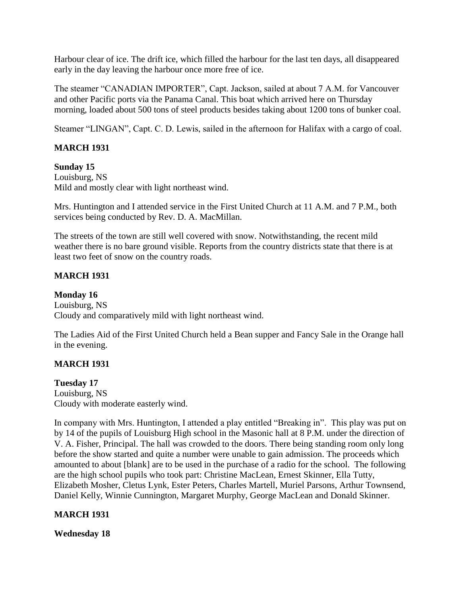Harbour clear of ice. The drift ice, which filled the harbour for the last ten days, all disappeared early in the day leaving the harbour once more free of ice.

The steamer "CANADIAN IMPORTER", Capt. Jackson, sailed at about 7 A.M. for Vancouver and other Pacific ports via the Panama Canal. This boat which arrived here on Thursday morning, loaded about 500 tons of steel products besides taking about 1200 tons of bunker coal.

Steamer "LINGAN", Capt. C. D. Lewis, sailed in the afternoon for Halifax with a cargo of coal.

### **MARCH 1931**

#### **Sunday 15**

Louisburg, NS Mild and mostly clear with light northeast wind.

Mrs. Huntington and I attended service in the First United Church at 11 A.M. and 7 P.M., both services being conducted by Rev. D. A. MacMillan.

The streets of the town are still well covered with snow. Notwithstanding, the recent mild weather there is no bare ground visible. Reports from the country districts state that there is at least two feet of snow on the country roads.

### **MARCH 1931**

### **Monday 16**

Louisburg, NS Cloudy and comparatively mild with light northeast wind.

The Ladies Aid of the First United Church held a Bean supper and Fancy Sale in the Orange hall in the evening.

### **MARCH 1931**

### **Tuesday 17**

Louisburg, NS Cloudy with moderate easterly wind.

In company with Mrs. Huntington, I attended a play entitled "Breaking in". This play was put on by 14 of the pupils of Louisburg High school in the Masonic hall at 8 P.M. under the direction of V. A. Fisher, Principal. The hall was crowded to the doors. There being standing room only long before the show started and quite a number were unable to gain admission. The proceeds which amounted to about [blank] are to be used in the purchase of a radio for the school. The following are the high school pupils who took part: Christine MacLean, Ernest Skinner, Ella Tutty, Elizabeth Mosher, Cletus Lynk, Ester Peters, Charles Martell, Muriel Parsons, Arthur Townsend, Daniel Kelly, Winnie Cunnington, Margaret Murphy, George MacLean and Donald Skinner.

### **MARCH 1931**

**Wednesday 18**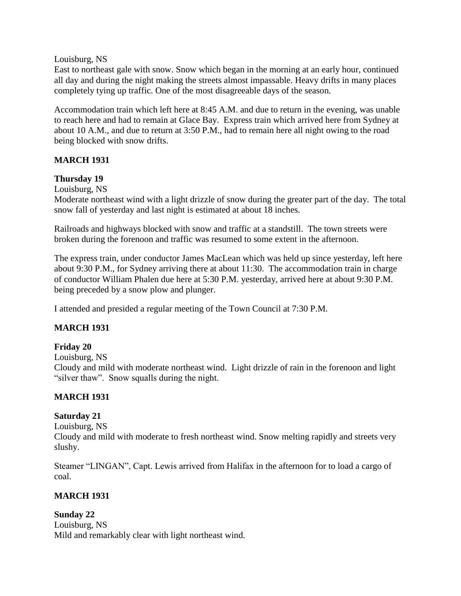Louisburg, NS

East to northeast gale with snow. Snow which began in the morning at an early hour, continued all day and during the night making the streets almost impassable. Heavy drifts in many places completely tying up traffic. One of the most disagreeable days of the season.

Accommodation train which left here at 8:45 A.M. and due to return in the evening, was unable to reach here and had to remain at Glace Bay. Express train which arrived here from Sydney at about 10 A.M., and due to return at 3:50 P.M., had to remain here all night owing to the road being blocked with snow drifts.

### **MARCH 1931**

#### **Thursday 19**

Louisburg, NS

Moderate northeast wind with a light drizzle of snow during the greater part of the day. The total snow fall of yesterday and last night is estimated at about 18 inches.

Railroads and highways blocked with snow and traffic at a standstill. The town streets were broken during the forenoon and traffic was resumed to some extent in the afternoon.

The express train, under conductor James MacLean which was held up since yesterday, left here about 9:30 P.M., for Sydney arriving there at about 11:30. The accommodation train in charge of conductor William Phalen due here at 5:30 P.M. yesterday, arrived here at about 9:30 P.M. being preceded by a snow plow and plunger.

I attended and presided a regular meeting of the Town Council at 7:30 P.M.

### **MARCH 1931**

### **Friday 20**

Louisburg, NS

Cloudy and mild with moderate northeast wind. Light drizzle of rain in the forenoon and light "silver thaw". Snow squalls during the night.

### **MARCH 1931**

### **Saturday 21**

Louisburg, NS

Cloudy and mild with moderate to fresh northeast wind. Snow melting rapidly and streets very slushy.

Steamer "LINGAN", Capt. Lewis arrived from Halifax in the afternoon for to load a cargo of coal.

#### **MARCH 1931**

#### **Sunday 22**

Louisburg, NS Mild and remarkably clear with light northeast wind.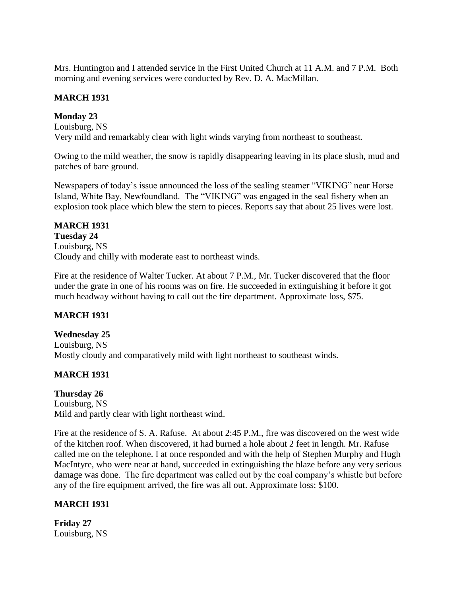Mrs. Huntington and I attended service in the First United Church at 11 A.M. and 7 P.M. Both morning and evening services were conducted by Rev. D. A. MacMillan.

#### **MARCH 1931**

#### **Monday 23**

Louisburg, NS Very mild and remarkably clear with light winds varying from northeast to southeast.

Owing to the mild weather, the snow is rapidly disappearing leaving in its place slush, mud and patches of bare ground.

Newspapers of today's issue announced the loss of the sealing steamer "VIKING" near Horse Island, White Bay, Newfoundland. The "VIKING" was engaged in the seal fishery when an explosion took place which blew the stern to pieces. Reports say that about 25 lives were lost.

#### **MARCH 1931 Tuesday 24**

Louisburg, NS Cloudy and chilly with moderate east to northeast winds.

Fire at the residence of Walter Tucker. At about 7 P.M., Mr. Tucker discovered that the floor under the grate in one of his rooms was on fire. He succeeded in extinguishing it before it got much headway without having to call out the fire department. Approximate loss, \$75.

### **MARCH 1931**

**Wednesday 25** Louisburg, NS Mostly cloudy and comparatively mild with light northeast to southeast winds.

### **MARCH 1931**

# **Thursday 26**

Louisburg, NS Mild and partly clear with light northeast wind.

Fire at the residence of S. A. Rafuse. At about 2:45 P.M., fire was discovered on the west wide of the kitchen roof. When discovered, it had burned a hole about 2 feet in length. Mr. Rafuse called me on the telephone. I at once responded and with the help of Stephen Murphy and Hugh MacIntyre, who were near at hand, succeeded in extinguishing the blaze before any very serious damage was done. The fire department was called out by the coal company's whistle but before any of the fire equipment arrived, the fire was all out. Approximate loss: \$100.

### **MARCH 1931**

**Friday 27** Louisburg, NS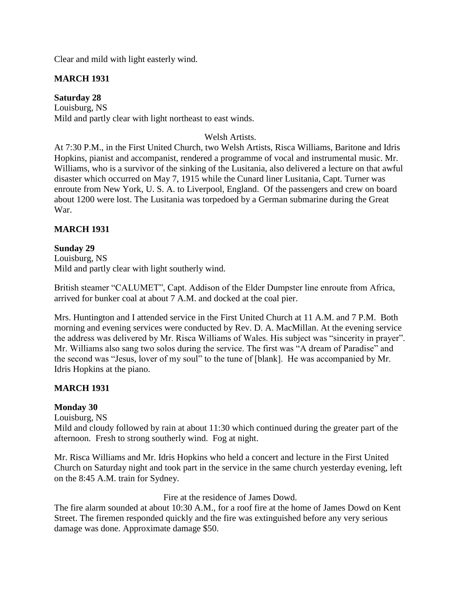Clear and mild with light easterly wind.

# **MARCH 1931**

**Saturday 28** Louisburg, NS Mild and partly clear with light northeast to east winds.

### Welsh Artists.

At 7:30 P.M., in the First United Church, two Welsh Artists, Risca Williams, Baritone and Idris Hopkins, pianist and accompanist, rendered a programme of vocal and instrumental music. Mr. Williams, who is a survivor of the sinking of the Lusitania, also delivered a lecture on that awful disaster which occurred on May 7, 1915 while the Cunard liner Lusitania, Capt. Turner was enroute from New York, U. S. A. to Liverpool, England. Of the passengers and crew on board about 1200 were lost. The Lusitania was torpedoed by a German submarine during the Great War.

### **MARCH 1931**

# **Sunday 29**

Louisburg, NS Mild and partly clear with light southerly wind.

British steamer "CALUMET", Capt. Addison of the Elder Dumpster line enroute from Africa, arrived for bunker coal at about 7 A.M. and docked at the coal pier.

Mrs. Huntington and I attended service in the First United Church at 11 A.M. and 7 P.M. Both morning and evening services were conducted by Rev. D. A. MacMillan. At the evening service the address was delivered by Mr. Risca Williams of Wales. His subject was "sincerity in prayer". Mr. Williams also sang two solos during the service. The first was "A dream of Paradise" and the second was "Jesus, lover of my soul" to the tune of [blank]. He was accompanied by Mr. Idris Hopkins at the piano.

### **MARCH 1931**

### **Monday 30**

Louisburg, NS

Mild and cloudy followed by rain at about 11:30 which continued during the greater part of the afternoon. Fresh to strong southerly wind. Fog at night.

Mr. Risca Williams and Mr. Idris Hopkins who held a concert and lecture in the First United Church on Saturday night and took part in the service in the same church yesterday evening, left on the 8:45 A.M. train for Sydney.

#### Fire at the residence of James Dowd.

The fire alarm sounded at about 10:30 A.M., for a roof fire at the home of James Dowd on Kent Street. The firemen responded quickly and the fire was extinguished before any very serious damage was done. Approximate damage \$50.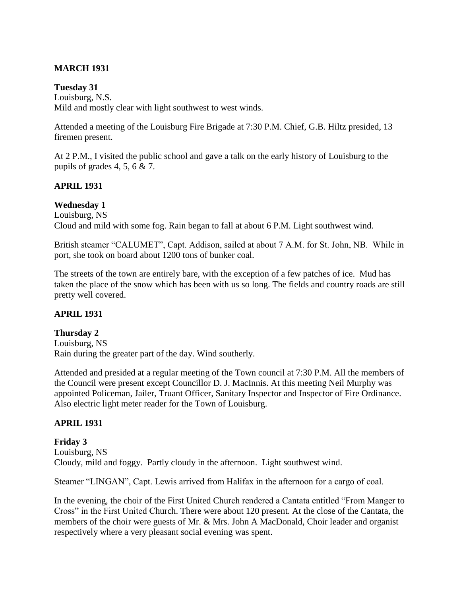# **MARCH 1931**

#### **Tuesday 31**

Louisburg, N.S. Mild and mostly clear with light southwest to west winds.

Attended a meeting of the Louisburg Fire Brigade at 7:30 P.M. Chief, G.B. Hiltz presided, 13 firemen present.

At 2 P.M., I visited the public school and gave a talk on the early history of Louisburg to the pupils of grades 4, 5, 6 & 7.

### **APRIL 1931**

#### **Wednesday 1**

Louisburg, NS Cloud and mild with some fog. Rain began to fall at about 6 P.M. Light southwest wind.

British steamer "CALUMET", Capt. Addison, sailed at about 7 A.M. for St. John, NB. While in port, she took on board about 1200 tons of bunker coal.

The streets of the town are entirely bare, with the exception of a few patches of ice. Mud has taken the place of the snow which has been with us so long. The fields and country roads are still pretty well covered.

### **APRIL 1931**

#### **Thursday 2**

Louisburg, NS Rain during the greater part of the day. Wind southerly.

Attended and presided at a regular meeting of the Town council at 7:30 P.M. All the members of the Council were present except Councillor D. J. MacInnis. At this meeting Neil Murphy was appointed Policeman, Jailer, Truant Officer, Sanitary Inspector and Inspector of Fire Ordinance. Also electric light meter reader for the Town of Louisburg.

### **APRIL 1931**

### **Friday 3**

Louisburg, NS Cloudy, mild and foggy. Partly cloudy in the afternoon. Light southwest wind.

Steamer "LINGAN", Capt. Lewis arrived from Halifax in the afternoon for a cargo of coal.

In the evening, the choir of the First United Church rendered a Cantata entitled "From Manger to Cross" in the First United Church. There were about 120 present. At the close of the Cantata, the members of the choir were guests of Mr. & Mrs. John A MacDonald, Choir leader and organist respectively where a very pleasant social evening was spent.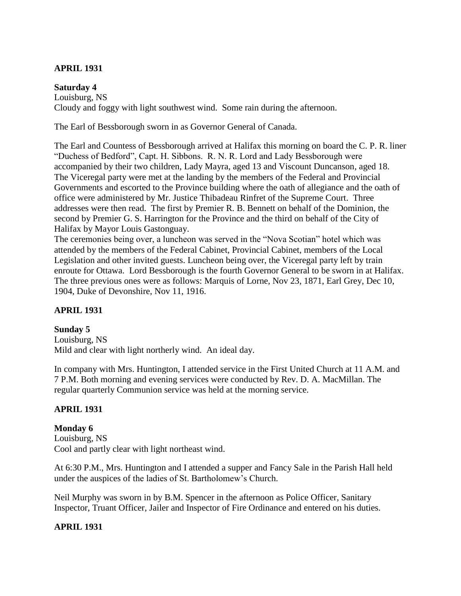### **APRIL 1931**

#### **Saturday 4**

Louisburg, NS Cloudy and foggy with light southwest wind. Some rain during the afternoon.

The Earl of Bessborough sworn in as Governor General of Canada.

The Earl and Countess of Bessborough arrived at Halifax this morning on board the C. P. R. liner "Duchess of Bedford", Capt. H. Sibbons. R. N. R. Lord and Lady Bessborough were accompanied by their two children, Lady Mayra, aged 13 and Viscount Duncanson, aged 18. The Viceregal party were met at the landing by the members of the Federal and Provincial Governments and escorted to the Province building where the oath of allegiance and the oath of office were administered by Mr. Justice Thibadeau Rinfret of the Supreme Court. Three addresses were then read. The first by Premier R. B. Bennett on behalf of the Dominion, the second by Premier G. S. Harrington for the Province and the third on behalf of the City of Halifax by Mayor Louis Gastonguay.

The ceremonies being over, a luncheon was served in the "Nova Scotian" hotel which was attended by the members of the Federal Cabinet, Provincial Cabinet, members of the Local Legislation and other invited guests. Luncheon being over, the Viceregal party left by train enroute for Ottawa. Lord Bessborough is the fourth Governor General to be sworn in at Halifax. The three previous ones were as follows: Marquis of Lorne, Nov 23, 1871, Earl Grey, Dec 10, 1904, Duke of Devonshire, Nov 11, 1916.

#### **APRIL 1931**

#### **Sunday 5**

Louisburg, NS Mild and clear with light northerly wind. An ideal day.

In company with Mrs. Huntington, I attended service in the First United Church at 11 A.M. and 7 P.M. Both morning and evening services were conducted by Rev. D. A. MacMillan. The regular quarterly Communion service was held at the morning service.

#### **APRIL 1931**

**Monday 6** Louisburg, NS Cool and partly clear with light northeast wind.

At 6:30 P.M., Mrs. Huntington and I attended a supper and Fancy Sale in the Parish Hall held under the auspices of the ladies of St. Bartholomew's Church.

Neil Murphy was sworn in by B.M. Spencer in the afternoon as Police Officer, Sanitary Inspector, Truant Officer, Jailer and Inspector of Fire Ordinance and entered on his duties.

#### **APRIL 1931**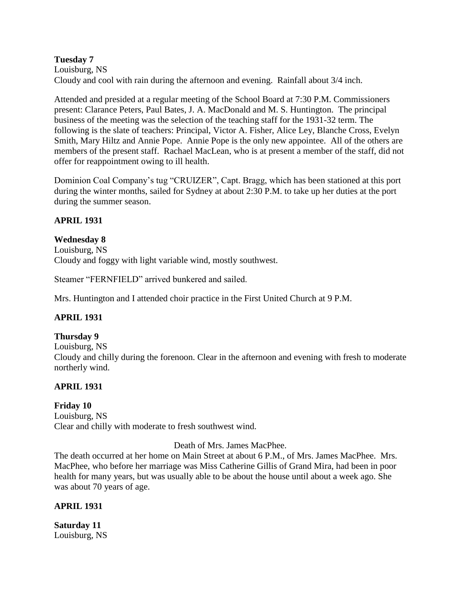#### **Tuesday 7** Louisburg, NS Cloudy and cool with rain during the afternoon and evening. Rainfall about 3/4 inch.

Attended and presided at a regular meeting of the School Board at 7:30 P.M. Commissioners present: Clarance Peters, Paul Bates, J. A. MacDonald and M. S. Huntington. The principal business of the meeting was the selection of the teaching staff for the 1931-32 term. The following is the slate of teachers: Principal, Victor A. Fisher, Alice Ley, Blanche Cross, Evelyn Smith, Mary Hiltz and Annie Pope. Annie Pope is the only new appointee. All of the others are members of the present staff. Rachael MacLean, who is at present a member of the staff, did not offer for reappointment owing to ill health.

Dominion Coal Company's tug "CRUIZER", Capt. Bragg, which has been stationed at this port during the winter months, sailed for Sydney at about 2:30 P.M. to take up her duties at the port during the summer season.

#### **APRIL 1931**

#### **Wednesday 8**

Louisburg, NS Cloudy and foggy with light variable wind, mostly southwest.

Steamer "FERNFIELD" arrived bunkered and sailed.

Mrs. Huntington and I attended choir practice in the First United Church at 9 P.M.

### **APRIL 1931**

**Thursday 9** Louisburg, NS Cloudy and chilly during the forenoon. Clear in the afternoon and evening with fresh to moderate northerly wind.

### **APRIL 1931**

**Friday 10** Louisburg, NS Clear and chilly with moderate to fresh southwest wind.

#### Death of Mrs. James MacPhee.

The death occurred at her home on Main Street at about 6 P.M., of Mrs. James MacPhee. Mrs. MacPhee, who before her marriage was Miss Catherine Gillis of Grand Mira, had been in poor health for many years, but was usually able to be about the house until about a week ago. She was about 70 years of age.

#### **APRIL 1931**

**Saturday 11** Louisburg, NS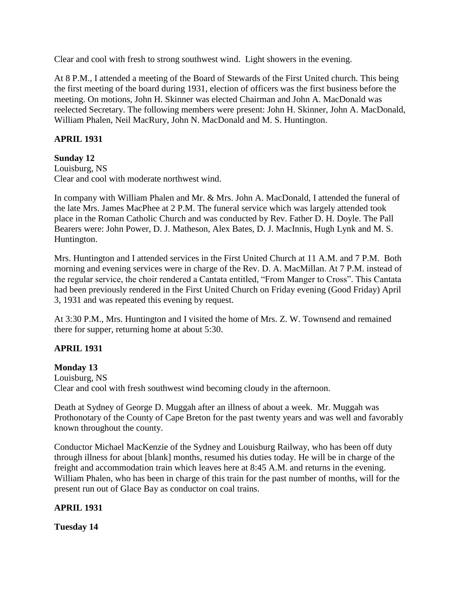Clear and cool with fresh to strong southwest wind. Light showers in the evening.

At 8 P.M., I attended a meeting of the Board of Stewards of the First United church. This being the first meeting of the board during 1931, election of officers was the first business before the meeting. On motions, John H. Skinner was elected Chairman and John A. MacDonald was reelected Secretary. The following members were present: John H. Skinner, John A. MacDonald, William Phalen, Neil MacRury, John N. MacDonald and M. S. Huntington.

# **APRIL 1931**

# **Sunday 12**

Louisburg, NS Clear and cool with moderate northwest wind.

In company with William Phalen and Mr. & Mrs. John A. MacDonald, I attended the funeral of the late Mrs. James MacPhee at 2 P.M. The funeral service which was largely attended took place in the Roman Catholic Church and was conducted by Rev. Father D. H. Doyle. The Pall Bearers were: John Power, D. J. Matheson, Alex Bates, D. J. MacInnis, Hugh Lynk and M. S. Huntington.

Mrs. Huntington and I attended services in the First United Church at 11 A.M. and 7 P.M. Both morning and evening services were in charge of the Rev. D. A. MacMillan. At 7 P.M. instead of the regular service, the choir rendered a Cantata entitled, "From Manger to Cross". This Cantata had been previously rendered in the First United Church on Friday evening (Good Friday) April 3, 1931 and was repeated this evening by request.

At 3:30 P.M., Mrs. Huntington and I visited the home of Mrs. Z. W. Townsend and remained there for supper, returning home at about 5:30.

# **APRIL 1931**

### **Monday 13**

Louisburg, NS Clear and cool with fresh southwest wind becoming cloudy in the afternoon.

Death at Sydney of George D. Muggah after an illness of about a week. Mr. Muggah was Prothonotary of the County of Cape Breton for the past twenty years and was well and favorably known throughout the county.

Conductor Michael MacKenzie of the Sydney and Louisburg Railway, who has been off duty through illness for about [blank] months, resumed his duties today. He will be in charge of the freight and accommodation train which leaves here at 8:45 A.M. and returns in the evening. William Phalen, who has been in charge of this train for the past number of months, will for the present run out of Glace Bay as conductor on coal trains.

### **APRIL 1931**

**Tuesday 14**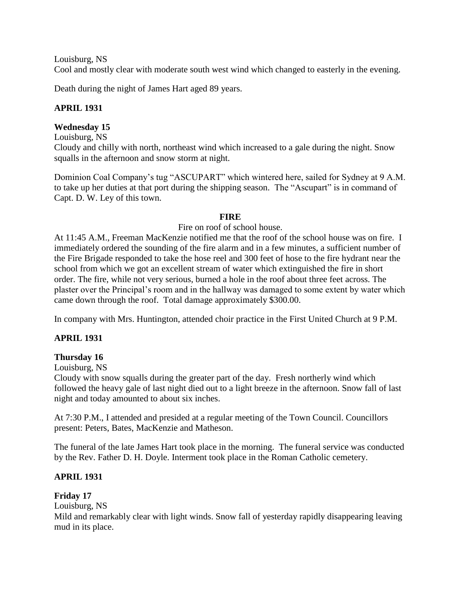Louisburg, NS

Cool and mostly clear with moderate south west wind which changed to easterly in the evening.

Death during the night of James Hart aged 89 years.

# **APRIL 1931**

### **Wednesday 15**

Louisburg, NS

Cloudy and chilly with north, northeast wind which increased to a gale during the night. Snow squalls in the afternoon and snow storm at night.

Dominion Coal Company's tug "ASCUPART" which wintered here, sailed for Sydney at 9 A.M. to take up her duties at that port during the shipping season. The "Ascupart" is in command of Capt. D. W. Ley of this town.

#### **FIRE**

#### Fire on roof of school house.

At 11:45 A.M., Freeman MacKenzie notified me that the roof of the school house was on fire. I immediately ordered the sounding of the fire alarm and in a few minutes, a sufficient number of the Fire Brigade responded to take the hose reel and 300 feet of hose to the fire hydrant near the school from which we got an excellent stream of water which extinguished the fire in short order. The fire, while not very serious, burned a hole in the roof about three feet across. The plaster over the Principal's room and in the hallway was damaged to some extent by water which came down through the roof. Total damage approximately \$300.00.

In company with Mrs. Huntington, attended choir practice in the First United Church at 9 P.M.

### **APRIL 1931**

### **Thursday 16**

Louisburg, NS

Cloudy with snow squalls during the greater part of the day. Fresh northerly wind which followed the heavy gale of last night died out to a light breeze in the afternoon. Snow fall of last night and today amounted to about six inches.

At 7:30 P.M., I attended and presided at a regular meeting of the Town Council. Councillors present: Peters, Bates, MacKenzie and Matheson.

The funeral of the late James Hart took place in the morning. The funeral service was conducted by the Rev. Father D. H. Doyle. Interment took place in the Roman Catholic cemetery.

# **APRIL 1931**

# **Friday 17**

Louisburg, NS

Mild and remarkably clear with light winds. Snow fall of yesterday rapidly disappearing leaving mud in its place.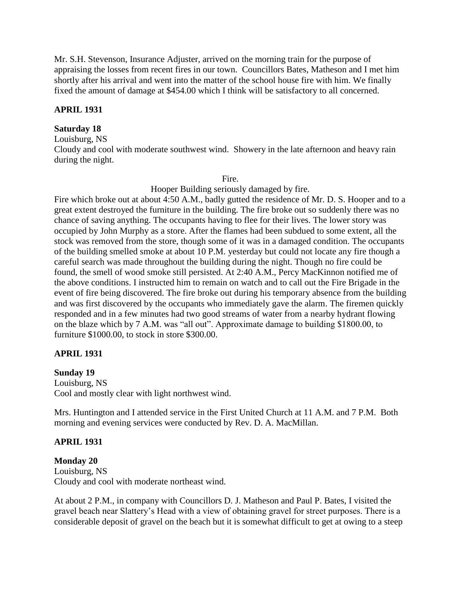Mr. S.H. Stevenson, Insurance Adjuster, arrived on the morning train for the purpose of appraising the losses from recent fires in our town. Councillors Bates, Matheson and I met him shortly after his arrival and went into the matter of the school house fire with him. We finally fixed the amount of damage at \$454.00 which I think will be satisfactory to all concerned.

#### **APRIL 1931**

#### **Saturday 18**

Louisburg, NS

Cloudy and cool with moderate southwest wind. Showery in the late afternoon and heavy rain during the night.

Fire.

Hooper Building seriously damaged by fire.

Fire which broke out at about 4:50 A.M., badly gutted the residence of Mr. D. S. Hooper and to a great extent destroyed the furniture in the building. The fire broke out so suddenly there was no chance of saving anything. The occupants having to flee for their lives. The lower story was occupied by John Murphy as a store. After the flames had been subdued to some extent, all the stock was removed from the store, though some of it was in a damaged condition. The occupants of the building smelled smoke at about 10 P.M. yesterday but could not locate any fire though a careful search was made throughout the building during the night. Though no fire could be found, the smell of wood smoke still persisted. At 2:40 A.M., Percy MacKinnon notified me of the above conditions. I instructed him to remain on watch and to call out the Fire Brigade in the event of fire being discovered. The fire broke out during his temporary absence from the building and was first discovered by the occupants who immediately gave the alarm. The firemen quickly responded and in a few minutes had two good streams of water from a nearby hydrant flowing on the blaze which by 7 A.M. was "all out". Approximate damage to building \$1800.00, to furniture \$1000.00, to stock in store \$300.00.

### **APRIL 1931**

### **Sunday 19**

Louisburg, NS Cool and mostly clear with light northwest wind.

Mrs. Huntington and I attended service in the First United Church at 11 A.M. and 7 P.M. Both morning and evening services were conducted by Rev. D. A. MacMillan.

### **APRIL 1931**

#### **Monday 20**

Louisburg, NS Cloudy and cool with moderate northeast wind.

At about 2 P.M., in company with Councillors D. J. Matheson and Paul P. Bates, I visited the gravel beach near Slattery's Head with a view of obtaining gravel for street purposes. There is a considerable deposit of gravel on the beach but it is somewhat difficult to get at owing to a steep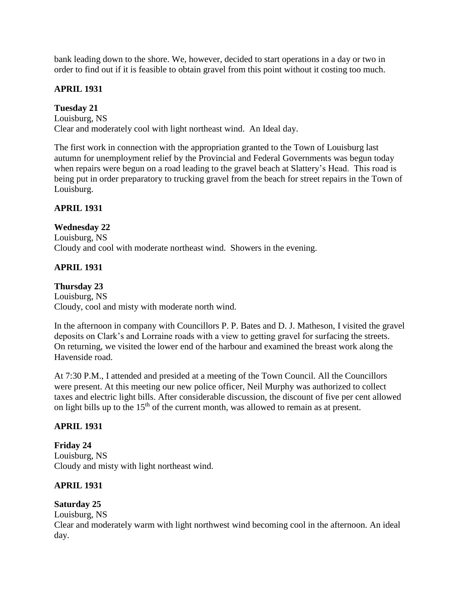bank leading down to the shore. We, however, decided to start operations in a day or two in order to find out if it is feasible to obtain gravel from this point without it costing too much.

# **APRIL 1931**

# **Tuesday 21**

Louisburg, NS Clear and moderately cool with light northeast wind. An Ideal day.

The first work in connection with the appropriation granted to the Town of Louisburg last autumn for unemployment relief by the Provincial and Federal Governments was begun today when repairs were begun on a road leading to the gravel beach at Slattery's Head. This road is being put in order preparatory to trucking gravel from the beach for street repairs in the Town of Louisburg.

### **APRIL 1931**

# **Wednesday 22**

Louisburg, NS Cloudy and cool with moderate northeast wind. Showers in the evening.

# **APRIL 1931**

#### **Thursday 23** Louisburg, NS Cloudy, cool and misty with moderate north wind.

In the afternoon in company with Councillors P. P. Bates and D. J. Matheson, I visited the gravel deposits on Clark's and Lorraine roads with a view to getting gravel for surfacing the streets. On returning, we visited the lower end of the harbour and examined the breast work along the Havenside road.

At 7:30 P.M., I attended and presided at a meeting of the Town Council. All the Councillors were present. At this meeting our new police officer, Neil Murphy was authorized to collect taxes and electric light bills. After considerable discussion, the discount of five per cent allowed on light bills up to the  $15<sup>th</sup>$  of the current month, was allowed to remain as at present.

### **APRIL 1931**

**Friday 24** Louisburg, NS Cloudy and misty with light northeast wind.

# **APRIL 1931**

# **Saturday 25**

Louisburg, NS

Clear and moderately warm with light northwest wind becoming cool in the afternoon. An ideal day.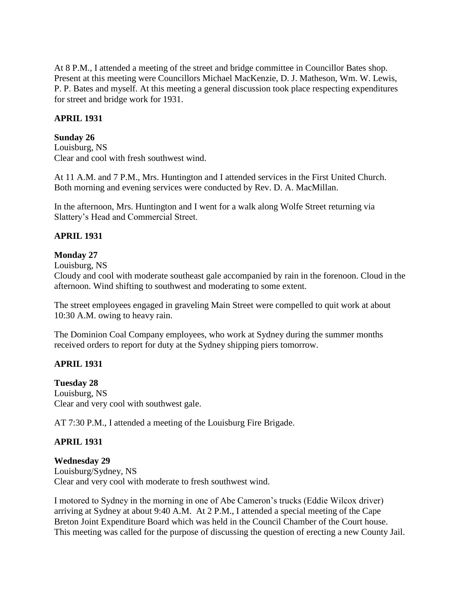At 8 P.M., I attended a meeting of the street and bridge committee in Councillor Bates shop. Present at this meeting were Councillors Michael MacKenzie, D. J. Matheson, Wm. W. Lewis, P. P. Bates and myself. At this meeting a general discussion took place respecting expenditures for street and bridge work for 1931.

### **APRIL 1931**

#### **Sunday 26**

Louisburg, NS Clear and cool with fresh southwest wind.

At 11 A.M. and 7 P.M., Mrs. Huntington and I attended services in the First United Church. Both morning and evening services were conducted by Rev. D. A. MacMillan.

In the afternoon, Mrs. Huntington and I went for a walk along Wolfe Street returning via Slattery's Head and Commercial Street.

### **APRIL 1931**

#### **Monday 27**

Louisburg, NS

Cloudy and cool with moderate southeast gale accompanied by rain in the forenoon. Cloud in the afternoon. Wind shifting to southwest and moderating to some extent.

The street employees engaged in graveling Main Street were compelled to quit work at about 10:30 A.M. owing to heavy rain.

The Dominion Coal Company employees, who work at Sydney during the summer months received orders to report for duty at the Sydney shipping piers tomorrow.

### **APRIL 1931**

**Tuesday 28** Louisburg, NS Clear and very cool with southwest gale.

AT 7:30 P.M., I attended a meeting of the Louisburg Fire Brigade.

### **APRIL 1931**

#### **Wednesday 29**

Louisburg/Sydney, NS Clear and very cool with moderate to fresh southwest wind.

I motored to Sydney in the morning in one of Abe Cameron's trucks (Eddie Wilcox driver) arriving at Sydney at about 9:40 A.M. At 2 P.M., I attended a special meeting of the Cape Breton Joint Expenditure Board which was held in the Council Chamber of the Court house. This meeting was called for the purpose of discussing the question of erecting a new County Jail.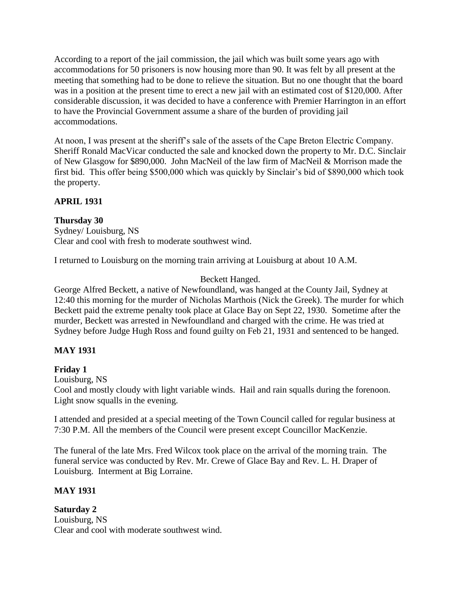According to a report of the jail commission, the jail which was built some years ago with accommodations for 50 prisoners is now housing more than 90. It was felt by all present at the meeting that something had to be done to relieve the situation. But no one thought that the board was in a position at the present time to erect a new jail with an estimated cost of \$120,000. After considerable discussion, it was decided to have a conference with Premier Harrington in an effort to have the Provincial Government assume a share of the burden of providing jail accommodations.

At noon, I was present at the sheriff's sale of the assets of the Cape Breton Electric Company. Sheriff Ronald MacVicar conducted the sale and knocked down the property to Mr. D.C. Sinclair of New Glasgow for \$890,000. John MacNeil of the law firm of MacNeil & Morrison made the first bid. This offer being \$500,000 which was quickly by Sinclair's bid of \$890,000 which took the property.

# **APRIL 1931**

# **Thursday 30**

Sydney/ Louisburg, NS Clear and cool with fresh to moderate southwest wind.

I returned to Louisburg on the morning train arriving at Louisburg at about 10 A.M.

# Beckett Hanged.

George Alfred Beckett, a native of Newfoundland, was hanged at the County Jail, Sydney at 12:40 this morning for the murder of Nicholas Marthois (Nick the Greek). The murder for which Beckett paid the extreme penalty took place at Glace Bay on Sept 22, 1930. Sometime after the murder, Beckett was arrested in Newfoundland and charged with the crime. He was tried at Sydney before Judge Hugh Ross and found guilty on Feb 21, 1931 and sentenced to be hanged.

### **MAY 1931**

# **Friday 1**

Louisburg, NS

Cool and mostly cloudy with light variable winds. Hail and rain squalls during the forenoon. Light snow squalls in the evening.

I attended and presided at a special meeting of the Town Council called for regular business at 7:30 P.M. All the members of the Council were present except Councillor MacKenzie.

The funeral of the late Mrs. Fred Wilcox took place on the arrival of the morning train. The funeral service was conducted by Rev. Mr. Crewe of Glace Bay and Rev. L. H. Draper of Louisburg. Interment at Big Lorraine.

### **MAY 1931**

**Saturday 2** Louisburg, NS Clear and cool with moderate southwest wind.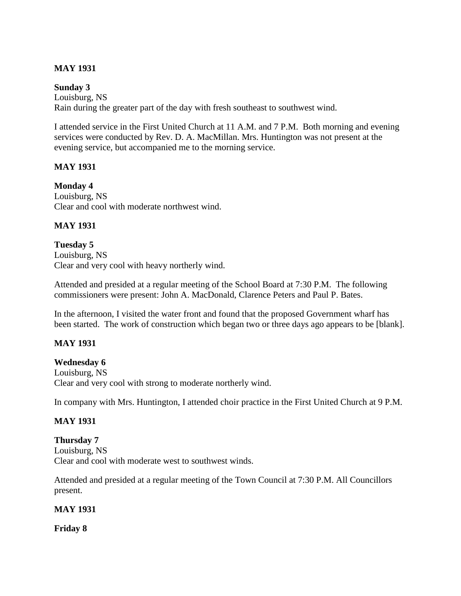# **MAY 1931**

### **Sunday 3**

Louisburg, NS Rain during the greater part of the day with fresh southeast to southwest wind.

I attended service in the First United Church at 11 A.M. and 7 P.M. Both morning and evening services were conducted by Rev. D. A. MacMillan. Mrs. Huntington was not present at the evening service, but accompanied me to the morning service.

# **MAY 1931**

**Monday 4** Louisburg, NS Clear and cool with moderate northwest wind.

# **MAY 1931**

**Tuesday 5** Louisburg, NS Clear and very cool with heavy northerly wind.

Attended and presided at a regular meeting of the School Board at 7:30 P.M. The following commissioners were present: John A. MacDonald, Clarence Peters and Paul P. Bates.

In the afternoon, I visited the water front and found that the proposed Government wharf has been started. The work of construction which began two or three days ago appears to be [blank].

# **MAY 1931**

### **Wednesday 6**

Louisburg, NS Clear and very cool with strong to moderate northerly wind.

In company with Mrs. Huntington, I attended choir practice in the First United Church at 9 P.M.

### **MAY 1931**

**Thursday 7** Louisburg, NS Clear and cool with moderate west to southwest winds.

Attended and presided at a regular meeting of the Town Council at 7:30 P.M. All Councillors present.

### **MAY 1931**

**Friday 8**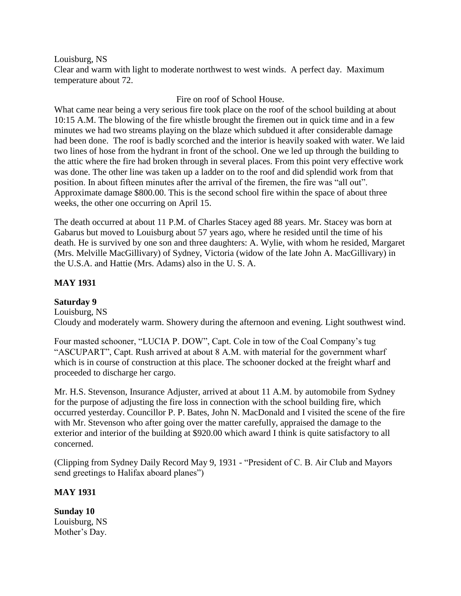### Louisburg, NS

Clear and warm with light to moderate northwest to west winds. A perfect day. Maximum temperature about 72.

Fire on roof of School House.

What came near being a very serious fire took place on the roof of the school building at about 10:15 A.M. The blowing of the fire whistle brought the firemen out in quick time and in a few minutes we had two streams playing on the blaze which subdued it after considerable damage had been done. The roof is badly scorched and the interior is heavily soaked with water. We laid two lines of hose from the hydrant in front of the school. One we led up through the building to the attic where the fire had broken through in several places. From this point very effective work was done. The other line was taken up a ladder on to the roof and did splendid work from that position. In about fifteen minutes after the arrival of the firemen, the fire was "all out". Approximate damage \$800.00. This is the second school fire within the space of about three weeks, the other one occurring on April 15.

The death occurred at about 11 P.M. of Charles Stacey aged 88 years. Mr. Stacey was born at Gabarus but moved to Louisburg about 57 years ago, where he resided until the time of his death. He is survived by one son and three daughters: A. Wylie, with whom he resided, Margaret (Mrs. Melville MacGillivary) of Sydney, Victoria (widow of the late John A. MacGillivary) in the U.S.A. and Hattie (Mrs. Adams) also in the U. S. A.

### **MAY 1931**

### **Saturday 9**

Louisburg, NS Cloudy and moderately warm. Showery during the afternoon and evening. Light southwest wind.

Four masted schooner, "LUCIA P. DOW", Capt. Cole in tow of the Coal Company's tug "ASCUPART", Capt. Rush arrived at about 8 A.M. with material for the government wharf which is in course of construction at this place. The schooner docked at the freight wharf and proceeded to discharge her cargo.

Mr. H.S. Stevenson, Insurance Adjuster, arrived at about 11 A.M. by automobile from Sydney for the purpose of adjusting the fire loss in connection with the school building fire, which occurred yesterday. Councillor P. P. Bates, John N. MacDonald and I visited the scene of the fire with Mr. Stevenson who after going over the matter carefully, appraised the damage to the exterior and interior of the building at \$920.00 which award I think is quite satisfactory to all concerned.

(Clipping from Sydney Daily Record May 9, 1931 - "President of C. B. Air Club and Mayors send greetings to Halifax aboard planes")

### **MAY 1931**

**Sunday 10** Louisburg, NS Mother's Day.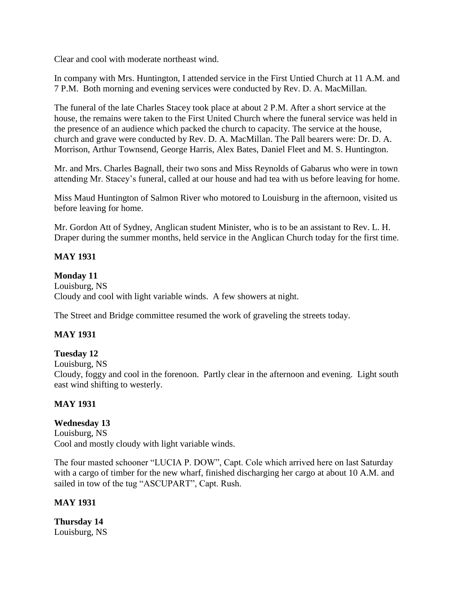Clear and cool with moderate northeast wind.

In company with Mrs. Huntington, I attended service in the First Untied Church at 11 A.M. and 7 P.M. Both morning and evening services were conducted by Rev. D. A. MacMillan.

The funeral of the late Charles Stacey took place at about 2 P.M. After a short service at the house, the remains were taken to the First United Church where the funeral service was held in the presence of an audience which packed the church to capacity. The service at the house, church and grave were conducted by Rev. D. A. MacMillan. The Pall bearers were: Dr. D. A. Morrison, Arthur Townsend, George Harris, Alex Bates, Daniel Fleet and M. S. Huntington.

Mr. and Mrs. Charles Bagnall, their two sons and Miss Reynolds of Gabarus who were in town attending Mr. Stacey's funeral, called at our house and had tea with us before leaving for home.

Miss Maud Huntington of Salmon River who motored to Louisburg in the afternoon, visited us before leaving for home.

Mr. Gordon Att of Sydney, Anglican student Minister, who is to be an assistant to Rev. L. H. Draper during the summer months, held service in the Anglican Church today for the first time.

# **MAY 1931**

### **Monday 11**

Louisburg, NS Cloudy and cool with light variable winds. A few showers at night.

The Street and Bridge committee resumed the work of graveling the streets today.

### **MAY 1931**

### **Tuesday 12**

Louisburg, NS

Cloudy, foggy and cool in the forenoon. Partly clear in the afternoon and evening. Light south east wind shifting to westerly.

### **MAY 1931**

# **Wednesday 13**

Louisburg, NS Cool and mostly cloudy with light variable winds.

The four masted schooner "LUCIA P. DOW", Capt. Cole which arrived here on last Saturday with a cargo of timber for the new wharf, finished discharging her cargo at about 10 A.M. and sailed in tow of the tug "ASCUPART", Capt. Rush.

### **MAY 1931**

**Thursday 14** Louisburg, NS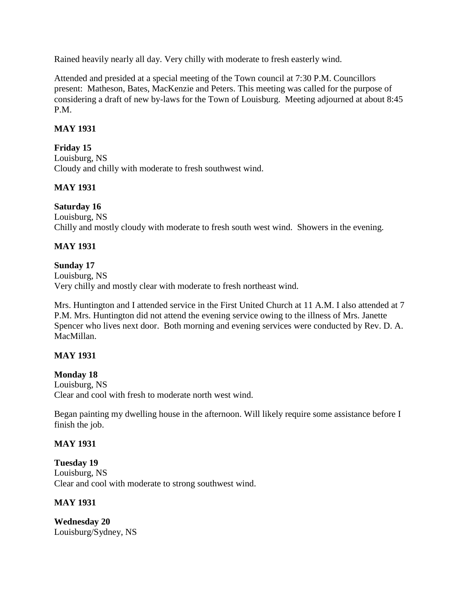Rained heavily nearly all day. Very chilly with moderate to fresh easterly wind.

Attended and presided at a special meeting of the Town council at 7:30 P.M. Councillors present: Matheson, Bates, MacKenzie and Peters. This meeting was called for the purpose of considering a draft of new by-laws for the Town of Louisburg. Meeting adjourned at about 8:45 P.M.

# **MAY 1931**

# **Friday 15**

Louisburg, NS Cloudy and chilly with moderate to fresh southwest wind.

### **MAY 1931**

### **Saturday 16**

Louisburg, NS Chilly and mostly cloudy with moderate to fresh south west wind. Showers in the evening.

### **MAY 1931**

### **Sunday 17**

Louisburg, NS Very chilly and mostly clear with moderate to fresh northeast wind.

Mrs. Huntington and I attended service in the First United Church at 11 A.M. I also attended at 7 P.M. Mrs. Huntington did not attend the evening service owing to the illness of Mrs. Janette Spencer who lives next door. Both morning and evening services were conducted by Rev. D. A. MacMillan.

### **MAY 1931**

### **Monday 18**

Louisburg, NS Clear and cool with fresh to moderate north west wind.

Began painting my dwelling house in the afternoon. Will likely require some assistance before I finish the job.

### **MAY 1931**

**Tuesday 19** Louisburg, NS Clear and cool with moderate to strong southwest wind.

### **MAY 1931**

**Wednesday 20** Louisburg/Sydney, NS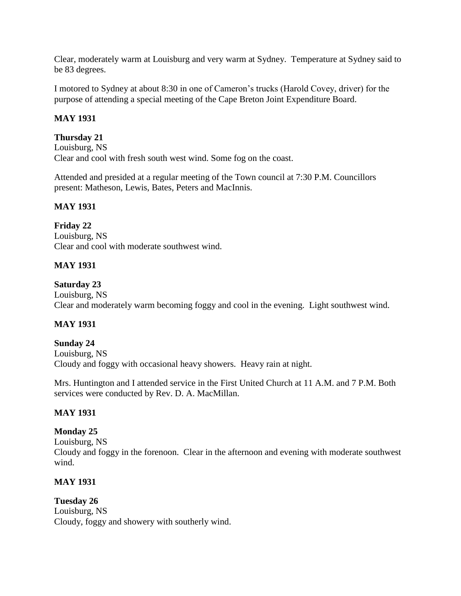Clear, moderately warm at Louisburg and very warm at Sydney. Temperature at Sydney said to be 83 degrees.

I motored to Sydney at about 8:30 in one of Cameron's trucks (Harold Covey, driver) for the purpose of attending a special meeting of the Cape Breton Joint Expenditure Board.

# **MAY 1931**

# **Thursday 21**

Louisburg, NS Clear and cool with fresh south west wind. Some fog on the coast.

Attended and presided at a regular meeting of the Town council at 7:30 P.M. Councillors present: Matheson, Lewis, Bates, Peters and MacInnis.

### **MAY 1931**

**Friday 22** Louisburg, NS Clear and cool with moderate southwest wind.

# **MAY 1931**

### **Saturday 23**

Louisburg, NS Clear and moderately warm becoming foggy and cool in the evening. Light southwest wind.

# **MAY 1931**

#### **Sunday 24** Louisburg, NS Cloudy and foggy with occasional heavy showers. Heavy rain at night.

Mrs. Huntington and I attended service in the First United Church at 11 A.M. and 7 P.M. Both services were conducted by Rev. D. A. MacMillan.

### **MAY 1931**

### **Monday 25**

Louisburg, NS Cloudy and foggy in the forenoon. Clear in the afternoon and evening with moderate southwest wind.

### **MAY 1931**

# **Tuesday 26**

Louisburg, NS Cloudy, foggy and showery with southerly wind.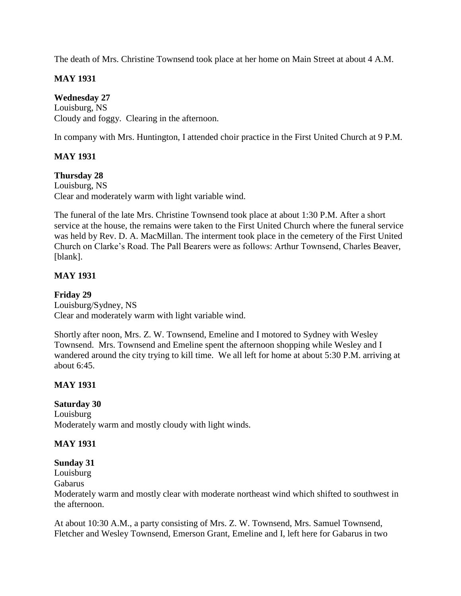The death of Mrs. Christine Townsend took place at her home on Main Street at about 4 A.M.

# **MAY 1931**

# **Wednesday 27**

Louisburg, NS Cloudy and foggy. Clearing in the afternoon.

In company with Mrs. Huntington, I attended choir practice in the First United Church at 9 P.M.

# **MAY 1931**

# **Thursday 28**

Louisburg, NS Clear and moderately warm with light variable wind.

The funeral of the late Mrs. Christine Townsend took place at about 1:30 P.M. After a short service at the house, the remains were taken to the First United Church where the funeral service was held by Rev. D. A. MacMillan. The interment took place in the cemetery of the First United Church on Clarke's Road. The Pall Bearers were as follows: Arthur Townsend, Charles Beaver, [blank].

# **MAY 1931**

# **Friday 29**

Louisburg/Sydney, NS Clear and moderately warm with light variable wind.

Shortly after noon, Mrs. Z. W. Townsend, Emeline and I motored to Sydney with Wesley Townsend. Mrs. Townsend and Emeline spent the afternoon shopping while Wesley and I wandered around the city trying to kill time. We all left for home at about 5:30 P.M. arriving at about 6:45.

# **MAY 1931**

### **Saturday 30**

Louisburg Moderately warm and mostly cloudy with light winds.

### **MAY 1931**

### **Sunday 31**

Louisburg

Gabarus

Moderately warm and mostly clear with moderate northeast wind which shifted to southwest in the afternoon.

At about 10:30 A.M., a party consisting of Mrs. Z. W. Townsend, Mrs. Samuel Townsend, Fletcher and Wesley Townsend, Emerson Grant, Emeline and I, left here for Gabarus in two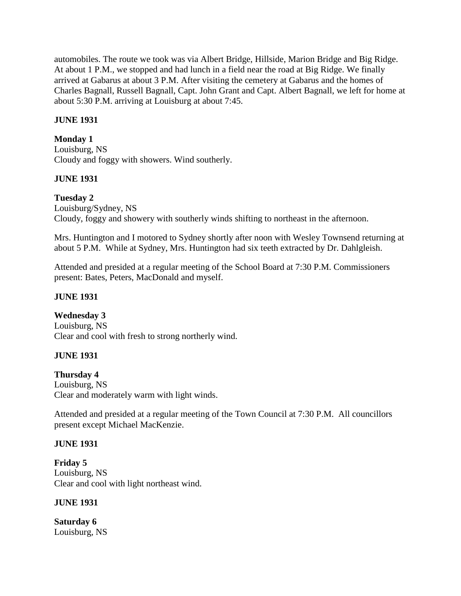automobiles. The route we took was via Albert Bridge, Hillside, Marion Bridge and Big Ridge. At about 1 P.M., we stopped and had lunch in a field near the road at Big Ridge. We finally arrived at Gabarus at about 3 P.M. After visiting the cemetery at Gabarus and the homes of Charles Bagnall, Russell Bagnall, Capt. John Grant and Capt. Albert Bagnall, we left for home at about 5:30 P.M. arriving at Louisburg at about 7:45.

# **JUNE 1931**

# **Monday 1**

Louisburg, NS Cloudy and foggy with showers. Wind southerly.

# **JUNE 1931**

# **Tuesday 2**

Louisburg/Sydney, NS Cloudy, foggy and showery with southerly winds shifting to northeast in the afternoon.

Mrs. Huntington and I motored to Sydney shortly after noon with Wesley Townsend returning at about 5 P.M. While at Sydney, Mrs. Huntington had six teeth extracted by Dr. Dahlgleish.

Attended and presided at a regular meeting of the School Board at 7:30 P.M. Commissioners present: Bates, Peters, MacDonald and myself.

### **JUNE 1931**

### **Wednesday 3**

Louisburg, NS Clear and cool with fresh to strong northerly wind.

### **JUNE 1931**

# **Thursday 4** Louisburg, NS

Clear and moderately warm with light winds.

Attended and presided at a regular meeting of the Town Council at 7:30 P.M. All councillors present except Michael MacKenzie.

### **JUNE 1931**

**Friday 5** Louisburg, NS Clear and cool with light northeast wind.

### **JUNE 1931**

**Saturday 6** Louisburg, NS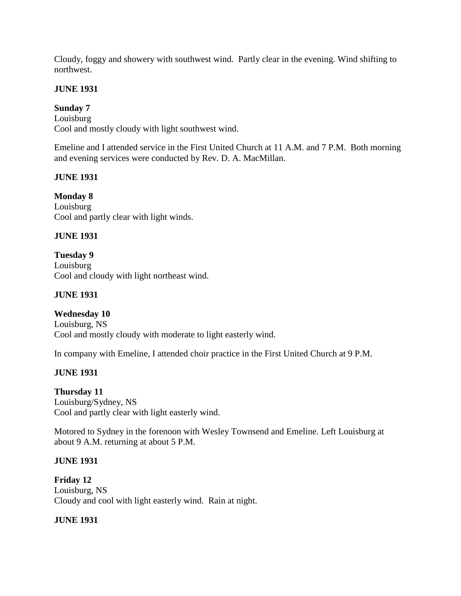Cloudy, foggy and showery with southwest wind. Partly clear in the evening. Wind shifting to northwest.

### **JUNE 1931**

### **Sunday 7**

Louisburg Cool and mostly cloudy with light southwest wind.

Emeline and I attended service in the First United Church at 11 A.M. and 7 P.M. Both morning and evening services were conducted by Rev. D. A. MacMillan.

### **JUNE 1931**

**Monday 8** Louisburg Cool and partly clear with light winds.

### **JUNE 1931**

**Tuesday 9** Louisburg Cool and cloudy with light northeast wind.

### **JUNE 1931**

### **Wednesday 10**

Louisburg, NS Cool and mostly cloudy with moderate to light easterly wind.

In company with Emeline, I attended choir practice in the First United Church at 9 P.M.

### **JUNE 1931**

**Thursday 11** Louisburg/Sydney, NS Cool and partly clear with light easterly wind.

Motored to Sydney in the forenoon with Wesley Townsend and Emeline. Left Louisburg at about 9 A.M. returning at about 5 P.M.

### **JUNE 1931**

**Friday 12** Louisburg, NS Cloudy and cool with light easterly wind. Rain at night.

### **JUNE 1931**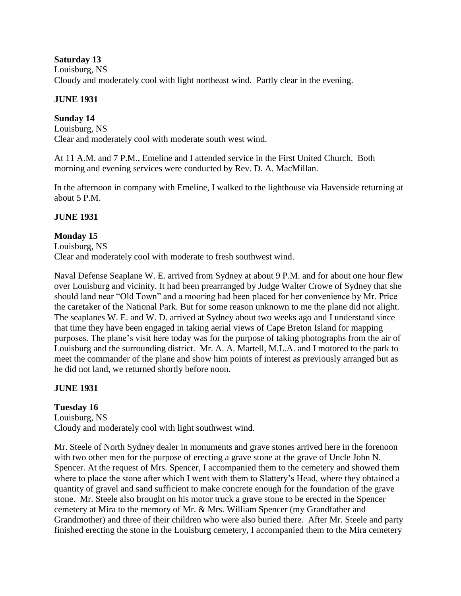### **Saturday 13**

Louisburg, NS Cloudy and moderately cool with light northeast wind. Partly clear in the evening.

# **JUNE 1931**

# **Sunday 14**

Louisburg, NS Clear and moderately cool with moderate south west wind.

At 11 A.M. and 7 P.M., Emeline and I attended service in the First United Church. Both morning and evening services were conducted by Rev. D. A. MacMillan.

In the afternoon in company with Emeline, I walked to the lighthouse via Havenside returning at about 5 P.M.

# **JUNE 1931**

# **Monday 15**

Louisburg, NS Clear and moderately cool with moderate to fresh southwest wind.

Naval Defense Seaplane W. E. arrived from Sydney at about 9 P.M. and for about one hour flew over Louisburg and vicinity. It had been prearranged by Judge Walter Crowe of Sydney that she should land near "Old Town" and a mooring had been placed for her convenience by Mr. Price the caretaker of the National Park. But for some reason unknown to me the plane did not alight. The seaplanes W. E. and W. D. arrived at Sydney about two weeks ago and I understand since that time they have been engaged in taking aerial views of Cape Breton Island for mapping purposes. The plane's visit here today was for the purpose of taking photographs from the air of Louisburg and the surrounding district. Mr. A. A. Martell, M.L.A. and I motored to the park to meet the commander of the plane and show him points of interest as previously arranged but as he did not land, we returned shortly before noon.

### **JUNE 1931**

# **Tuesday 16**

Louisburg, NS Cloudy and moderately cool with light southwest wind.

Mr. Steele of North Sydney dealer in monuments and grave stones arrived here in the forenoon with two other men for the purpose of erecting a grave stone at the grave of Uncle John N. Spencer. At the request of Mrs. Spencer, I accompanied them to the cemetery and showed them where to place the stone after which I went with them to Slattery's Head, where they obtained a quantity of gravel and sand sufficient to make concrete enough for the foundation of the grave stone. Mr. Steele also brought on his motor truck a grave stone to be erected in the Spencer cemetery at Mira to the memory of Mr. & Mrs. William Spencer (my Grandfather and Grandmother) and three of their children who were also buried there. After Mr. Steele and party finished erecting the stone in the Louisburg cemetery, I accompanied them to the Mira cemetery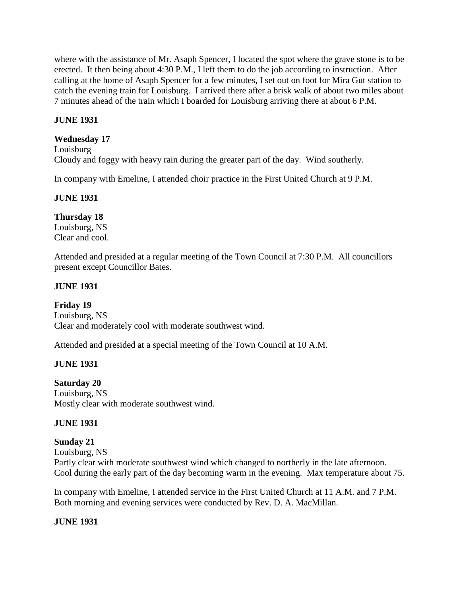where with the assistance of Mr. Asaph Spencer, I located the spot where the grave stone is to be erected. It then being about 4:30 P.M., I left them to do the job according to instruction. After calling at the home of Asaph Spencer for a few minutes, I set out on foot for Mira Gut station to catch the evening train for Louisburg. I arrived there after a brisk walk of about two miles about 7 minutes ahead of the train which I boarded for Louisburg arriving there at about 6 P.M.

### **JUNE 1931**

### **Wednesday 17**

Louisburg Cloudy and foggy with heavy rain during the greater part of the day. Wind southerly.

In company with Emeline, I attended choir practice in the First United Church at 9 P.M.

#### **JUNE 1931**

**Thursday 18** Louisburg, NS Clear and cool.

Attended and presided at a regular meeting of the Town Council at 7:30 P.M. All councillors present except Councillor Bates.

### **JUNE 1931**

**Friday 19** Louisburg, NS Clear and moderately cool with moderate southwest wind.

Attended and presided at a special meeting of the Town Council at 10 A.M.

### **JUNE 1931**

**Saturday 20** Louisburg, NS

Mostly clear with moderate southwest wind.

### **JUNE 1931**

**Sunday 21** Louisburg, NS Partly clear with moderate southwest wind which changed to northerly in the late afternoon. Cool during the early part of the day becoming warm in the evening. Max temperature about 75.

In company with Emeline, I attended service in the First United Church at 11 A.M. and 7 P.M. Both morning and evening services were conducted by Rev. D. A. MacMillan.

### **JUNE 1931**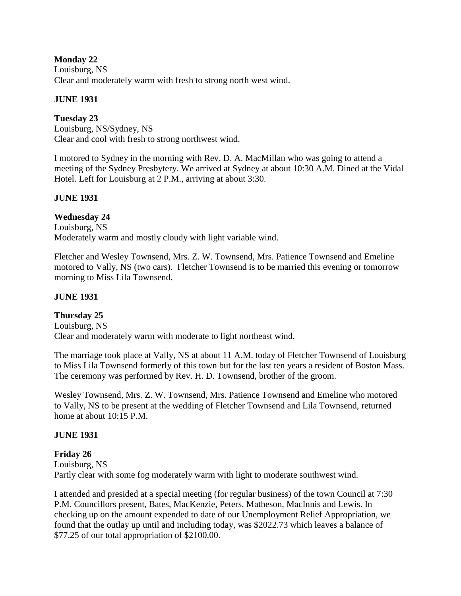### **Monday 22**

Louisburg, NS Clear and moderately warm with fresh to strong north west wind.

### **JUNE 1931**

**Tuesday 23** Louisburg, NS/Sydney, NS Clear and cool with fresh to strong northwest wind.

I motored to Sydney in the morning with Rev. D. A. MacMillan who was going to attend a meeting of the Sydney Presbytery. We arrived at Sydney at about 10:30 A.M. Dined at the Vidal Hotel. Left for Louisburg at 2 P.M., arriving at about 3:30.

### **JUNE 1931**

# **Wednesday 24**

Louisburg, NS Moderately warm and mostly cloudy with light variable wind.

Fletcher and Wesley Townsend, Mrs. Z. W. Townsend, Mrs. Patience Townsend and Emeline motored to Vally, NS (two cars). Fletcher Townsend is to be married this evening or tomorrow morning to Miss Lila Townsend.

### **JUNE 1931**

### **Thursday 25**

Louisburg, NS Clear and moderately warm with moderate to light northeast wind.

The marriage took place at Vally, NS at about 11 A.M. today of Fletcher Townsend of Louisburg to Miss Lila Townsend formerly of this town but for the last ten years a resident of Boston Mass. The ceremony was performed by Rev. H. D. Townsend, brother of the groom.

Wesley Townsend, Mrs. Z. W. Townsend, Mrs. Patience Townsend and Emeline who motored to Vally, NS to be present at the wedding of Fletcher Townsend and Lila Townsend, returned home at about 10:15 P.M.

### **JUNE 1931**

### **Friday 26**

Louisburg, NS Partly clear with some fog moderately warm with light to moderate southwest wind.

I attended and presided at a special meeting (for regular business) of the town Council at 7:30 P.M. Councillors present, Bates, MacKenzie, Peters, Matheson, MacInnis and Lewis. In checking up on the amount expended to date of our Unemployment Relief Appropriation, we found that the outlay up until and including today, was \$2022.73 which leaves a balance of \$77.25 of our total appropriation of \$2100.00.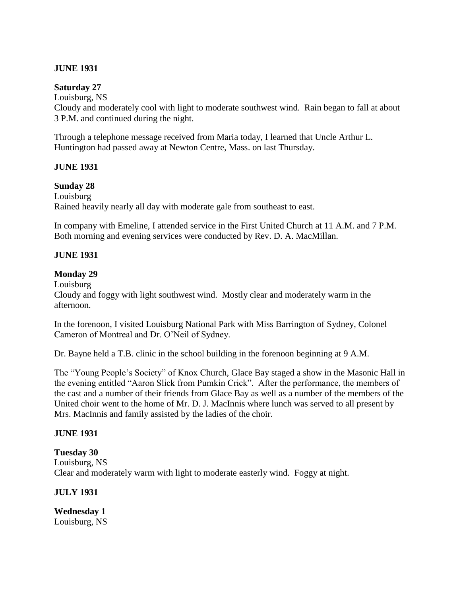### **JUNE 1931**

### **Saturday 27**

Louisburg, NS Cloudy and moderately cool with light to moderate southwest wind. Rain began to fall at about 3 P.M. and continued during the night.

Through a telephone message received from Maria today, I learned that Uncle Arthur L. Huntington had passed away at Newton Centre, Mass. on last Thursday.

### **JUNE 1931**

# **Sunday 28**

Louisburg Rained heavily nearly all day with moderate gale from southeast to east.

In company with Emeline, I attended service in the First United Church at 11 A.M. and 7 P.M. Both morning and evening services were conducted by Rev. D. A. MacMillan.

### **JUNE 1931**

### **Monday 29**

Louisburg

Cloudy and foggy with light southwest wind. Mostly clear and moderately warm in the afternoon.

In the forenoon, I visited Louisburg National Park with Miss Barrington of Sydney, Colonel Cameron of Montreal and Dr. O'Neil of Sydney.

Dr. Bayne held a T.B. clinic in the school building in the forenoon beginning at 9 A.M.

The "Young People's Society" of Knox Church, Glace Bay staged a show in the Masonic Hall in the evening entitled "Aaron Slick from Pumkin Crick". After the performance, the members of the cast and a number of their friends from Glace Bay as well as a number of the members of the United choir went to the home of Mr. D. J. MacInnis where lunch was served to all present by Mrs. MacInnis and family assisted by the ladies of the choir.

### **JUNE 1931**

### **Tuesday 30**

Louisburg, NS Clear and moderately warm with light to moderate easterly wind. Foggy at night.

### **JULY 1931**

**Wednesday 1** Louisburg, NS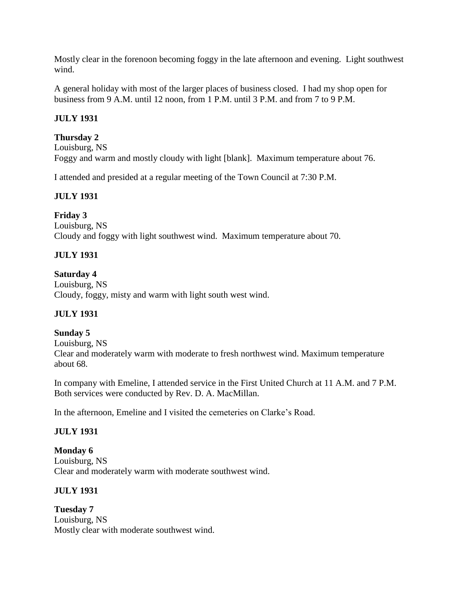Mostly clear in the forenoon becoming foggy in the late afternoon and evening. Light southwest wind.

A general holiday with most of the larger places of business closed. I had my shop open for business from 9 A.M. until 12 noon, from 1 P.M. until 3 P.M. and from 7 to 9 P.M.

# **JULY 1931**

# **Thursday 2**

Louisburg, NS Foggy and warm and mostly cloudy with light [blank]. Maximum temperature about 76.

I attended and presided at a regular meeting of the Town Council at 7:30 P.M.

### **JULY 1931**

### **Friday 3**

Louisburg, NS Cloudy and foggy with light southwest wind. Maximum temperature about 70.

# **JULY 1931**

### **Saturday 4**

Louisburg, NS Cloudy, foggy, misty and warm with light south west wind.

# **JULY 1931**

### **Sunday 5**

Louisburg, NS

Clear and moderately warm with moderate to fresh northwest wind. Maximum temperature about 68.

In company with Emeline, I attended service in the First United Church at 11 A.M. and 7 P.M. Both services were conducted by Rev. D. A. MacMillan.

In the afternoon, Emeline and I visited the cemeteries on Clarke's Road.

### **JULY 1931**

**Monday 6** Louisburg, NS Clear and moderately warm with moderate southwest wind.

### **JULY 1931**

**Tuesday 7** Louisburg, NS Mostly clear with moderate southwest wind.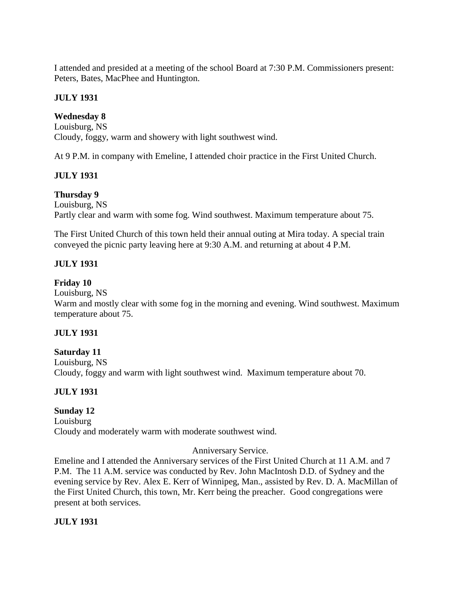I attended and presided at a meeting of the school Board at 7:30 P.M. Commissioners present: Peters, Bates, MacPhee and Huntington.

### **JULY 1931**

### **Wednesday 8**

Louisburg, NS Cloudy, foggy, warm and showery with light southwest wind.

At 9 P.M. in company with Emeline, I attended choir practice in the First United Church.

### **JULY 1931**

# **Thursday 9**

Louisburg, NS Partly clear and warm with some fog. Wind southwest. Maximum temperature about 75.

The First United Church of this town held their annual outing at Mira today. A special train conveyed the picnic party leaving here at 9:30 A.M. and returning at about 4 P.M.

### **JULY 1931**

### **Friday 10**

Louisburg, NS

Warm and mostly clear with some fog in the morning and evening. Wind southwest. Maximum temperature about 75.

### **JULY 1931**

### **Saturday 11**

Louisburg, NS Cloudy, foggy and warm with light southwest wind. Maximum temperature about 70.

### **JULY 1931**

### **Sunday 12**

Louisburg Cloudy and moderately warm with moderate southwest wind.

### Anniversary Service.

Emeline and I attended the Anniversary services of the First United Church at 11 A.M. and 7 P.M. The 11 A.M. service was conducted by Rev. John MacIntosh D.D. of Sydney and the evening service by Rev. Alex E. Kerr of Winnipeg, Man., assisted by Rev. D. A. MacMillan of the First United Church, this town, Mr. Kerr being the preacher. Good congregations were present at both services.

### **JULY 1931**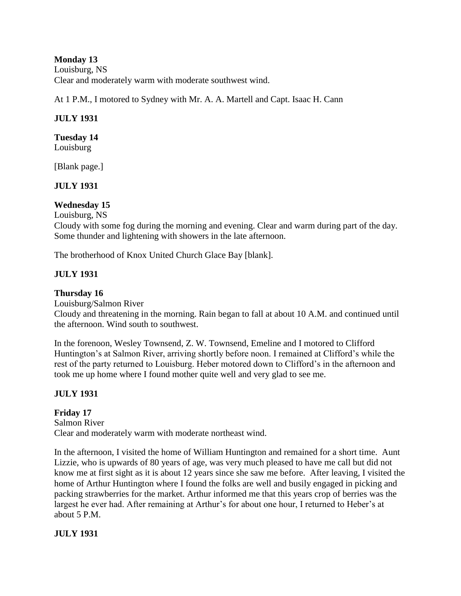**Monday 13** Louisburg, NS Clear and moderately warm with moderate southwest wind.

At 1 P.M., I motored to Sydney with Mr. A. A. Martell and Capt. Isaac H. Cann

# **JULY 1931**

# **Tuesday 14**

Louisburg

[Blank page.]

### **JULY 1931**

### **Wednesday 15**

Louisburg, NS

Cloudy with some fog during the morning and evening. Clear and warm during part of the day. Some thunder and lightening with showers in the late afternoon.

The brotherhood of Knox United Church Glace Bay [blank].

# **JULY 1931**

# **Thursday 16**

Louisburg/Salmon River

Cloudy and threatening in the morning. Rain began to fall at about 10 A.M. and continued until the afternoon. Wind south to southwest.

In the forenoon, Wesley Townsend, Z. W. Townsend, Emeline and I motored to Clifford Huntington's at Salmon River, arriving shortly before noon. I remained at Clifford's while the rest of the party returned to Louisburg. Heber motored down to Clifford's in the afternoon and took me up home where I found mother quite well and very glad to see me.

# **JULY 1931**

**Friday 17** Salmon River Clear and moderately warm with moderate northeast wind.

In the afternoon, I visited the home of William Huntington and remained for a short time. Aunt Lizzie, who is upwards of 80 years of age, was very much pleased to have me call but did not know me at first sight as it is about 12 years since she saw me before. After leaving, I visited the home of Arthur Huntington where I found the folks are well and busily engaged in picking and packing strawberries for the market. Arthur informed me that this years crop of berries was the largest he ever had. After remaining at Arthur's for about one hour, I returned to Heber's at about 5 P.M.

### **JULY 1931**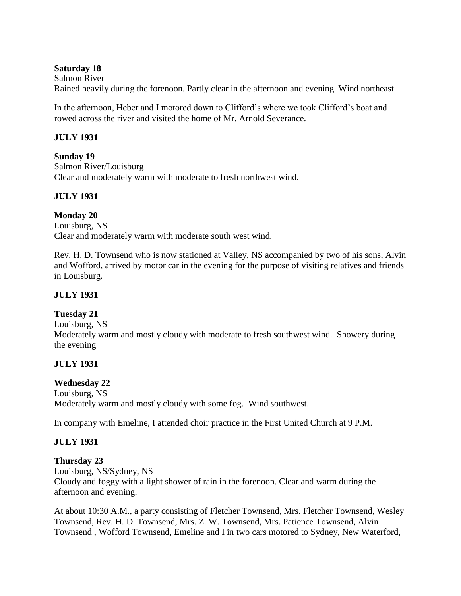### **Saturday 18**

Salmon River Rained heavily during the forenoon. Partly clear in the afternoon and evening. Wind northeast.

In the afternoon, Heber and I motored down to Clifford's where we took Clifford's boat and rowed across the river and visited the home of Mr. Arnold Severance.

# **JULY 1931**

### **Sunday 19**

Salmon River/Louisburg Clear and moderately warm with moderate to fresh northwest wind.

# **JULY 1931**

# **Monday 20**

Louisburg, NS Clear and moderately warm with moderate south west wind.

Rev. H. D. Townsend who is now stationed at Valley, NS accompanied by two of his sons, Alvin and Wofford, arrived by motor car in the evening for the purpose of visiting relatives and friends in Louisburg.

# **JULY 1931**

### **Tuesday 21**

Louisburg, NS Moderately warm and mostly cloudy with moderate to fresh southwest wind. Showery during the evening

# **JULY 1931**

### **Wednesday 22**

Louisburg, NS Moderately warm and mostly cloudy with some fog. Wind southwest.

In company with Emeline, I attended choir practice in the First United Church at 9 P.M.

# **JULY 1931**

### **Thursday 23**

Louisburg, NS/Sydney, NS Cloudy and foggy with a light shower of rain in the forenoon. Clear and warm during the afternoon and evening.

At about 10:30 A.M., a party consisting of Fletcher Townsend, Mrs. Fletcher Townsend, Wesley Townsend, Rev. H. D. Townsend, Mrs. Z. W. Townsend, Mrs. Patience Townsend, Alvin Townsend , Wofford Townsend, Emeline and I in two cars motored to Sydney, New Waterford,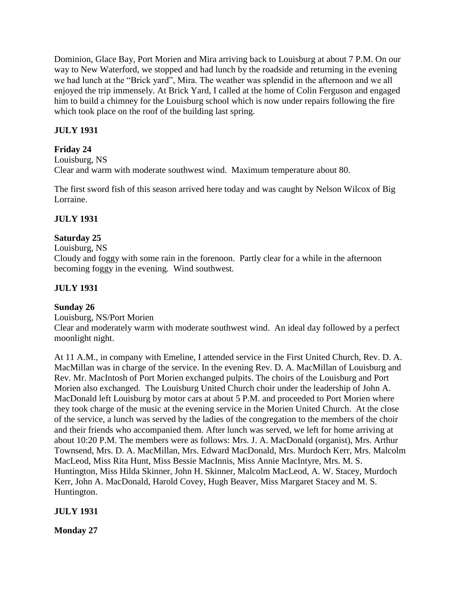Dominion, Glace Bay, Port Morien and Mira arriving back to Louisburg at about 7 P.M. On our way to New Waterford, we stopped and had lunch by the roadside and returning in the evening we had lunch at the "Brick yard", Mira. The weather was splendid in the afternoon and we all enjoyed the trip immensely. At Brick Yard, I called at the home of Colin Ferguson and engaged him to build a chimney for the Louisburg school which is now under repairs following the fire which took place on the roof of the building last spring.

# **JULY 1931**

# **Friday 24**

Louisburg, NS Clear and warm with moderate southwest wind. Maximum temperature about 80.

The first sword fish of this season arrived here today and was caught by Nelson Wilcox of Big Lorraine.

# **JULY 1931**

# **Saturday 25**

Louisburg, NS

Cloudy and foggy with some rain in the forenoon. Partly clear for a while in the afternoon becoming foggy in the evening. Wind southwest.

# **JULY 1931**

### **Sunday 26**

Louisburg, NS/Port Morien

Clear and moderately warm with moderate southwest wind. An ideal day followed by a perfect moonlight night.

At 11 A.M., in company with Emeline, I attended service in the First United Church, Rev. D. A. MacMillan was in charge of the service. In the evening Rev. D. A. MacMillan of Louisburg and Rev. Mr. MacIntosh of Port Morien exchanged pulpits. The choirs of the Louisburg and Port Morien also exchanged. The Louisburg United Church choir under the leadership of John A. MacDonald left Louisburg by motor cars at about 5 P.M. and proceeded to Port Morien where they took charge of the music at the evening service in the Morien United Church. At the close of the service, a lunch was served by the ladies of the congregation to the members of the choir and their friends who accompanied them. After lunch was served, we left for home arriving at about 10:20 P.M. The members were as follows: Mrs. J. A. MacDonald (organist), Mrs. Arthur Townsend, Mrs. D. A. MacMillan, Mrs. Edward MacDonald, Mrs. Murdoch Kerr, Mrs. Malcolm MacLeod, Miss Rita Hunt, Miss Bessie MacInnis, Miss Annie MacIntyre, Mrs. M. S. Huntington, Miss Hilda Skinner, John H. Skinner, Malcolm MacLeod, A. W. Stacey, Murdoch Kerr, John A. MacDonald, Harold Covey, Hugh Beaver, Miss Margaret Stacey and M. S. Huntington.

**JULY 1931**

**Monday 27**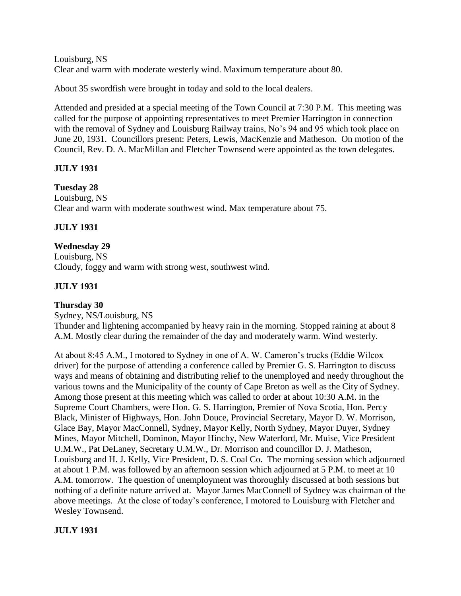Louisburg, NS Clear and warm with moderate westerly wind. Maximum temperature about 80.

About 35 swordfish were brought in today and sold to the local dealers.

Attended and presided at a special meeting of the Town Council at 7:30 P.M. This meeting was called for the purpose of appointing representatives to meet Premier Harrington in connection with the removal of Sydney and Louisburg Railway trains, No's 94 and 95 which took place on June 20, 1931. Councillors present: Peters, Lewis, MacKenzie and Matheson. On motion of the Council, Rev. D. A. MacMillan and Fletcher Townsend were appointed as the town delegates.

# **JULY 1931**

# **Tuesday 28**

Louisburg, NS Clear and warm with moderate southwest wind. Max temperature about 75.

# **JULY 1931**

### **Wednesday 29**

Louisburg, NS Cloudy, foggy and warm with strong west, southwest wind.

# **JULY 1931**

# **Thursday 30**

Sydney, NS/Louisburg, NS Thunder and lightening accompanied by heavy rain in the morning. Stopped raining at about 8 A.M. Mostly clear during the remainder of the day and moderately warm. Wind westerly.

At about 8:45 A.M., I motored to Sydney in one of A. W. Cameron's trucks (Eddie Wilcox driver) for the purpose of attending a conference called by Premier G. S. Harrington to discuss ways and means of obtaining and distributing relief to the unemployed and needy throughout the various towns and the Municipality of the county of Cape Breton as well as the City of Sydney. Among those present at this meeting which was called to order at about 10:30 A.M. in the Supreme Court Chambers, were Hon. G. S. Harrington, Premier of Nova Scotia, Hon. Percy Black, Minister of Highways, Hon. John Douce, Provincial Secretary, Mayor D. W. Morrison, Glace Bay, Mayor MacConnell, Sydney, Mayor Kelly, North Sydney, Mayor Duyer, Sydney Mines, Mayor Mitchell, Dominon, Mayor Hinchy, New Waterford, Mr. Muise, Vice President U.M.W., Pat DeLaney, Secretary U.M.W., Dr. Morrison and councillor D. J. Matheson, Louisburg and H. J. Kelly, Vice President, D. S. Coal Co. The morning session which adjourned at about 1 P.M. was followed by an afternoon session which adjourned at 5 P.M. to meet at 10 A.M. tomorrow. The question of unemployment was thoroughly discussed at both sessions but nothing of a definite nature arrived at. Mayor James MacConnell of Sydney was chairman of the above meetings. At the close of today's conference, I motored to Louisburg with Fletcher and Wesley Townsend.

# **JULY 1931**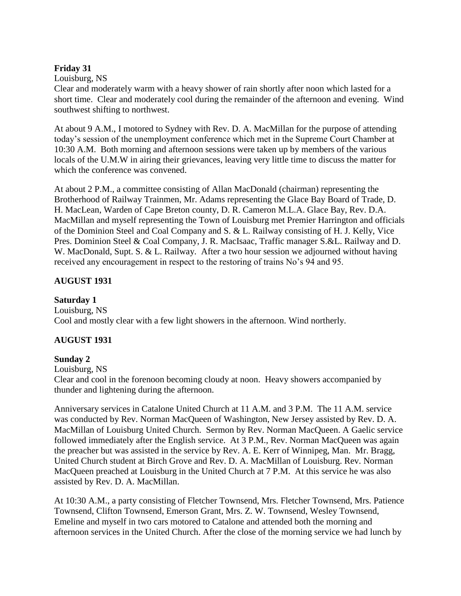### **Friday 31**

Louisburg, NS

Clear and moderately warm with a heavy shower of rain shortly after noon which lasted for a short time. Clear and moderately cool during the remainder of the afternoon and evening. Wind southwest shifting to northwest.

At about 9 A.M., I motored to Sydney with Rev. D. A. MacMillan for the purpose of attending today's session of the unemployment conference which met in the Supreme Court Chamber at 10:30 A.M. Both morning and afternoon sessions were taken up by members of the various locals of the U.M.W in airing their grievances, leaving very little time to discuss the matter for which the conference was convened.

At about 2 P.M., a committee consisting of Allan MacDonald (chairman) representing the Brotherhood of Railway Trainmen, Mr. Adams representing the Glace Bay Board of Trade, D. H. MacLean, Warden of Cape Breton county, D. R. Cameron M.L.A. Glace Bay, Rev. D.A. MacMillan and myself representing the Town of Louisburg met Premier Harrington and officials of the Dominion Steel and Coal Company and S. & L. Railway consisting of H. J. Kelly, Vice Pres. Dominion Steel & Coal Company, J. R. MacIsaac, Traffic manager S.&L. Railway and D. W. MacDonald, Supt. S. & L. Railway. After a two hour session we adjourned without having received any encouragement in respect to the restoring of trains No's 94 and 95.

# **AUGUST 1931**

# **Saturday 1**

Louisburg, NS Cool and mostly clear with a few light showers in the afternoon. Wind northerly.

# **AUGUST 1931**

### **Sunday 2**

Louisburg, NS

Clear and cool in the forenoon becoming cloudy at noon. Heavy showers accompanied by thunder and lightening during the afternoon.

Anniversary services in Catalone United Church at 11 A.M. and 3 P.M. The 11 A.M. service was conducted by Rev. Norman MacQueen of Washington, New Jersey assisted by Rev. D. A. MacMillan of Louisburg United Church. Sermon by Rev. Norman MacQueen. A Gaelic service followed immediately after the English service. At 3 P.M., Rev. Norman MacQueen was again the preacher but was assisted in the service by Rev. A. E. Kerr of Winnipeg, Man. Mr. Bragg, United Church student at Birch Grove and Rev. D. A. MacMillan of Louisburg. Rev. Norman MacQueen preached at Louisburg in the United Church at 7 P.M. At this service he was also assisted by Rev. D. A. MacMillan.

At 10:30 A.M., a party consisting of Fletcher Townsend, Mrs. Fletcher Townsend, Mrs. Patience Townsend, Clifton Townsend, Emerson Grant, Mrs. Z. W. Townsend, Wesley Townsend, Emeline and myself in two cars motored to Catalone and attended both the morning and afternoon services in the United Church. After the close of the morning service we had lunch by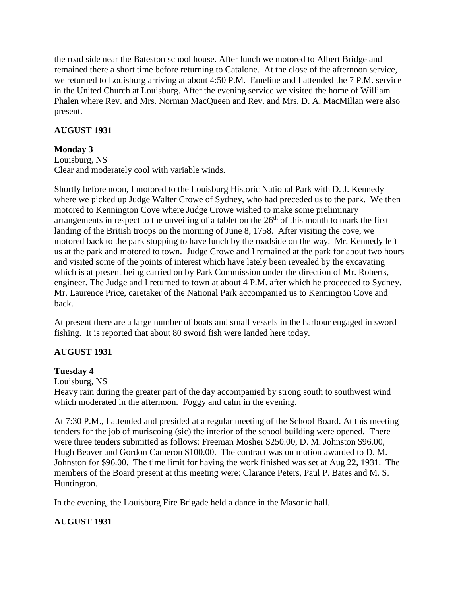the road side near the Bateston school house. After lunch we motored to Albert Bridge and remained there a short time before returning to Catalone. At the close of the afternoon service, we returned to Louisburg arriving at about 4:50 P.M. Emeline and I attended the 7 P.M. service in the United Church at Louisburg. After the evening service we visited the home of William Phalen where Rev. and Mrs. Norman MacQueen and Rev. and Mrs. D. A. MacMillan were also present.

# **AUGUST 1931**

# **Monday 3**

Louisburg, NS Clear and moderately cool with variable winds.

Shortly before noon, I motored to the Louisburg Historic National Park with D. J. Kennedy where we picked up Judge Walter Crowe of Sydney, who had preceded us to the park. We then motored to Kennington Cove where Judge Crowe wished to make some preliminary arrangements in respect to the unveiling of a tablet on the  $26<sup>th</sup>$  of this month to mark the first landing of the British troops on the morning of June 8, 1758. After visiting the cove, we motored back to the park stopping to have lunch by the roadside on the way. Mr. Kennedy left us at the park and motored to town. Judge Crowe and I remained at the park for about two hours and visited some of the points of interest which have lately been revealed by the excavating which is at present being carried on by Park Commission under the direction of Mr. Roberts, engineer. The Judge and I returned to town at about 4 P.M. after which he proceeded to Sydney. Mr. Laurence Price, caretaker of the National Park accompanied us to Kennington Cove and back.

At present there are a large number of boats and small vessels in the harbour engaged in sword fishing. It is reported that about 80 sword fish were landed here today.

### **AUGUST 1931**

### **Tuesday 4**

Louisburg, NS

Heavy rain during the greater part of the day accompanied by strong south to southwest wind which moderated in the afternoon. Foggy and calm in the evening.

At 7:30 P.M., I attended and presided at a regular meeting of the School Board. At this meeting tenders for the job of muriscoing (sic) the interior of the school building were opened. There were three tenders submitted as follows: Freeman Mosher \$250.00, D. M. Johnston \$96.00, Hugh Beaver and Gordon Cameron \$100.00. The contract was on motion awarded to D. M. Johnston for \$96.00. The time limit for having the work finished was set at Aug 22, 1931. The members of the Board present at this meeting were: Clarance Peters, Paul P. Bates and M. S. Huntington.

In the evening, the Louisburg Fire Brigade held a dance in the Masonic hall.

# **AUGUST 1931**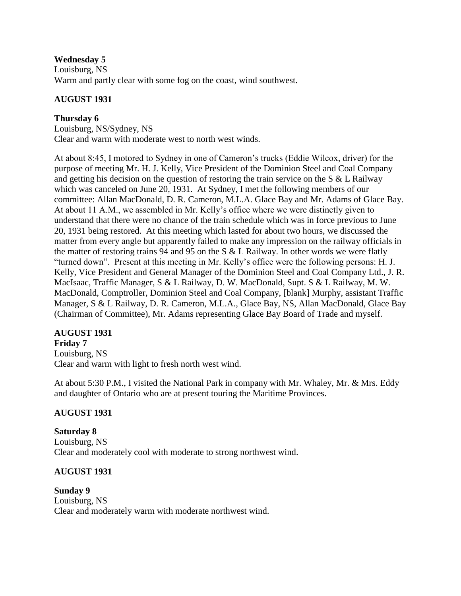### **Wednesday 5**

Louisburg, NS Warm and partly clear with some fog on the coast, wind southwest.

### **AUGUST 1931**

### **Thursday 6**

Louisburg, NS/Sydney, NS Clear and warm with moderate west to north west winds.

At about 8:45, I motored to Sydney in one of Cameron's trucks (Eddie Wilcox, driver) for the purpose of meeting Mr. H. J. Kelly, Vice President of the Dominion Steel and Coal Company and getting his decision on the question of restoring the train service on the S & L Railway which was canceled on June 20, 1931. At Sydney, I met the following members of our committee: Allan MacDonald, D. R. Cameron, M.L.A. Glace Bay and Mr. Adams of Glace Bay. At about 11 A.M., we assembled in Mr. Kelly's office where we were distinctly given to understand that there were no chance of the train schedule which was in force previous to June 20, 1931 being restored. At this meeting which lasted for about two hours, we discussed the matter from every angle but apparently failed to make any impression on the railway officials in the matter of restoring trains 94 and 95 on the S & L Railway. In other words we were flatly "turned down". Present at this meeting in Mr. Kelly's office were the following persons: H. J. Kelly, Vice President and General Manager of the Dominion Steel and Coal Company Ltd., J. R. MacIsaac, Traffic Manager, S & L Railway, D. W. MacDonald, Supt. S & L Railway, M. W. MacDonald, Comptroller, Dominion Steel and Coal Company, [blank] Murphy, assistant Traffic Manager, S & L Railway, D. R. Cameron, M.L.A., Glace Bay, NS, Allan MacDonald, Glace Bay (Chairman of Committee), Mr. Adams representing Glace Bay Board of Trade and myself.

# **AUGUST 1931**

**Friday 7** Louisburg, NS Clear and warm with light to fresh north west wind.

At about 5:30 P.M., I visited the National Park in company with Mr. Whaley, Mr. & Mrs. Eddy and daughter of Ontario who are at present touring the Maritime Provinces.

### **AUGUST 1931**

**Saturday 8** Louisburg, NS Clear and moderately cool with moderate to strong northwest wind.

### **AUGUST 1931**

**Sunday 9** Louisburg, NS Clear and moderately warm with moderate northwest wind.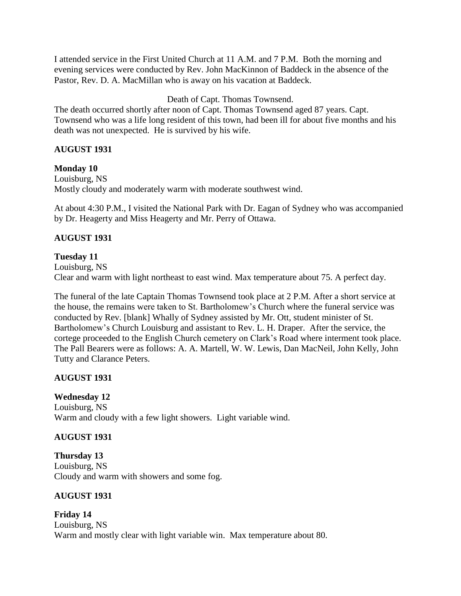I attended service in the First United Church at 11 A.M. and 7 P.M. Both the morning and evening services were conducted by Rev. John MacKinnon of Baddeck in the absence of the Pastor, Rev. D. A. MacMillan who is away on his vacation at Baddeck.

Death of Capt. Thomas Townsend.

The death occurred shortly after noon of Capt. Thomas Townsend aged 87 years. Capt. Townsend who was a life long resident of this town, had been ill for about five months and his death was not unexpected. He is survived by his wife.

### **AUGUST 1931**

### **Monday 10**

Louisburg, NS Mostly cloudy and moderately warm with moderate southwest wind.

At about 4:30 P.M., I visited the National Park with Dr. Eagan of Sydney who was accompanied by Dr. Heagerty and Miss Heagerty and Mr. Perry of Ottawa.

### **AUGUST 1931**

### **Tuesday 11**

Louisburg, NS Clear and warm with light northeast to east wind. Max temperature about 75. A perfect day.

The funeral of the late Captain Thomas Townsend took place at 2 P.M. After a short service at the house, the remains were taken to St. Bartholomew's Church where the funeral service was conducted by Rev. [blank] Whally of Sydney assisted by Mr. Ott, student minister of St. Bartholomew's Church Louisburg and assistant to Rev. L. H. Draper. After the service, the cortege proceeded to the English Church cemetery on Clark's Road where interment took place. The Pall Bearers were as follows: A. A. Martell, W. W. Lewis, Dan MacNeil, John Kelly, John Tutty and Clarance Peters.

### **AUGUST 1931**

# **Wednesday 12**

Louisburg, NS Warm and cloudy with a few light showers. Light variable wind.

### **AUGUST 1931**

**Thursday 13** Louisburg, NS Cloudy and warm with showers and some fog.

### **AUGUST 1931**

**Friday 14** Louisburg, NS Warm and mostly clear with light variable win. Max temperature about 80.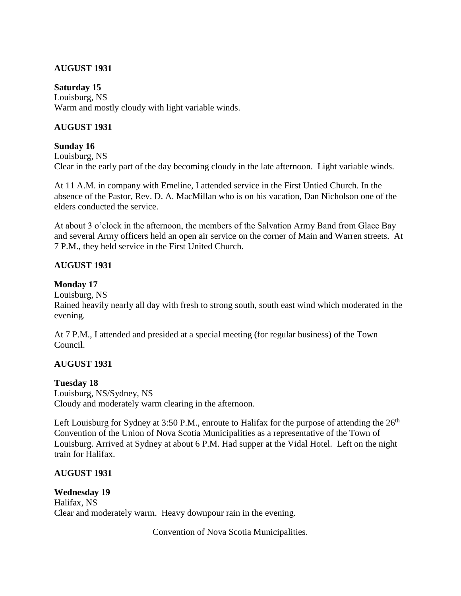### **AUGUST 1931**

**Saturday 15** Louisburg, NS Warm and mostly cloudy with light variable winds.

### **AUGUST 1931**

### **Sunday 16**

Louisburg, NS Clear in the early part of the day becoming cloudy in the late afternoon. Light variable winds.

At 11 A.M. in company with Emeline, I attended service in the First Untied Church. In the absence of the Pastor, Rev. D. A. MacMillan who is on his vacation, Dan Nicholson one of the elders conducted the service.

At about 3 o'clock in the afternoon, the members of the Salvation Army Band from Glace Bay and several Army officers held an open air service on the corner of Main and Warren streets. At 7 P.M., they held service in the First United Church.

### **AUGUST 1931**

### **Monday 17**

Louisburg, NS

Rained heavily nearly all day with fresh to strong south, south east wind which moderated in the evening.

At 7 P.M., I attended and presided at a special meeting (for regular business) of the Town Council.

### **AUGUST 1931**

### **Tuesday 18**

Louisburg, NS/Sydney, NS Cloudy and moderately warm clearing in the afternoon.

Left Louisburg for Sydney at 3:50 P.M., enroute to Halifax for the purpose of attending the  $26<sup>th</sup>$ Convention of the Union of Nova Scotia Municipalities as a representative of the Town of Louisburg. Arrived at Sydney at about 6 P.M. Had supper at the Vidal Hotel. Left on the night train for Halifax.

### **AUGUST 1931**

**Wednesday 19** Halifax, NS Clear and moderately warm. Heavy downpour rain in the evening.

Convention of Nova Scotia Municipalities.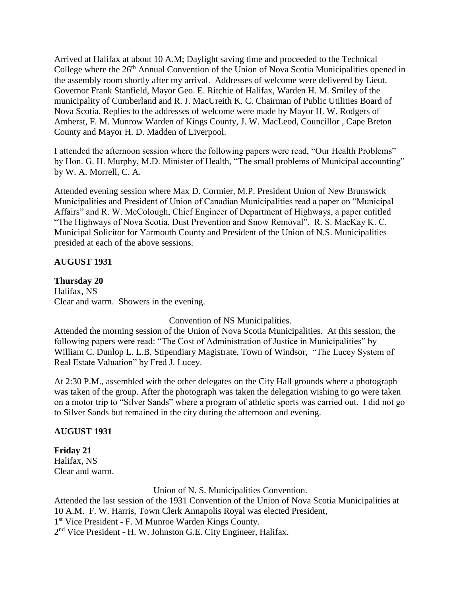Arrived at Halifax at about 10 A.M; Daylight saving time and proceeded to the Technical College where the 26<sup>th</sup> Annual Convention of the Union of Nova Scotia Municipalities opened in the assembly room shortly after my arrival. Addresses of welcome were delivered by Lieut. Governor Frank Stanfield, Mayor Geo. E. Ritchie of Halifax, Warden H. M. Smiley of the municipality of Cumberland and R. J. MacUreith K. C. Chairman of Public Utilities Board of Nova Scotia. Replies to the addresses of welcome were made by Mayor H. W. Rodgers of Amherst, F. M. Munrow Warden of Kings County, J. W. MacLeod, Councillor , Cape Breton County and Mayor H. D. Madden of Liverpool.

I attended the afternoon session where the following papers were read, "Our Health Problems" by Hon. G. H. Murphy, M.D. Minister of Health, "The small problems of Municipal accounting" by W. A. Morrell, C. A.

Attended evening session where Max D. Cormier, M.P. President Union of New Brunswick Municipalities and President of Union of Canadian Municipalities read a paper on "Municipal Affairs" and R. W. McColough, Chief Engineer of Department of Highways, a paper entitled "The Highways of Nova Scotia, Dust Prevention and Snow Removal". R. S. MacKay K. C. Municipal Solicitor for Yarmouth County and President of the Union of N.S. Municipalities presided at each of the above sessions.

### **AUGUST 1931**

### **Thursday 20**

Halifax, NS Clear and warm. Showers in the evening.

Convention of NS Municipalities.

Attended the morning session of the Union of Nova Scotia Municipalities. At this session, the following papers were read: "The Cost of Administration of Justice in Municipalities" by William C. Dunlop L. L.B. Stipendiary Magistrate, Town of Windsor, "The Lucey System of Real Estate Valuation" by Fred J. Lucey.

At 2:30 P.M., assembled with the other delegates on the City Hall grounds where a photograph was taken of the group. After the photograph was taken the delegation wishing to go were taken on a motor trip to "Silver Sands" where a program of athletic sports was carried out. I did not go to Silver Sands but remained in the city during the afternoon and evening.

### **AUGUST 1931**

**Friday 21** Halifax, NS Clear and warm.

Union of N. S. Municipalities Convention.

Attended the last session of the 1931 Convention of the Union of Nova Scotia Municipalities at 10 A.M. F. W. Harris, Town Clerk Annapolis Royal was elected President, 1<sup>st</sup> Vice President - F. M Munroe Warden Kings County.

2<sup>nd</sup> Vice President - H. W. Johnston G.E. City Engineer, Halifax.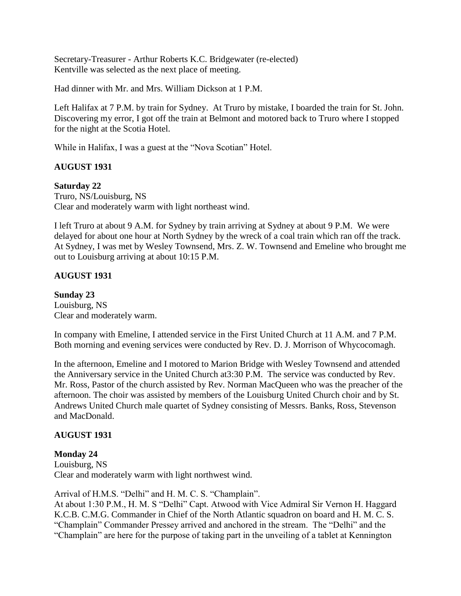Secretary-Treasurer - Arthur Roberts K.C. Bridgewater (re-elected) Kentville was selected as the next place of meeting.

Had dinner with Mr. and Mrs. William Dickson at 1 P.M.

Left Halifax at 7 P.M. by train for Sydney. At Truro by mistake, I boarded the train for St. John. Discovering my error, I got off the train at Belmont and motored back to Truro where I stopped for the night at the Scotia Hotel.

While in Halifax, I was a guest at the "Nova Scotian" Hotel.

### **AUGUST 1931**

**Saturday 22** Truro, NS/Louisburg, NS Clear and moderately warm with light northeast wind.

I left Truro at about 9 A.M. for Sydney by train arriving at Sydney at about 9 P.M. We were delayed for about one hour at North Sydney by the wreck of a coal train which ran off the track. At Sydney, I was met by Wesley Townsend, Mrs. Z. W. Townsend and Emeline who brought me out to Louisburg arriving at about 10:15 P.M.

### **AUGUST 1931**

**Sunday 23** Louisburg, NS Clear and moderately warm.

In company with Emeline, I attended service in the First United Church at 11 A.M. and 7 P.M. Both morning and evening services were conducted by Rev. D. J. Morrison of Whycocomagh.

In the afternoon, Emeline and I motored to Marion Bridge with Wesley Townsend and attended the Anniversary service in the United Church at3:30 P.M. The service was conducted by Rev. Mr. Ross, Pastor of the church assisted by Rev. Norman MacQueen who was the preacher of the afternoon. The choir was assisted by members of the Louisburg United Church choir and by St. Andrews United Church male quartet of Sydney consisting of Messrs. Banks, Ross, Stevenson and MacDonald.

### **AUGUST 1931**

### **Monday 24**

Louisburg, NS Clear and moderately warm with light northwest wind.

Arrival of H.M.S. "Delhi" and H. M. C. S. "Champlain".

At about 1:30 P.M., H. M. S "Delhi" Capt. Atwood with Vice Admiral Sir Vernon H. Haggard K.C.B. C.M.G. Commander in Chief of the North Atlantic squadron on board and H. M. C. S. "Champlain" Commander Pressey arrived and anchored in the stream. The "Delhi" and the "Champlain" are here for the purpose of taking part in the unveiling of a tablet at Kennington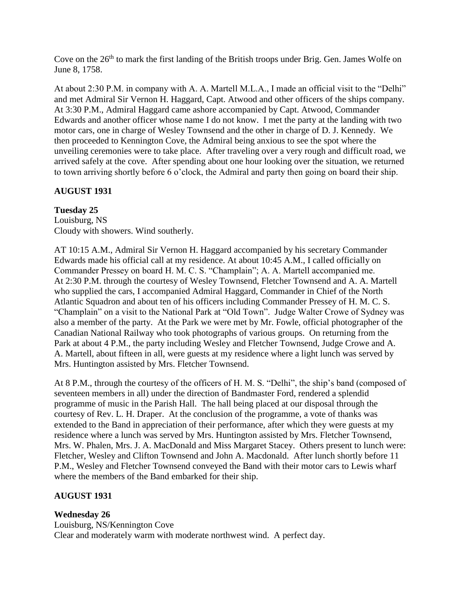Cove on the 26<sup>th</sup> to mark the first landing of the British troops under Brig. Gen. James Wolfe on June 8, 1758.

At about 2:30 P.M. in company with A. A. Martell M.L.A., I made an official visit to the "Delhi" and met Admiral Sir Vernon H. Haggard, Capt. Atwood and other officers of the ships company. At 3:30 P.M., Admiral Haggard came ashore accompanied by Capt. Atwood, Commander Edwards and another officer whose name I do not know. I met the party at the landing with two motor cars, one in charge of Wesley Townsend and the other in charge of D. J. Kennedy. We then proceeded to Kennington Cove, the Admiral being anxious to see the spot where the unveiling ceremonies were to take place. After traveling over a very rough and difficult road, we arrived safely at the cove. After spending about one hour looking over the situation, we returned to town arriving shortly before 6 o'clock, the Admiral and party then going on board their ship.

### **AUGUST 1931**

**Tuesday 25** Louisburg, NS Cloudy with showers. Wind southerly.

AT 10:15 A.M., Admiral Sir Vernon H. Haggard accompanied by his secretary Commander Edwards made his official call at my residence. At about 10:45 A.M., I called officially on Commander Pressey on board H. M. C. S. "Champlain"; A. A. Martell accompanied me. At 2:30 P.M. through the courtesy of Wesley Townsend, Fletcher Townsend and A. A. Martell who supplied the cars, I accompanied Admiral Haggard, Commander in Chief of the North Atlantic Squadron and about ten of his officers including Commander Pressey of H. M. C. S. "Champlain" on a visit to the National Park at "Old Town". Judge Walter Crowe of Sydney was also a member of the party. At the Park we were met by Mr. Fowle, official photographer of the Canadian National Railway who took photographs of various groups. On returning from the Park at about 4 P.M., the party including Wesley and Fletcher Townsend, Judge Crowe and A. A. Martell, about fifteen in all, were guests at my residence where a light lunch was served by Mrs. Huntington assisted by Mrs. Fletcher Townsend.

At 8 P.M., through the courtesy of the officers of H. M. S. "Delhi", the ship's band (composed of seventeen members in all) under the direction of Bandmaster Ford, rendered a splendid programme of music in the Parish Hall. The hall being placed at our disposal through the courtesy of Rev. L. H. Draper. At the conclusion of the programme, a vote of thanks was extended to the Band in appreciation of their performance, after which they were guests at my residence where a lunch was served by Mrs. Huntington assisted by Mrs. Fletcher Townsend, Mrs. W. Phalen, Mrs. J. A. MacDonald and Miss Margaret Stacey. Others present to lunch were: Fletcher, Wesley and Clifton Townsend and John A. Macdonald. After lunch shortly before 11 P.M., Wesley and Fletcher Townsend conveyed the Band with their motor cars to Lewis wharf where the members of the Band embarked for their ship.

### **AUGUST 1931**

### **Wednesday 26**

Louisburg, NS/Kennington Cove Clear and moderately warm with moderate northwest wind. A perfect day.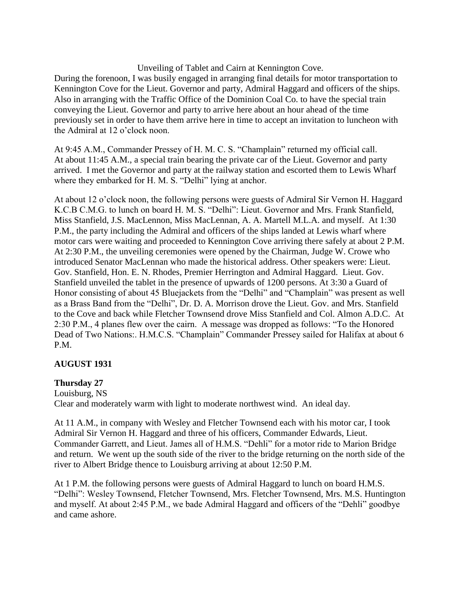Unveiling of Tablet and Cairn at Kennington Cove.

During the forenoon, I was busily engaged in arranging final details for motor transportation to Kennington Cove for the Lieut. Governor and party, Admiral Haggard and officers of the ships. Also in arranging with the Traffic Office of the Dominion Coal Co. to have the special train conveying the Lieut. Governor and party to arrive here about an hour ahead of the time previously set in order to have them arrive here in time to accept an invitation to luncheon with the Admiral at 12 o'clock noon.

At 9:45 A.M., Commander Pressey of H. M. C. S. "Champlain" returned my official call. At about 11:45 A.M., a special train bearing the private car of the Lieut. Governor and party arrived. I met the Governor and party at the railway station and escorted them to Lewis Wharf where they embarked for H. M. S. "Delhi" lying at anchor.

At about 12 o'clock noon, the following persons were guests of Admiral Sir Vernon H. Haggard K.C.B C.M.G. to lunch on board H. M. S. "Delhi": Lieut. Governor and Mrs. Frank Stanfield, Miss Stanfield, J.S. MacLennon, Miss MacLennan, A. A. Martell M.L.A. and myself. At 1:30 P.M., the party including the Admiral and officers of the ships landed at Lewis wharf where motor cars were waiting and proceeded to Kennington Cove arriving there safely at about 2 P.M. At 2:30 P.M., the unveiling ceremonies were opened by the Chairman, Judge W. Crowe who introduced Senator MacLennan who made the historical address. Other speakers were: Lieut. Gov. Stanfield, Hon. E. N. Rhodes, Premier Herrington and Admiral Haggard. Lieut. Gov. Stanfield unveiled the tablet in the presence of upwards of 1200 persons. At 3:30 a Guard of Honor consisting of about 45 Bluejackets from the "Delhi" and "Champlain" was present as well as a Brass Band from the "Delhi", Dr. D. A. Morrison drove the Lieut. Gov. and Mrs. Stanfield to the Cove and back while Fletcher Townsend drove Miss Stanfield and Col. Almon A.D.C. At 2:30 P.M., 4 planes flew over the cairn. A message was dropped as follows: "To the Honored Dead of Two Nations:. H.M.C.S. "Champlain" Commander Pressey sailed for Halifax at about 6 P.M.

### **AUGUST 1931**

### **Thursday 27**

Louisburg, NS Clear and moderately warm with light to moderate northwest wind. An ideal day.

At 11 A.M., in company with Wesley and Fletcher Townsend each with his motor car, I took Admiral Sir Vernon H. Haggard and three of his officers, Commander Edwards, Lieut. Commander Garrett, and Lieut. James all of H.M.S. "Dehli" for a motor ride to Marion Bridge and return. We went up the south side of the river to the bridge returning on the north side of the river to Albert Bridge thence to Louisburg arriving at about 12:50 P.M.

At 1 P.M. the following persons were guests of Admiral Haggard to lunch on board H.M.S. "Delhi": Wesley Townsend, Fletcher Townsend, Mrs. Fletcher Townsend, Mrs. M.S. Huntington and myself. At about 2:45 P.M., we bade Admiral Haggard and officers of the "Dehli" goodbye and came ashore.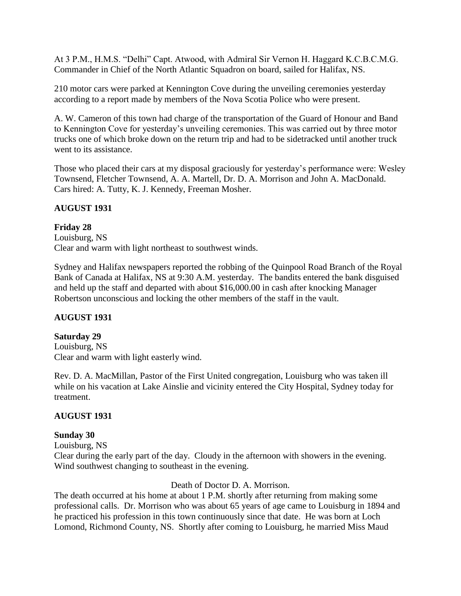At 3 P.M., H.M.S. "Delhi" Capt. Atwood, with Admiral Sir Vernon H. Haggard K.C.B.C.M.G. Commander in Chief of the North Atlantic Squadron on board, sailed for Halifax, NS.

210 motor cars were parked at Kennington Cove during the unveiling ceremonies yesterday according to a report made by members of the Nova Scotia Police who were present.

A. W. Cameron of this town had charge of the transportation of the Guard of Honour and Band to Kennington Cove for yesterday's unveiling ceremonies. This was carried out by three motor trucks one of which broke down on the return trip and had to be sidetracked until another truck went to its assistance.

Those who placed their cars at my disposal graciously for yesterday's performance were: Wesley Townsend, Fletcher Townsend, A. A. Martell, Dr. D. A. Morrison and John A. MacDonald. Cars hired: A. Tutty, K. J. Kennedy, Freeman Mosher.

### **AUGUST 1931**

### **Friday 28**

Louisburg, NS Clear and warm with light northeast to southwest winds.

Sydney and Halifax newspapers reported the robbing of the Quinpool Road Branch of the Royal Bank of Canada at Halifax, NS at 9:30 A.M. yesterday. The bandits entered the bank disguised and held up the staff and departed with about \$16,000.00 in cash after knocking Manager Robertson unconscious and locking the other members of the staff in the vault.

### **AUGUST 1931**

### **Saturday 29**

Louisburg, NS Clear and warm with light easterly wind.

Rev. D. A. MacMillan, Pastor of the First United congregation, Louisburg who was taken ill while on his vacation at Lake Ainslie and vicinity entered the City Hospital, Sydney today for treatment.

### **AUGUST 1931**

### **Sunday 30**

Louisburg, NS Clear during the early part of the day. Cloudy in the afternoon with showers in the evening. Wind southwest changing to southeast in the evening.

### Death of Doctor D. A. Morrison.

The death occurred at his home at about 1 P.M. shortly after returning from making some professional calls. Dr. Morrison who was about 65 years of age came to Louisburg in 1894 and he practiced his profession in this town continuously since that date. He was born at Loch Lomond, Richmond County, NS. Shortly after coming to Louisburg, he married Miss Maud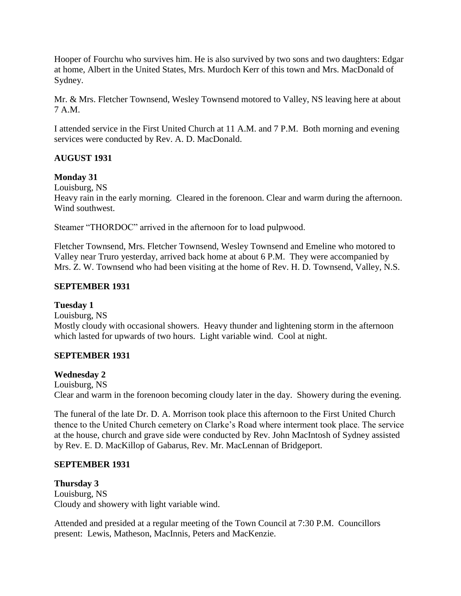Hooper of Fourchu who survives him. He is also survived by two sons and two daughters: Edgar at home, Albert in the United States, Mrs. Murdoch Kerr of this town and Mrs. MacDonald of Sydney.

Mr. & Mrs. Fletcher Townsend, Wesley Townsend motored to Valley, NS leaving here at about 7 A.M.

I attended service in the First United Church at 11 A.M. and 7 P.M. Both morning and evening services were conducted by Rev. A. D. MacDonald.

# **AUGUST 1931**

### **Monday 31**

Louisburg, NS

Heavy rain in the early morning. Cleared in the forenoon. Clear and warm during the afternoon. Wind southwest.

Steamer "THORDOC" arrived in the afternoon for to load pulpwood.

Fletcher Townsend, Mrs. Fletcher Townsend, Wesley Townsend and Emeline who motored to Valley near Truro yesterday, arrived back home at about 6 P.M. They were accompanied by Mrs. Z. W. Townsend who had been visiting at the home of Rev. H. D. Townsend, Valley, N.S.

### **SEPTEMBER 1931**

### **Tuesday 1**

Louisburg, NS

Mostly cloudy with occasional showers. Heavy thunder and lightening storm in the afternoon which lasted for upwards of two hours. Light variable wind. Cool at night.

### **SEPTEMBER 1931**

### **Wednesday 2**

Louisburg, NS Clear and warm in the forenoon becoming cloudy later in the day. Showery during the evening.

The funeral of the late Dr. D. A. Morrison took place this afternoon to the First United Church thence to the United Church cemetery on Clarke's Road where interment took place. The service at the house, church and grave side were conducted by Rev. John MacIntosh of Sydney assisted by Rev. E. D. MacKillop of Gabarus, Rev. Mr. MacLennan of Bridgeport.

### **SEPTEMBER 1931**

**Thursday 3** Louisburg, NS Cloudy and showery with light variable wind.

Attended and presided at a regular meeting of the Town Council at 7:30 P.M. Councillors present: Lewis, Matheson, MacInnis, Peters and MacKenzie.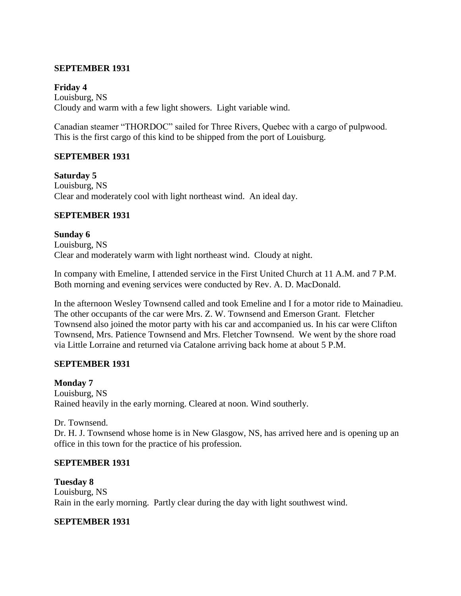### **SEPTEMBER 1931**

### **Friday 4**

Louisburg, NS Cloudy and warm with a few light showers. Light variable wind.

Canadian steamer "THORDOC" sailed for Three Rivers, Quebec with a cargo of pulpwood. This is the first cargo of this kind to be shipped from the port of Louisburg.

### **SEPTEMBER 1931**

**Saturday 5** Louisburg, NS Clear and moderately cool with light northeast wind. An ideal day.

### **SEPTEMBER 1931**

**Sunday 6** Louisburg, NS Clear and moderately warm with light northeast wind. Cloudy at night.

In company with Emeline, I attended service in the First United Church at 11 A.M. and 7 P.M. Both morning and evening services were conducted by Rev. A. D. MacDonald.

In the afternoon Wesley Townsend called and took Emeline and I for a motor ride to Mainadieu. The other occupants of the car were Mrs. Z. W. Townsend and Emerson Grant. Fletcher Townsend also joined the motor party with his car and accompanied us. In his car were Clifton Townsend, Mrs. Patience Townsend and Mrs. Fletcher Townsend. We went by the shore road via Little Lorraine and returned via Catalone arriving back home at about 5 P.M.

### **SEPTEMBER 1931**

### **Monday 7**

Louisburg, NS Rained heavily in the early morning. Cleared at noon. Wind southerly.

Dr. Townsend.

Dr. H. J. Townsend whose home is in New Glasgow, NS, has arrived here and is opening up an office in this town for the practice of his profession.

### **SEPTEMBER 1931**

**Tuesday 8** Louisburg, NS Rain in the early morning. Partly clear during the day with light southwest wind.

### **SEPTEMBER 1931**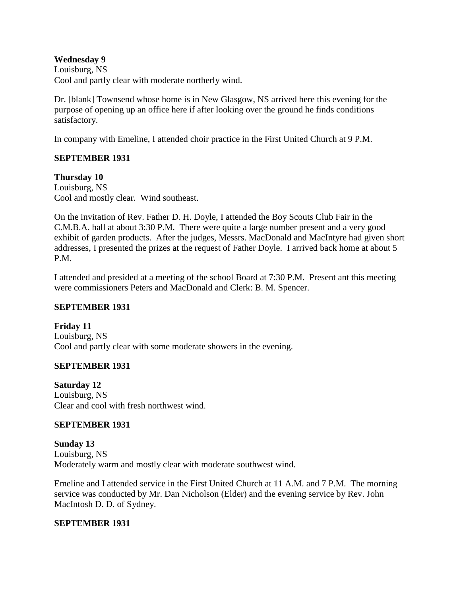### **Wednesday 9**

Louisburg, NS Cool and partly clear with moderate northerly wind.

Dr. [blank] Townsend whose home is in New Glasgow, NS arrived here this evening for the purpose of opening up an office here if after looking over the ground he finds conditions satisfactory.

In company with Emeline, I attended choir practice in the First United Church at 9 P.M.

### **SEPTEMBER 1931**

### **Thursday 10**

Louisburg, NS Cool and mostly clear. Wind southeast.

On the invitation of Rev. Father D. H. Doyle, I attended the Boy Scouts Club Fair in the C.M.B.A. hall at about 3:30 P.M. There were quite a large number present and a very good exhibit of garden products. After the judges, Messrs. MacDonald and MacIntyre had given short addresses, I presented the prizes at the request of Father Doyle. I arrived back home at about 5 P.M.

I attended and presided at a meeting of the school Board at 7:30 P.M. Present ant this meeting were commissioners Peters and MacDonald and Clerk: B. M. Spencer.

### **SEPTEMBER 1931**

**Friday 11** Louisburg, NS Cool and partly clear with some moderate showers in the evening.

### **SEPTEMBER 1931**

**Saturday 12** Louisburg, NS Clear and cool with fresh northwest wind.

### **SEPTEMBER 1931**

**Sunday 13** Louisburg, NS Moderately warm and mostly clear with moderate southwest wind.

Emeline and I attended service in the First United Church at 11 A.M. and 7 P.M. The morning service was conducted by Mr. Dan Nicholson (Elder) and the evening service by Rev. John MacIntosh D. D. of Sydney.

### **SEPTEMBER 1931**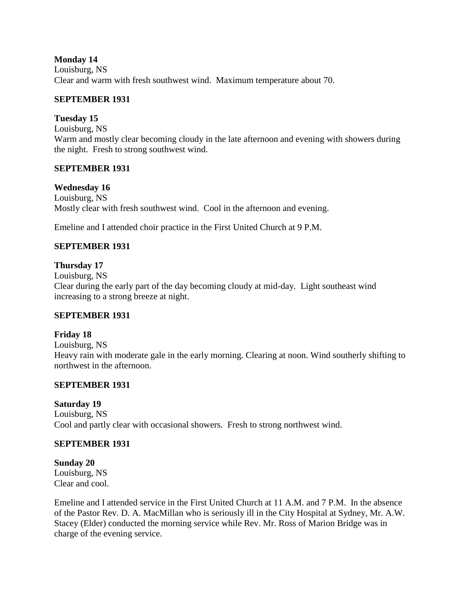**Monday 14** Louisburg, NS Clear and warm with fresh southwest wind. Maximum temperature about 70.

### **SEPTEMBER 1931**

### **Tuesday 15**

Louisburg, NS Warm and mostly clear becoming cloudy in the late afternoon and evening with showers during the night. Fresh to strong southwest wind.

### **SEPTEMBER 1931**

### **Wednesday 16**

Louisburg, NS Mostly clear with fresh southwest wind. Cool in the afternoon and evening.

Emeline and I attended choir practice in the First United Church at 9 P.M.

### **SEPTEMBER 1931**

### **Thursday 17**

Louisburg, NS Clear during the early part of the day becoming cloudy at mid-day. Light southeast wind increasing to a strong breeze at night.

### **SEPTEMBER 1931**

# **Friday 18**

Louisburg, NS Heavy rain with moderate gale in the early morning. Clearing at noon. Wind southerly shifting to northwest in the afternoon.

### **SEPTEMBER 1931**

### **Saturday 19**

Louisburg, NS Cool and partly clear with occasional showers. Fresh to strong northwest wind.

### **SEPTEMBER 1931**

# **Sunday 20**

Louisburg, NS Clear and cool.

Emeline and I attended service in the First United Church at 11 A.M. and 7 P.M. In the absence of the Pastor Rev. D. A. MacMillan who is seriously ill in the City Hospital at Sydney, Mr. A.W. Stacey (Elder) conducted the morning service while Rev. Mr. Ross of Marion Bridge was in charge of the evening service.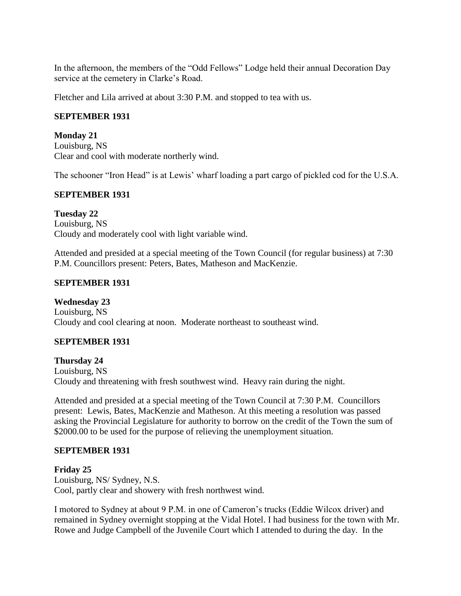In the afternoon, the members of the "Odd Fellows" Lodge held their annual Decoration Day service at the cemetery in Clarke's Road.

Fletcher and Lila arrived at about 3:30 P.M. and stopped to tea with us.

# **SEPTEMBER 1931**

**Monday 21** Louisburg, NS Clear and cool with moderate northerly wind.

The schooner "Iron Head" is at Lewis' wharf loading a part cargo of pickled cod for the U.S.A.

### **SEPTEMBER 1931**

**Tuesday 22** Louisburg, NS Cloudy and moderately cool with light variable wind.

Attended and presided at a special meeting of the Town Council (for regular business) at 7:30 P.M. Councillors present: Peters, Bates, Matheson and MacKenzie.

### **SEPTEMBER 1931**

**Wednesday 23** Louisburg, NS

Cloudy and cool clearing at noon. Moderate northeast to southeast wind.

### **SEPTEMBER 1931**

**Thursday 24** Louisburg, NS Cloudy and threatening with fresh southwest wind. Heavy rain during the night.

Attended and presided at a special meeting of the Town Council at 7:30 P.M. Councillors present: Lewis, Bates, MacKenzie and Matheson. At this meeting a resolution was passed asking the Provincial Legislature for authority to borrow on the credit of the Town the sum of \$2000.00 to be used for the purpose of relieving the unemployment situation.

### **SEPTEMBER 1931**

**Friday 25** Louisburg, NS/ Sydney, N.S. Cool, partly clear and showery with fresh northwest wind.

I motored to Sydney at about 9 P.M. in one of Cameron's trucks (Eddie Wilcox driver) and remained in Sydney overnight stopping at the Vidal Hotel. I had business for the town with Mr. Rowe and Judge Campbell of the Juvenile Court which I attended to during the day. In the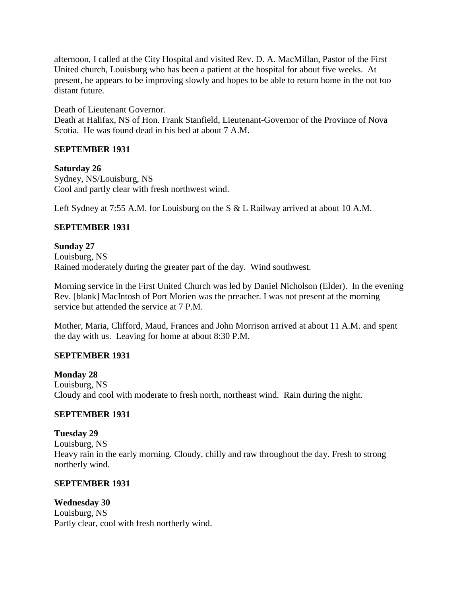afternoon, I called at the City Hospital and visited Rev. D. A. MacMillan, Pastor of the First United church, Louisburg who has been a patient at the hospital for about five weeks. At present, he appears to be improving slowly and hopes to be able to return home in the not too distant future.

Death of Lieutenant Governor.

Death at Halifax, NS of Hon. Frank Stanfield, Lieutenant-Governor of the Province of Nova Scotia. He was found dead in his bed at about 7 A.M.

### **SEPTEMBER 1931**

### **Saturday 26**

Sydney, NS/Louisburg, NS Cool and partly clear with fresh northwest wind.

Left Sydney at 7:55 A.M. for Louisburg on the S & L Railway arrived at about 10 A.M.

### **SEPTEMBER 1931**

**Sunday 27** Louisburg, NS Rained moderately during the greater part of the day. Wind southwest.

Morning service in the First United Church was led by Daniel Nicholson (Elder). In the evening Rev. [blank] MacIntosh of Port Morien was the preacher. I was not present at the morning service but attended the service at 7 P.M.

Mother, Maria, Clifford, Maud, Frances and John Morrison arrived at about 11 A.M. and spent the day with us. Leaving for home at about 8:30 P.M.

### **SEPTEMBER 1931**

**Monday 28** Louisburg, NS Cloudy and cool with moderate to fresh north, northeast wind. Rain during the night.

### **SEPTEMBER 1931**

**Tuesday 29** Louisburg, NS Heavy rain in the early morning. Cloudy, chilly and raw throughout the day. Fresh to strong northerly wind.

### **SEPTEMBER 1931**

**Wednesday 30** Louisburg, NS Partly clear, cool with fresh northerly wind.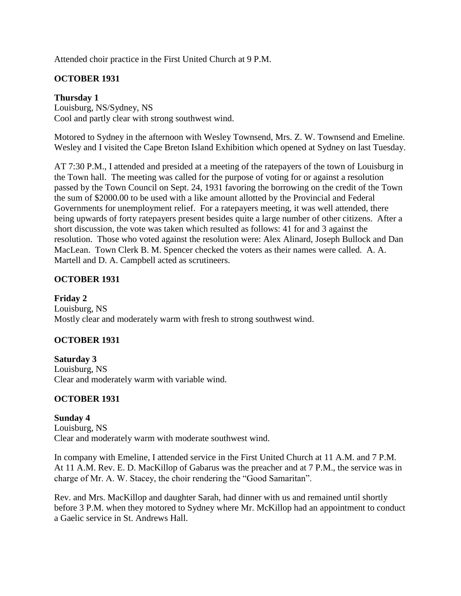Attended choir practice in the First United Church at 9 P.M.

# **OCTOBER 1931**

# **Thursday 1**

Louisburg, NS/Sydney, NS Cool and partly clear with strong southwest wind.

Motored to Sydney in the afternoon with Wesley Townsend, Mrs. Z. W. Townsend and Emeline. Wesley and I visited the Cape Breton Island Exhibition which opened at Sydney on last Tuesday.

AT 7:30 P.M., I attended and presided at a meeting of the ratepayers of the town of Louisburg in the Town hall. The meeting was called for the purpose of voting for or against a resolution passed by the Town Council on Sept. 24, 1931 favoring the borrowing on the credit of the Town the sum of \$2000.00 to be used with a like amount allotted by the Provincial and Federal Governments for unemployment relief. For a ratepayers meeting, it was well attended, there being upwards of forty ratepayers present besides quite a large number of other citizens. After a short discussion, the vote was taken which resulted as follows: 41 for and 3 against the resolution. Those who voted against the resolution were: Alex Alinard, Joseph Bullock and Dan MacLean. Town Clerk B. M. Spencer checked the voters as their names were called. A. A. Martell and D. A. Campbell acted as scrutineers.

# **OCTOBER 1931**

**Friday 2** Louisburg, NS Mostly clear and moderately warm with fresh to strong southwest wind.

# **OCTOBER 1931**

**Saturday 3** Louisburg, NS Clear and moderately warm with variable wind.

### **OCTOBER 1931**

### **Sunday 4**

Louisburg, NS Clear and moderately warm with moderate southwest wind.

In company with Emeline, I attended service in the First United Church at 11 A.M. and 7 P.M. At 11 A.M. Rev. E. D. MacKillop of Gabarus was the preacher and at 7 P.M., the service was in charge of Mr. A. W. Stacey, the choir rendering the "Good Samaritan".

Rev. and Mrs. MacKillop and daughter Sarah, had dinner with us and remained until shortly before 3 P.M. when they motored to Sydney where Mr. McKillop had an appointment to conduct a Gaelic service in St. Andrews Hall.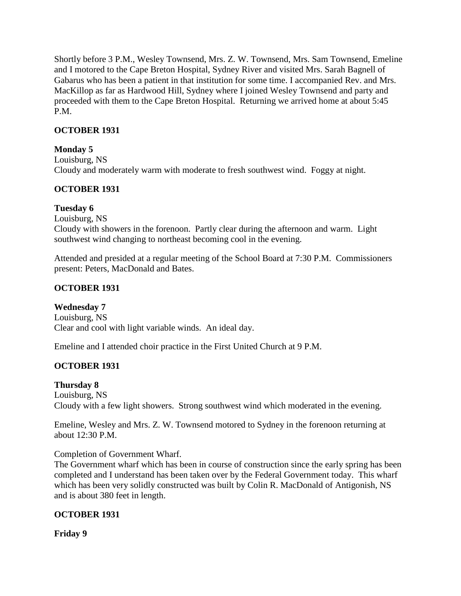Shortly before 3 P.M., Wesley Townsend, Mrs. Z. W. Townsend, Mrs. Sam Townsend, Emeline and I motored to the Cape Breton Hospital, Sydney River and visited Mrs. Sarah Bagnell of Gabarus who has been a patient in that institution for some time. I accompanied Rev. and Mrs. MacKillop as far as Hardwood Hill, Sydney where I joined Wesley Townsend and party and proceeded with them to the Cape Breton Hospital. Returning we arrived home at about 5:45 P.M.

# **OCTOBER 1931**

# **Monday 5**

Louisburg, NS Cloudy and moderately warm with moderate to fresh southwest wind. Foggy at night.

# **OCTOBER 1931**

# **Tuesday 6**

Louisburg, NS Cloudy with showers in the forenoon. Partly clear during the afternoon and warm. Light southwest wind changing to northeast becoming cool in the evening.

Attended and presided at a regular meeting of the School Board at 7:30 P.M. Commissioners present: Peters, MacDonald and Bates.

# **OCTOBER 1931**

# **Wednesday 7**

Louisburg, NS Clear and cool with light variable winds. An ideal day.

Emeline and I attended choir practice in the First United Church at 9 P.M.

# **OCTOBER 1931**

# **Thursday 8**

Louisburg, NS Cloudy with a few light showers. Strong southwest wind which moderated in the evening.

Emeline, Wesley and Mrs. Z. W. Townsend motored to Sydney in the forenoon returning at about 12:30 P.M.

Completion of Government Wharf.

The Government wharf which has been in course of construction since the early spring has been completed and I understand has been taken over by the Federal Government today. This wharf which has been very solidly constructed was built by Colin R. MacDonald of Antigonish, NS and is about 380 feet in length.

# **OCTOBER 1931**

# **Friday 9**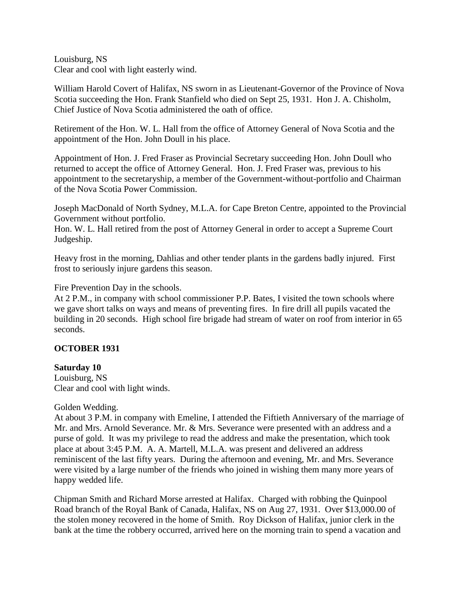Louisburg, NS Clear and cool with light easterly wind.

William Harold Covert of Halifax, NS sworn in as Lieutenant-Governor of the Province of Nova Scotia succeeding the Hon. Frank Stanfield who died on Sept 25, 1931. Hon J. A. Chisholm, Chief Justice of Nova Scotia administered the oath of office.

Retirement of the Hon. W. L. Hall from the office of Attorney General of Nova Scotia and the appointment of the Hon. John Doull in his place.

Appointment of Hon. J. Fred Fraser as Provincial Secretary succeeding Hon. John Doull who returned to accept the office of Attorney General. Hon. J. Fred Fraser was, previous to his appointment to the secretaryship, a member of the Government-without-portfolio and Chairman of the Nova Scotia Power Commission.

Joseph MacDonald of North Sydney, M.L.A. for Cape Breton Centre, appointed to the Provincial Government without portfolio.

Hon. W. L. Hall retired from the post of Attorney General in order to accept a Supreme Court Judgeship.

Heavy frost in the morning, Dahlias and other tender plants in the gardens badly injured. First frost to seriously injure gardens this season.

Fire Prevention Day in the schools.

At 2 P.M., in company with school commissioner P.P. Bates, I visited the town schools where we gave short talks on ways and means of preventing fires. In fire drill all pupils vacated the building in 20 seconds. High school fire brigade had stream of water on roof from interior in 65 seconds.

# **OCTOBER 1931**

### **Saturday 10**

Louisburg, NS Clear and cool with light winds.

Golden Wedding.

At about 3 P.M. in company with Emeline, I attended the Fiftieth Anniversary of the marriage of Mr. and Mrs. Arnold Severance. Mr. & Mrs. Severance were presented with an address and a purse of gold. It was my privilege to read the address and make the presentation, which took place at about 3:45 P.M. A. A. Martell, M.L.A. was present and delivered an address reminiscent of the last fifty years. During the afternoon and evening, Mr. and Mrs. Severance were visited by a large number of the friends who joined in wishing them many more years of happy wedded life.

Chipman Smith and Richard Morse arrested at Halifax. Charged with robbing the Quinpool Road branch of the Royal Bank of Canada, Halifax, NS on Aug 27, 1931. Over \$13,000.00 of the stolen money recovered in the home of Smith. Roy Dickson of Halifax, junior clerk in the bank at the time the robbery occurred, arrived here on the morning train to spend a vacation and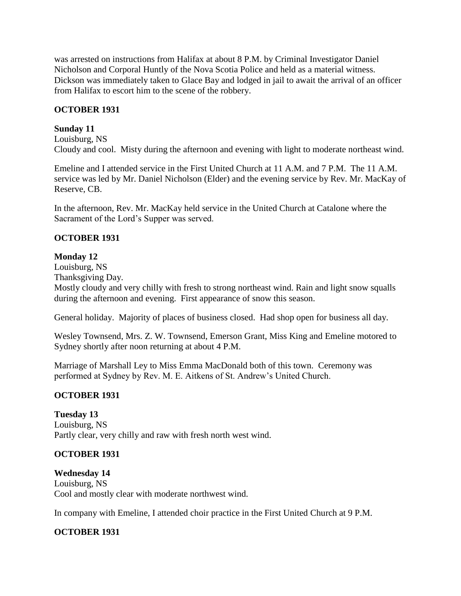was arrested on instructions from Halifax at about 8 P.M. by Criminal Investigator Daniel Nicholson and Corporal Huntly of the Nova Scotia Police and held as a material witness. Dickson was immediately taken to Glace Bay and lodged in jail to await the arrival of an officer from Halifax to escort him to the scene of the robbery.

## **OCTOBER 1931**

### **Sunday 11**

Louisburg, NS Cloudy and cool. Misty during the afternoon and evening with light to moderate northeast wind.

Emeline and I attended service in the First United Church at 11 A.M. and 7 P.M. The 11 A.M. service was led by Mr. Daniel Nicholson (Elder) and the evening service by Rev. Mr. MacKay of Reserve, CB.

In the afternoon, Rev. Mr. MacKay held service in the United Church at Catalone where the Sacrament of the Lord's Supper was served.

## **OCTOBER 1931**

## **Monday 12**

Louisburg, NS

Thanksgiving Day.

Mostly cloudy and very chilly with fresh to strong northeast wind. Rain and light snow squalls during the afternoon and evening. First appearance of snow this season.

General holiday. Majority of places of business closed. Had shop open for business all day.

Wesley Townsend, Mrs. Z. W. Townsend, Emerson Grant, Miss King and Emeline motored to Sydney shortly after noon returning at about 4 P.M.

Marriage of Marshall Ley to Miss Emma MacDonald both of this town. Ceremony was performed at Sydney by Rev. M. E. Aitkens of St. Andrew's United Church.

# **OCTOBER 1931**

### **Tuesday 13**

Louisburg, NS Partly clear, very chilly and raw with fresh north west wind.

# **OCTOBER 1931**

**Wednesday 14** Louisburg, NS Cool and mostly clear with moderate northwest wind.

In company with Emeline, I attended choir practice in the First United Church at 9 P.M.

# **OCTOBER 1931**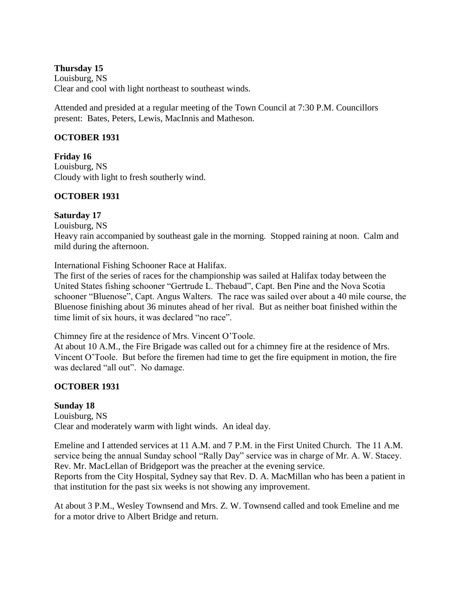## **Thursday 15**

Louisburg, NS Clear and cool with light northeast to southeast winds.

Attended and presided at a regular meeting of the Town Council at 7:30 P.M. Councillors present: Bates, Peters, Lewis, MacInnis and Matheson.

## **OCTOBER 1931**

**Friday 16** Louisburg, NS Cloudy with light to fresh southerly wind.

# **OCTOBER 1931**

# **Saturday 17**

Louisburg, NS

Heavy rain accompanied by southeast gale in the morning. Stopped raining at noon. Calm and mild during the afternoon.

International Fishing Schooner Race at Halifax.

The first of the series of races for the championship was sailed at Halifax today between the United States fishing schooner "Gertrude L. Thebaud", Capt. Ben Pine and the Nova Scotia schooner "Bluenose", Capt. Angus Walters. The race was sailed over about a 40 mile course, the Bluenose finishing about 36 minutes ahead of her rival. But as neither boat finished within the time limit of six hours, it was declared "no race".

Chimney fire at the residence of Mrs. Vincent O'Toole.

At about 10 A.M., the Fire Brigade was called out for a chimney fire at the residence of Mrs. Vincent O'Toole. But before the firemen had time to get the fire equipment in motion, the fire was declared "all out". No damage.

# **OCTOBER 1931**

# **Sunday 18**

Louisburg, NS Clear and moderately warm with light winds. An ideal day.

Emeline and I attended services at 11 A.M. and 7 P.M. in the First United Church. The 11 A.M. service being the annual Sunday school "Rally Day" service was in charge of Mr. A. W. Stacey. Rev. Mr. MacLellan of Bridgeport was the preacher at the evening service.

Reports from the City Hospital, Sydney say that Rev. D. A. MacMillan who has been a patient in that institution for the past six weeks is not showing any improvement.

At about 3 P.M., Wesley Townsend and Mrs. Z. W. Townsend called and took Emeline and me for a motor drive to Albert Bridge and return.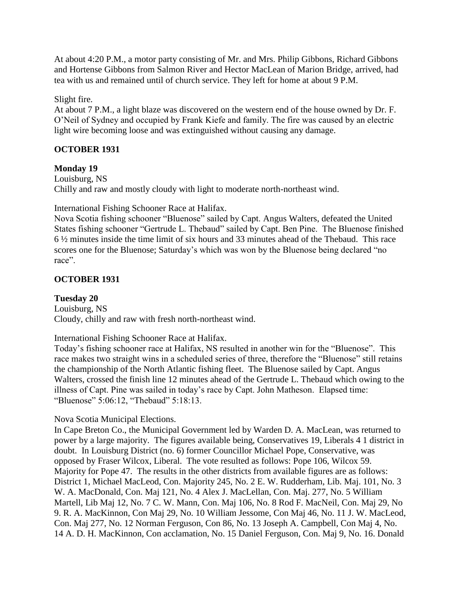At about 4:20 P.M., a motor party consisting of Mr. and Mrs. Philip Gibbons, Richard Gibbons and Hortense Gibbons from Salmon River and Hector MacLean of Marion Bridge, arrived, had tea with us and remained until of church service. They left for home at about 9 P.M.

# Slight fire.

At about 7 P.M., a light blaze was discovered on the western end of the house owned by Dr. F. O'Neil of Sydney and occupied by Frank Kiefe and family. The fire was caused by an electric light wire becoming loose and was extinguished without causing any damage.

# **OCTOBER 1931**

## **Monday 19**

Louisburg, NS Chilly and raw and mostly cloudy with light to moderate north-northeast wind.

International Fishing Schooner Race at Halifax.

Nova Scotia fishing schooner "Bluenose" sailed by Capt. Angus Walters, defeated the United States fishing schooner "Gertrude L. Thebaud" sailed by Capt. Ben Pine. The Bluenose finished 6 ½ minutes inside the time limit of six hours and 33 minutes ahead of the Thebaud. This race scores one for the Bluenose; Saturday's which was won by the Bluenose being declared "no race".

# **OCTOBER 1931**

**Tuesday 20** Louisburg, NS Cloudy, chilly and raw with fresh north-northeast wind.

International Fishing Schooner Race at Halifax.

Today's fishing schooner race at Halifax, NS resulted in another win for the "Bluenose". This race makes two straight wins in a scheduled series of three, therefore the "Bluenose" still retains the championship of the North Atlantic fishing fleet. The Bluenose sailed by Capt. Angus Walters, crossed the finish line 12 minutes ahead of the Gertrude L. Thebaud which owing to the illness of Capt. Pine was sailed in today's race by Capt. John Matheson. Elapsed time: "Bluenose" 5:06:12, "Thebaud" 5:18:13.

Nova Scotia Municipal Elections.

In Cape Breton Co., the Municipal Government led by Warden D. A. MacLean, was returned to power by a large majority. The figures available being, Conservatives 19, Liberals 4 1 district in doubt. In Louisburg District (no. 6) former Councillor Michael Pope, Conservative, was opposed by Fraser Wilcox, Liberal. The vote resulted as follows: Pope 106, Wilcox 59. Majority for Pope 47. The results in the other districts from available figures are as follows: District 1, Michael MacLeod, Con. Majority 245, No. 2 E. W. Rudderham, Lib. Maj. 101, No. 3 W. A. MacDonald, Con. Maj 121, No. 4 Alex J. MacLellan, Con. Maj. 277, No. 5 William Martell, Lib Maj 12, No. 7 C. W. Mann, Con. Maj 106, No. 8 Rod F. MacNeil, Con. Maj 29, No 9. R. A. MacKinnon, Con Maj 29, No. 10 William Jessome, Con Maj 46, No. 11 J. W. MacLeod, Con. Maj 277, No. 12 Norman Ferguson, Con 86, No. 13 Joseph A. Campbell, Con Maj 4, No. 14 A. D. H. MacKinnon, Con acclamation, No. 15 Daniel Ferguson, Con. Maj 9, No. 16. Donald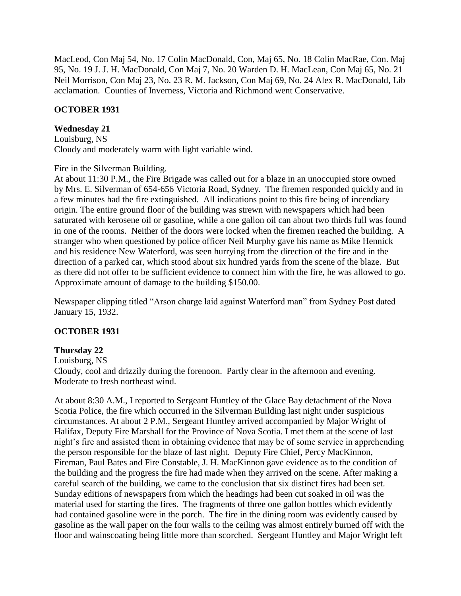MacLeod, Con Maj 54, No. 17 Colin MacDonald, Con, Maj 65, No. 18 Colin MacRae, Con. Maj 95, No. 19 J. J. H. MacDonald, Con Maj 7, No. 20 Warden D. H. MacLean, Con Maj 65, No. 21 Neil Morrison, Con Maj 23, No. 23 R. M. Jackson, Con Maj 69, No. 24 Alex R. MacDonald, Lib acclamation. Counties of Inverness, Victoria and Richmond went Conservative.

## **OCTOBER 1931**

### **Wednesday 21**

Louisburg, NS Cloudy and moderately warm with light variable wind.

### Fire in the Silverman Building.

At about 11:30 P.M., the Fire Brigade was called out for a blaze in an unoccupied store owned by Mrs. E. Silverman of 654-656 Victoria Road, Sydney. The firemen responded quickly and in a few minutes had the fire extinguished. All indications point to this fire being of incendiary origin. The entire ground floor of the building was strewn with newspapers which had been saturated with kerosene oil or gasoline, while a one gallon oil can about two thirds full was found in one of the rooms. Neither of the doors were locked when the firemen reached the building. A stranger who when questioned by police officer Neil Murphy gave his name as Mike Hennick and his residence New Waterford, was seen hurrying from the direction of the fire and in the direction of a parked car, which stood about six hundred yards from the scene of the blaze. But as there did not offer to be sufficient evidence to connect him with the fire, he was allowed to go. Approximate amount of damage to the building \$150.00.

Newspaper clipping titled "Arson charge laid against Waterford man" from Sydney Post dated January 15, 1932.

# **OCTOBER 1931**

# **Thursday 22**

Louisburg, NS

Cloudy, cool and drizzily during the forenoon. Partly clear in the afternoon and evening. Moderate to fresh northeast wind.

At about 8:30 A.M., I reported to Sergeant Huntley of the Glace Bay detachment of the Nova Scotia Police, the fire which occurred in the Silverman Building last night under suspicious circumstances. At about 2 P.M., Sergeant Huntley arrived accompanied by Major Wright of Halifax, Deputy Fire Marshall for the Province of Nova Scotia. I met them at the scene of last night's fire and assisted them in obtaining evidence that may be of some service in apprehending the person responsible for the blaze of last night. Deputy Fire Chief, Percy MacKinnon, Fireman, Paul Bates and Fire Constable, J. H. MacKinnon gave evidence as to the condition of the building and the progress the fire had made when they arrived on the scene. After making a careful search of the building, we came to the conclusion that six distinct fires had been set. Sunday editions of newspapers from which the headings had been cut soaked in oil was the material used for starting the fires. The fragments of three one gallon bottles which evidently had contained gasoline were in the porch. The fire in the dining room was evidently caused by gasoline as the wall paper on the four walls to the ceiling was almost entirely burned off with the floor and wainscoating being little more than scorched. Sergeant Huntley and Major Wright left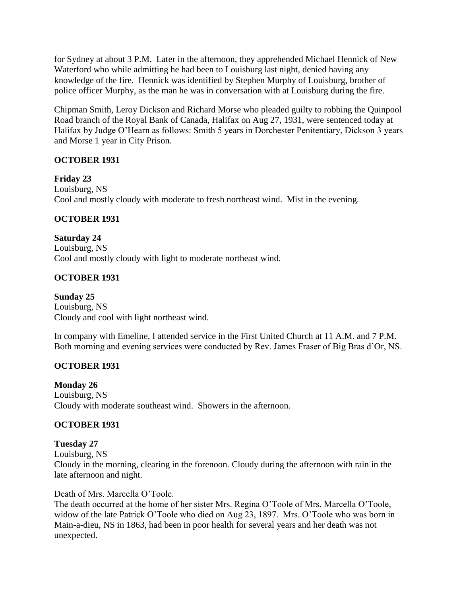for Sydney at about 3 P.M. Later in the afternoon, they apprehended Michael Hennick of New Waterford who while admitting he had been to Louisburg last night, denied having any knowledge of the fire. Hennick was identified by Stephen Murphy of Louisburg, brother of police officer Murphy, as the man he was in conversation with at Louisburg during the fire.

Chipman Smith, Leroy Dickson and Richard Morse who pleaded guilty to robbing the Quinpool Road branch of the Royal Bank of Canada, Halifax on Aug 27, 1931, were sentenced today at Halifax by Judge O'Hearn as follows: Smith 5 years in Dorchester Penitentiary, Dickson 3 years and Morse 1 year in City Prison.

# **OCTOBER 1931**

**Friday 23** Louisburg, NS Cool and mostly cloudy with moderate to fresh northeast wind. Mist in the evening.

# **OCTOBER 1931**

**Saturday 24** Louisburg, NS Cool and mostly cloudy with light to moderate northeast wind.

# **OCTOBER 1931**

**Sunday 25** Louisburg, NS Cloudy and cool with light northeast wind.

In company with Emeline, I attended service in the First United Church at 11 A.M. and 7 P.M. Both morning and evening services were conducted by Rev. James Fraser of Big Bras d'Or, NS.

# **OCTOBER 1931**

**Monday 26** Louisburg, NS Cloudy with moderate southeast wind. Showers in the afternoon.

# **OCTOBER 1931**

**Tuesday 27**

Louisburg, NS

Cloudy in the morning, clearing in the forenoon. Cloudy during the afternoon with rain in the late afternoon and night.

Death of Mrs. Marcella O'Toole.

The death occurred at the home of her sister Mrs. Regina O'Toole of Mrs. Marcella O'Toole, widow of the late Patrick O'Toole who died on Aug 23, 1897. Mrs. O'Toole who was born in Main-a-dieu, NS in 1863, had been in poor health for several years and her death was not unexpected.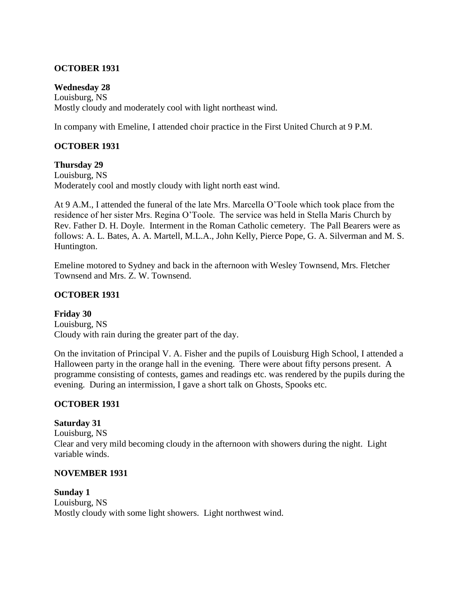# **OCTOBER 1931**

# **Wednesday 28**

Louisburg, NS Mostly cloudy and moderately cool with light northeast wind.

In company with Emeline, I attended choir practice in the First United Church at 9 P.M.

# **OCTOBER 1931**

## **Thursday 29**

Louisburg, NS Moderately cool and mostly cloudy with light north east wind.

At 9 A.M., I attended the funeral of the late Mrs. Marcella O'Toole which took place from the residence of her sister Mrs. Regina O'Toole. The service was held in Stella Maris Church by Rev. Father D. H. Doyle. Interment in the Roman Catholic cemetery. The Pall Bearers were as follows: A. L. Bates, A. A. Martell, M.L.A., John Kelly, Pierce Pope, G. A. Silverman and M. S. Huntington.

Emeline motored to Sydney and back in the afternoon with Wesley Townsend, Mrs. Fletcher Townsend and Mrs. Z. W. Townsend.

## **OCTOBER 1931**

**Friday 30** Louisburg, NS Cloudy with rain during the greater part of the day.

On the invitation of Principal V. A. Fisher and the pupils of Louisburg High School, I attended a Halloween party in the orange hall in the evening. There were about fifty persons present. A programme consisting of contests, games and readings etc. was rendered by the pupils during the evening. During an intermission, I gave a short talk on Ghosts, Spooks etc.

# **OCTOBER 1931**

# **Saturday 31**

Louisburg, NS Clear and very mild becoming cloudy in the afternoon with showers during the night. Light variable winds.

### **NOVEMBER 1931**

**Sunday 1** Louisburg, NS Mostly cloudy with some light showers. Light northwest wind.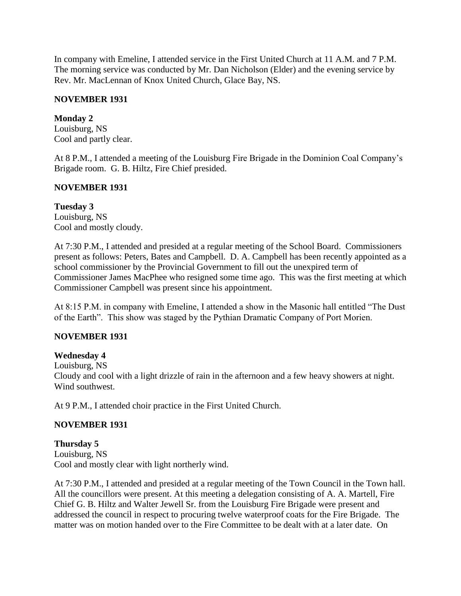In company with Emeline, I attended service in the First United Church at 11 A.M. and 7 P.M. The morning service was conducted by Mr. Dan Nicholson (Elder) and the evening service by Rev. Mr. MacLennan of Knox United Church, Glace Bay, NS.

## **NOVEMBER 1931**

## **Monday 2**

Louisburg, NS Cool and partly clear.

At 8 P.M., I attended a meeting of the Louisburg Fire Brigade in the Dominion Coal Company's Brigade room. G. B. Hiltz, Fire Chief presided.

## **NOVEMBER 1931**

## **Tuesday 3**

Louisburg, NS Cool and mostly cloudy.

At 7:30 P.M., I attended and presided at a regular meeting of the School Board. Commissioners present as follows: Peters, Bates and Campbell. D. A. Campbell has been recently appointed as a school commissioner by the Provincial Government to fill out the unexpired term of Commissioner James MacPhee who resigned some time ago. This was the first meeting at which Commissioner Campbell was present since his appointment.

At 8:15 P.M. in company with Emeline, I attended a show in the Masonic hall entitled "The Dust of the Earth". This show was staged by the Pythian Dramatic Company of Port Morien.

# **NOVEMBER 1931**

# **Wednesday 4**

Louisburg, NS Cloudy and cool with a light drizzle of rain in the afternoon and a few heavy showers at night. Wind southwest.

At 9 P.M., I attended choir practice in the First United Church.

# **NOVEMBER 1931**

**Thursday 5** Louisburg, NS Cool and mostly clear with light northerly wind.

At 7:30 P.M., I attended and presided at a regular meeting of the Town Council in the Town hall. All the councillors were present. At this meeting a delegation consisting of A. A. Martell, Fire Chief G. B. Hiltz and Walter Jewell Sr. from the Louisburg Fire Brigade were present and addressed the council in respect to procuring twelve waterproof coats for the Fire Brigade. The matter was on motion handed over to the Fire Committee to be dealt with at a later date. On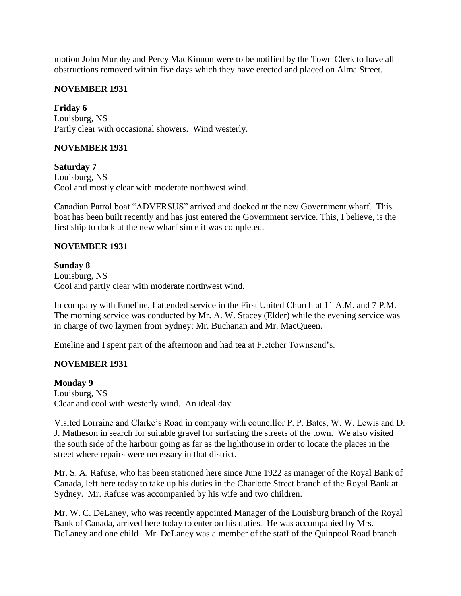motion John Murphy and Percy MacKinnon were to be notified by the Town Clerk to have all obstructions removed within five days which they have erected and placed on Alma Street.

### **NOVEMBER 1931**

**Friday 6** Louisburg, NS Partly clear with occasional showers. Wind westerly.

## **NOVEMBER 1931**

**Saturday 7**

Louisburg, NS Cool and mostly clear with moderate northwest wind.

Canadian Patrol boat "ADVERSUS" arrived and docked at the new Government wharf. This boat has been built recently and has just entered the Government service. This, I believe, is the first ship to dock at the new wharf since it was completed.

## **NOVEMBER 1931**

### **Sunday 8**

Louisburg, NS Cool and partly clear with moderate northwest wind.

In company with Emeline, I attended service in the First United Church at 11 A.M. and 7 P.M. The morning service was conducted by Mr. A. W. Stacey (Elder) while the evening service was in charge of two laymen from Sydney: Mr. Buchanan and Mr. MacQueen.

Emeline and I spent part of the afternoon and had tea at Fletcher Townsend's.

# **NOVEMBER 1931**

**Monday 9**

Louisburg, NS Clear and cool with westerly wind. An ideal day.

Visited Lorraine and Clarke's Road in company with councillor P. P. Bates, W. W. Lewis and D. J. Matheson in search for suitable gravel for surfacing the streets of the town. We also visited the south side of the harbour going as far as the lighthouse in order to locate the places in the street where repairs were necessary in that district.

Mr. S. A. Rafuse, who has been stationed here since June 1922 as manager of the Royal Bank of Canada, left here today to take up his duties in the Charlotte Street branch of the Royal Bank at Sydney. Mr. Rafuse was accompanied by his wife and two children.

Mr. W. C. DeLaney, who was recently appointed Manager of the Louisburg branch of the Royal Bank of Canada, arrived here today to enter on his duties. He was accompanied by Mrs. DeLaney and one child. Mr. DeLaney was a member of the staff of the Quinpool Road branch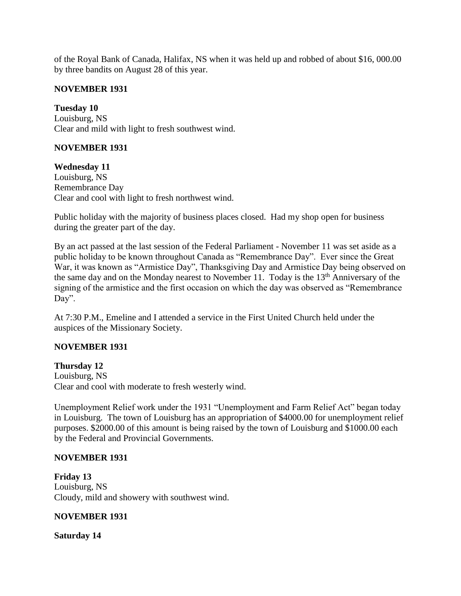of the Royal Bank of Canada, Halifax, NS when it was held up and robbed of about \$16, 000.00 by three bandits on August 28 of this year.

### **NOVEMBER 1931**

**Tuesday 10** Louisburg, NS Clear and mild with light to fresh southwest wind.

# **NOVEMBER 1931**

**Wednesday 11**

Louisburg, NS Remembrance Day Clear and cool with light to fresh northwest wind.

Public holiday with the majority of business places closed. Had my shop open for business during the greater part of the day.

By an act passed at the last session of the Federal Parliament - November 11 was set aside as a public holiday to be known throughout Canada as "Remembrance Day". Ever since the Great War, it was known as "Armistice Day", Thanksgiving Day and Armistice Day being observed on the same day and on the Monday nearest to November 11. Today is the 13th Anniversary of the signing of the armistice and the first occasion on which the day was observed as "Remembrance Day".

At 7:30 P.M., Emeline and I attended a service in the First United Church held under the auspices of the Missionary Society.

# **NOVEMBER 1931**

### **Thursday 12**

Louisburg, NS Clear and cool with moderate to fresh westerly wind.

Unemployment Relief work under the 1931 "Unemployment and Farm Relief Act" began today in Louisburg. The town of Louisburg has an appropriation of \$4000.00 for unemployment relief purposes. \$2000.00 of this amount is being raised by the town of Louisburg and \$1000.00 each by the Federal and Provincial Governments.

### **NOVEMBER 1931**

**Friday 13** Louisburg, NS Cloudy, mild and showery with southwest wind.

# **NOVEMBER 1931**

**Saturday 14**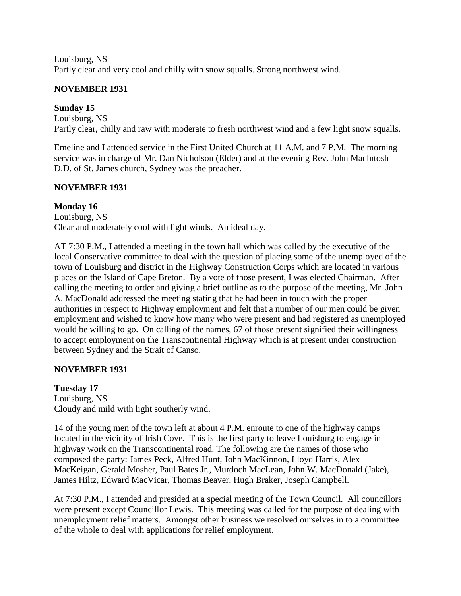Louisburg, NS Partly clear and very cool and chilly with snow squalls. Strong northwest wind.

# **NOVEMBER 1931**

# **Sunday 15**

Louisburg, NS Partly clear, chilly and raw with moderate to fresh northwest wind and a few light snow squalls.

Emeline and I attended service in the First United Church at 11 A.M. and 7 P.M. The morning service was in charge of Mr. Dan Nicholson (Elder) and at the evening Rev. John MacIntosh D.D. of St. James church, Sydney was the preacher.

# **NOVEMBER 1931**

# **Monday 16**

Louisburg, NS Clear and moderately cool with light winds. An ideal day.

AT 7:30 P.M., I attended a meeting in the town hall which was called by the executive of the local Conservative committee to deal with the question of placing some of the unemployed of the town of Louisburg and district in the Highway Construction Corps which are located in various places on the Island of Cape Breton. By a vote of those present, I was elected Chairman. After calling the meeting to order and giving a brief outline as to the purpose of the meeting, Mr. John A. MacDonald addressed the meeting stating that he had been in touch with the proper authorities in respect to Highway employment and felt that a number of our men could be given employment and wished to know how many who were present and had registered as unemployed would be willing to go. On calling of the names, 67 of those present signified their willingness to accept employment on the Transcontinental Highway which is at present under construction between Sydney and the Strait of Canso.

# **NOVEMBER 1931**

# **Tuesday 17**

Louisburg, NS Cloudy and mild with light southerly wind.

14 of the young men of the town left at about 4 P.M. enroute to one of the highway camps located in the vicinity of Irish Cove. This is the first party to leave Louisburg to engage in highway work on the Transcontinental road. The following are the names of those who composed the party: James Peck, Alfred Hunt, John MacKinnon, Lloyd Harris, Alex MacKeigan, Gerald Mosher, Paul Bates Jr., Murdoch MacLean, John W. MacDonald (Jake), James Hiltz, Edward MacVicar, Thomas Beaver, Hugh Braker, Joseph Campbell.

At 7:30 P.M., I attended and presided at a special meeting of the Town Council. All councillors were present except Councillor Lewis. This meeting was called for the purpose of dealing with unemployment relief matters. Amongst other business we resolved ourselves in to a committee of the whole to deal with applications for relief employment.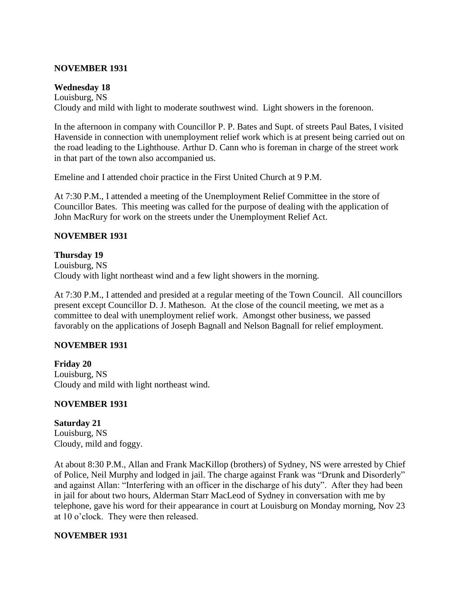## **NOVEMBER 1931**

## **Wednesday 18**

Louisburg, NS Cloudy and mild with light to moderate southwest wind. Light showers in the forenoon.

In the afternoon in company with Councillor P. P. Bates and Supt. of streets Paul Bates, I visited Havenside in connection with unemployment relief work which is at present being carried out on the road leading to the Lighthouse. Arthur D. Cann who is foreman in charge of the street work in that part of the town also accompanied us.

Emeline and I attended choir practice in the First United Church at 9 P.M.

At 7:30 P.M., I attended a meeting of the Unemployment Relief Committee in the store of Councillor Bates. This meeting was called for the purpose of dealing with the application of John MacRury for work on the streets under the Unemployment Relief Act.

## **NOVEMBER 1931**

## **Thursday 19**

Louisburg, NS Cloudy with light northeast wind and a few light showers in the morning.

At 7:30 P.M., I attended and presided at a regular meeting of the Town Council. All councillors present except Councillor D. J. Matheson. At the close of the council meeting, we met as a committee to deal with unemployment relief work. Amongst other business, we passed favorably on the applications of Joseph Bagnall and Nelson Bagnall for relief employment.

### **NOVEMBER 1931**

**Friday 20** Louisburg, NS Cloudy and mild with light northeast wind.

### **NOVEMBER 1931**

**Saturday 21** Louisburg, NS Cloudy, mild and foggy.

At about 8:30 P.M., Allan and Frank MacKillop (brothers) of Sydney, NS were arrested by Chief of Police, Neil Murphy and lodged in jail. The charge against Frank was "Drunk and Disorderly" and against Allan: "Interfering with an officer in the discharge of his duty". After they had been in jail for about two hours, Alderman Starr MacLeod of Sydney in conversation with me by telephone, gave his word for their appearance in court at Louisburg on Monday morning, Nov 23 at 10 o'clock. They were then released.

### **NOVEMBER 1931**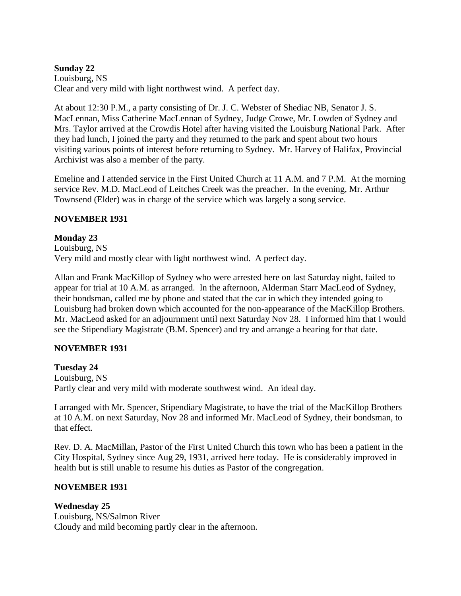# **Sunday 22** Louisburg, NS Clear and very mild with light northwest wind. A perfect day.

At about 12:30 P.M., a party consisting of Dr. J. C. Webster of Shediac NB, Senator J. S. MacLennan, Miss Catherine MacLennan of Sydney, Judge Crowe, Mr. Lowden of Sydney and Mrs. Taylor arrived at the Crowdis Hotel after having visited the Louisburg National Park. After they had lunch, I joined the party and they returned to the park and spent about two hours visiting various points of interest before returning to Sydney. Mr. Harvey of Halifax, Provincial Archivist was also a member of the party.

Emeline and I attended service in the First United Church at 11 A.M. and 7 P.M. At the morning service Rev. M.D. MacLeod of Leitches Creek was the preacher. In the evening, Mr. Arthur Townsend (Elder) was in charge of the service which was largely a song service.

# **NOVEMBER 1931**

# **Monday 23**

Louisburg, NS Very mild and mostly clear with light northwest wind. A perfect day.

Allan and Frank MacKillop of Sydney who were arrested here on last Saturday night, failed to appear for trial at 10 A.M. as arranged. In the afternoon, Alderman Starr MacLeod of Sydney, their bondsman, called me by phone and stated that the car in which they intended going to Louisburg had broken down which accounted for the non-appearance of the MacKillop Brothers. Mr. MacLeod asked for an adjournment until next Saturday Nov 28. I informed him that I would see the Stipendiary Magistrate (B.M. Spencer) and try and arrange a hearing for that date.

# **NOVEMBER 1931**

# **Tuesday 24**

Louisburg, NS Partly clear and very mild with moderate southwest wind. An ideal day.

I arranged with Mr. Spencer, Stipendiary Magistrate, to have the trial of the MacKillop Brothers at 10 A.M. on next Saturday, Nov 28 and informed Mr. MacLeod of Sydney, their bondsman, to that effect.

Rev. D. A. MacMillan, Pastor of the First United Church this town who has been a patient in the City Hospital, Sydney since Aug 29, 1931, arrived here today. He is considerably improved in health but is still unable to resume his duties as Pastor of the congregation.

# **NOVEMBER 1931**

# **Wednesday 25**

Louisburg, NS/Salmon River Cloudy and mild becoming partly clear in the afternoon.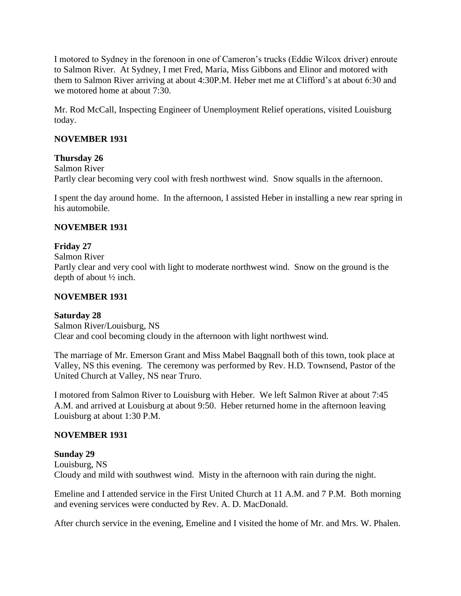I motored to Sydney in the forenoon in one of Cameron's trucks (Eddie Wilcox driver) enroute to Salmon River. At Sydney, I met Fred, Maria, Miss Gibbons and Elinor and motored with them to Salmon River arriving at about 4:30P.M. Heber met me at Clifford's at about 6:30 and we motored home at about 7:30.

Mr. Rod McCall, Inspecting Engineer of Unemployment Relief operations, visited Louisburg today.

## **NOVEMBER 1931**

# **Thursday 26**

Salmon River Partly clear becoming very cool with fresh northwest wind. Snow squalls in the afternoon.

I spent the day around home. In the afternoon, I assisted Heber in installing a new rear spring in his automobile.

## **NOVEMBER 1931**

## **Friday 27**

Salmon River

Partly clear and very cool with light to moderate northwest wind. Snow on the ground is the depth of about ½ inch.

#### **NOVEMBER 1931**

### **Saturday 28**

Salmon River/Louisburg, NS Clear and cool becoming cloudy in the afternoon with light northwest wind.

The marriage of Mr. Emerson Grant and Miss Mabel Baqgnall both of this town, took place at Valley, NS this evening. The ceremony was performed by Rev. H.D. Townsend, Pastor of the United Church at Valley, NS near Truro.

I motored from Salmon River to Louisburg with Heber. We left Salmon River at about 7:45 A.M. and arrived at Louisburg at about 9:50. Heber returned home in the afternoon leaving Louisburg at about 1:30 P.M.

### **NOVEMBER 1931**

### **Sunday 29**

Louisburg, NS Cloudy and mild with southwest wind. Misty in the afternoon with rain during the night.

Emeline and I attended service in the First United Church at 11 A.M. and 7 P.M. Both morning and evening services were conducted by Rev. A. D. MacDonald.

After church service in the evening, Emeline and I visited the home of Mr. and Mrs. W. Phalen.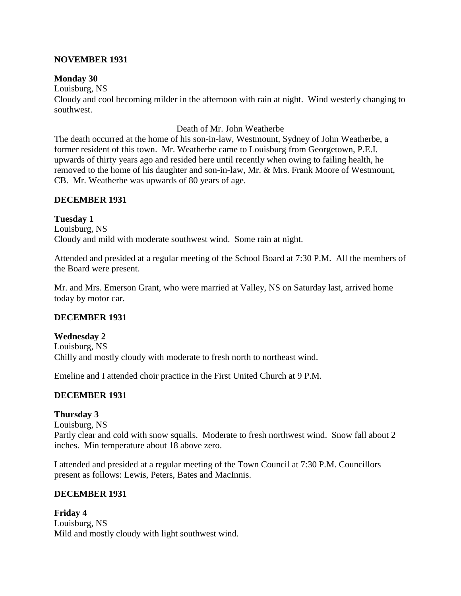### **NOVEMBER 1931**

#### **Monday 30**

Louisburg, NS Cloudy and cool becoming milder in the afternoon with rain at night. Wind westerly changing to southwest.

#### Death of Mr. John Weatherbe

The death occurred at the home of his son-in-law, Westmount, Sydney of John Weatherbe, a former resident of this town. Mr. Weatherbe came to Louisburg from Georgetown, P.E.I. upwards of thirty years ago and resided here until recently when owing to failing health, he removed to the home of his daughter and son-in-law, Mr. & Mrs. Frank Moore of Westmount, CB. Mr. Weatherbe was upwards of 80 years of age.

### **DECEMBER 1931**

**Tuesday 1** Louisburg, NS Cloudy and mild with moderate southwest wind. Some rain at night.

Attended and presided at a regular meeting of the School Board at 7:30 P.M. All the members of the Board were present.

Mr. and Mrs. Emerson Grant, who were married at Valley, NS on Saturday last, arrived home today by motor car.

### **DECEMBER 1931**

**Wednesday 2** Louisburg, NS Chilly and mostly cloudy with moderate to fresh north to northeast wind.

Emeline and I attended choir practice in the First United Church at 9 P.M.

### **DECEMBER 1931**

### **Thursday 3**

Louisburg, NS Partly clear and cold with snow squalls. Moderate to fresh northwest wind. Snow fall about 2 inches. Min temperature about 18 above zero.

I attended and presided at a regular meeting of the Town Council at 7:30 P.M. Councillors present as follows: Lewis, Peters, Bates and MacInnis.

### **DECEMBER 1931**

**Friday 4** Louisburg, NS Mild and mostly cloudy with light southwest wind.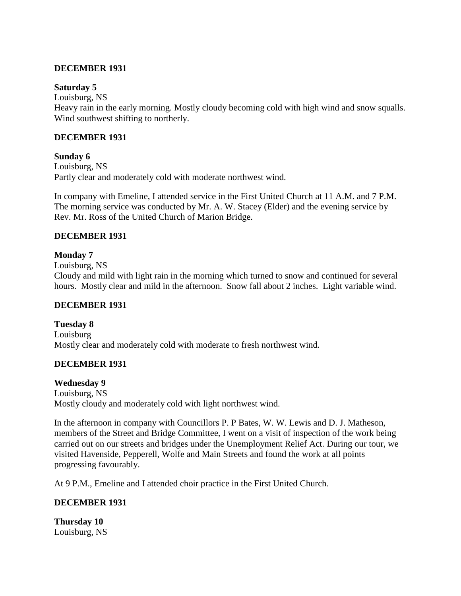## **DECEMBER 1931**

### **Saturday 5**

Louisburg, NS Heavy rain in the early morning. Mostly cloudy becoming cold with high wind and snow squalls. Wind southwest shifting to northerly.

## **DECEMBER 1931**

**Sunday 6** Louisburg, NS Partly clear and moderately cold with moderate northwest wind.

In company with Emeline, I attended service in the First United Church at 11 A.M. and 7 P.M. The morning service was conducted by Mr. A. W. Stacey (Elder) and the evening service by Rev. Mr. Ross of the United Church of Marion Bridge.

# **DECEMBER 1931**

## **Monday 7**

Louisburg, NS

Cloudy and mild with light rain in the morning which turned to snow and continued for several hours. Mostly clear and mild in the afternoon. Snow fall about 2 inches. Light variable wind.

### **DECEMBER 1931**

**Tuesday 8** Louisburg Mostly clear and moderately cold with moderate to fresh northwest wind.

# **DECEMBER 1931**

### **Wednesday 9**

Louisburg, NS Mostly cloudy and moderately cold with light northwest wind.

In the afternoon in company with Councillors P. P Bates, W. W. Lewis and D. J. Matheson, members of the Street and Bridge Committee, I went on a visit of inspection of the work being carried out on our streets and bridges under the Unemployment Relief Act. During our tour, we visited Havenside, Pepperell, Wolfe and Main Streets and found the work at all points progressing favourably.

At 9 P.M., Emeline and I attended choir practice in the First United Church.

# **DECEMBER 1931**

**Thursday 10** Louisburg, NS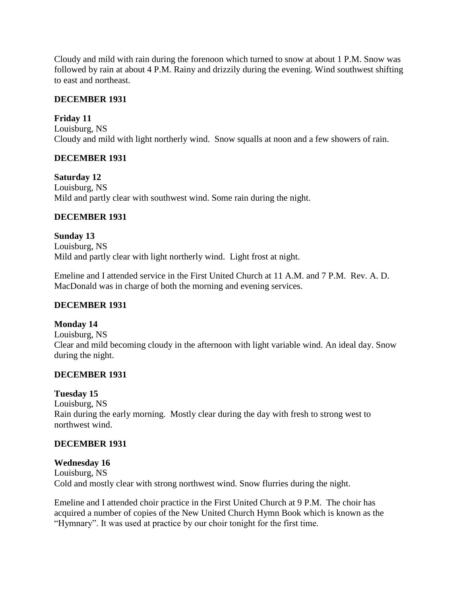Cloudy and mild with rain during the forenoon which turned to snow at about 1 P.M. Snow was followed by rain at about 4 P.M. Rainy and drizzily during the evening. Wind southwest shifting to east and northeast.

### **DECEMBER 1931**

## **Friday 11**

Louisburg, NS Cloudy and mild with light northerly wind. Snow squalls at noon and a few showers of rain.

## **DECEMBER 1931**

**Saturday 12** Louisburg, NS Mild and partly clear with southwest wind. Some rain during the night.

## **DECEMBER 1931**

**Sunday 13** Louisburg, NS Mild and partly clear with light northerly wind. Light frost at night.

Emeline and I attended service in the First United Church at 11 A.M. and 7 P.M. Rev. A. D. MacDonald was in charge of both the morning and evening services.

### **DECEMBER 1931**

**Monday 14** Louisburg, NS Clear and mild becoming cloudy in the afternoon with light variable wind. An ideal day. Snow during the night.

# **DECEMBER 1931**

# **Tuesday 15**

Louisburg, NS Rain during the early morning. Mostly clear during the day with fresh to strong west to northwest wind.

### **DECEMBER 1931**

### **Wednesday 16**

Louisburg, NS Cold and mostly clear with strong northwest wind. Snow flurries during the night.

Emeline and I attended choir practice in the First United Church at 9 P.M. The choir has acquired a number of copies of the New United Church Hymn Book which is known as the "Hymnary". It was used at practice by our choir tonight for the first time.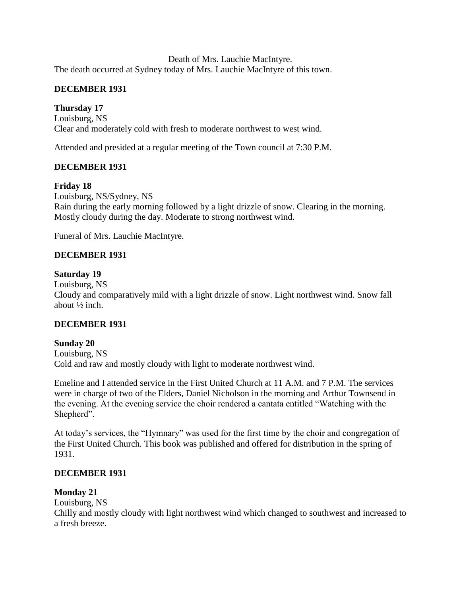Death of Mrs. Lauchie MacIntyre. The death occurred at Sydney today of Mrs. Lauchie MacIntyre of this town.

# **DECEMBER 1931**

# **Thursday 17**

Louisburg, NS Clear and moderately cold with fresh to moderate northwest to west wind.

Attended and presided at a regular meeting of the Town council at 7:30 P.M.

# **DECEMBER 1931**

# **Friday 18**

Louisburg, NS/Sydney, NS Rain during the early morning followed by a light drizzle of snow. Clearing in the morning. Mostly cloudy during the day. Moderate to strong northwest wind.

Funeral of Mrs. Lauchie MacIntyre.

# **DECEMBER 1931**

## **Saturday 19**

Louisburg, NS

Cloudy and comparatively mild with a light drizzle of snow. Light northwest wind. Snow fall about ½ inch.

# **DECEMBER 1931**

# **Sunday 20**

Louisburg, NS Cold and raw and mostly cloudy with light to moderate northwest wind.

Emeline and I attended service in the First United Church at 11 A.M. and 7 P.M. The services were in charge of two of the Elders, Daniel Nicholson in the morning and Arthur Townsend in the evening. At the evening service the choir rendered a cantata entitled "Watching with the Shepherd".

At today's services, the "Hymnary" was used for the first time by the choir and congregation of the First United Church. This book was published and offered for distribution in the spring of 1931.

# **DECEMBER 1931**

# **Monday 21**

Louisburg, NS

Chilly and mostly cloudy with light northwest wind which changed to southwest and increased to a fresh breeze.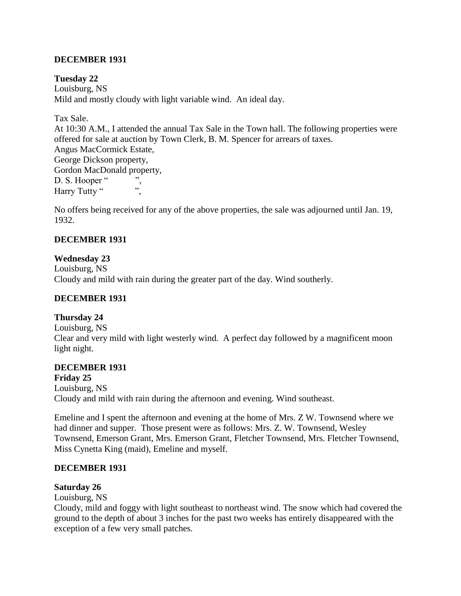## **DECEMBER 1931**

**Tuesday 22** Louisburg, NS Mild and mostly cloudy with light variable wind. An ideal day.

Tax Sale.

At 10:30 A.M., I attended the annual Tax Sale in the Town hall. The following properties were offered for sale at auction by Town Clerk, B. M. Spencer for arrears of taxes. Angus MacCormick Estate, George Dickson property, Gordon MacDonald property, D. S. Hooper " Harry Tutty "

No offers being received for any of the above properties, the sale was adjourned until Jan. 19, 1932.

## **DECEMBER 1931**

### **Wednesday 23**

Louisburg, NS Cloudy and mild with rain during the greater part of the day. Wind southerly.

### **DECEMBER 1931**

### **Thursday 24**

Louisburg, NS Clear and very mild with light westerly wind. A perfect day followed by a magnificent moon light night.

### **DECEMBER 1931**

**Friday 25** Louisburg, NS Cloudy and mild with rain during the afternoon and evening. Wind southeast.

Emeline and I spent the afternoon and evening at the home of Mrs. Z W. Townsend where we had dinner and supper. Those present were as follows: Mrs. Z. W. Townsend, Wesley Townsend, Emerson Grant, Mrs. Emerson Grant, Fletcher Townsend, Mrs. Fletcher Townsend, Miss Cynetta King (maid), Emeline and myself.

### **DECEMBER 1931**

#### **Saturday 26**

Louisburg, NS

Cloudy, mild and foggy with light southeast to northeast wind. The snow which had covered the ground to the depth of about 3 inches for the past two weeks has entirely disappeared with the exception of a few very small patches.